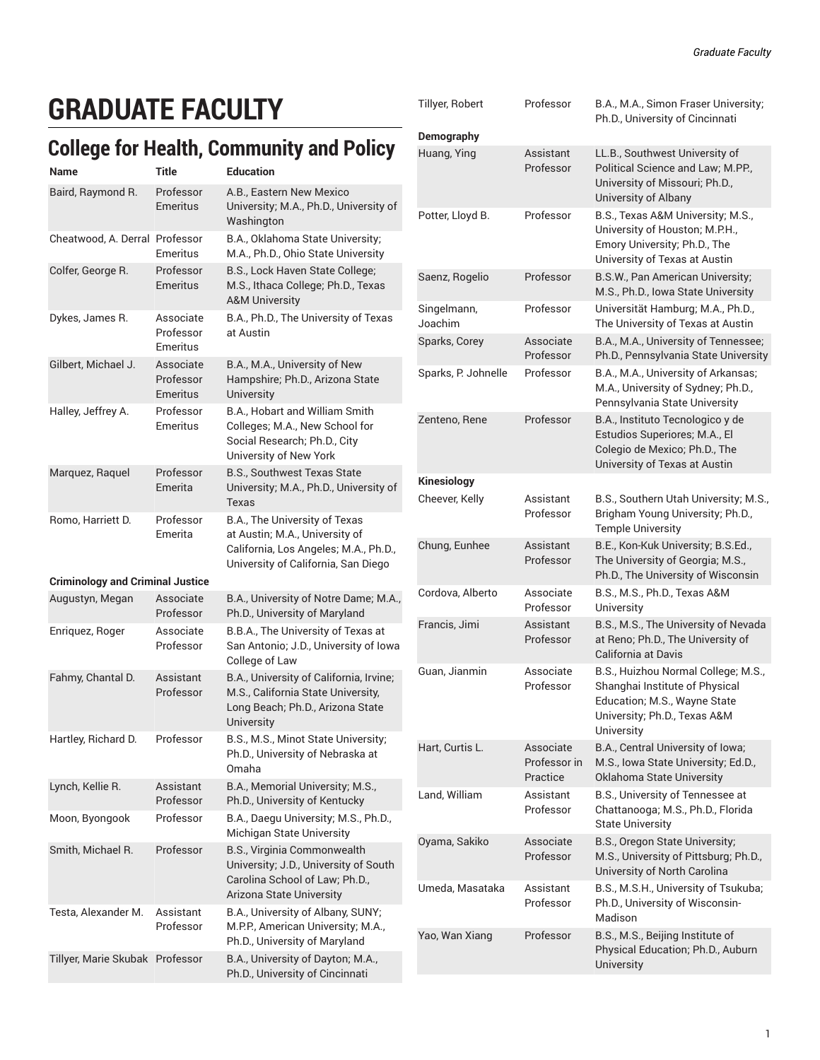# **GRADUATE FACULTY**

### **College for Health, Community and Policy**

| Name                                    | Title                              | <b>Education</b>                                                                                                                                |
|-----------------------------------------|------------------------------------|-------------------------------------------------------------------------------------------------------------------------------------------------|
| Baird, Raymond R.                       | Professor<br>Emeritus              | A.B., Eastern New Mexico<br>University; M.A., Ph.D., University of<br>Washington                                                                |
| Cheatwood, A. Derral Professor          | Emeritus                           | B.A., Oklahoma State University;<br>M.A., Ph.D., Ohio State University                                                                          |
| Colfer, George R.                       | Professor<br><b>Emeritus</b>       | B.S., Lock Haven State College;<br>M.S., Ithaca College; Ph.D., Texas<br><b>A&amp;M University</b>                                              |
| Dykes, James R.                         | Associate<br>Professor<br>Emeritus | B.A., Ph.D., The University of Texas<br>at Austin                                                                                               |
| Gilbert, Michael J.                     | Associate<br>Professor<br>Emeritus | B.A., M.A., University of New<br>Hampshire; Ph.D., Arizona State<br>University                                                                  |
| Halley, Jeffrey A.                      | Professor<br>Emeritus              | B.A., Hobart and William Smith<br>Colleges; M.A., New School for<br>Social Research; Ph.D., City<br>University of New York                      |
| Marquez, Raquel                         | Professor<br>Emerita               | <b>B.S., Southwest Texas State</b><br>University; M.A., Ph.D., University of<br><b>Texas</b>                                                    |
| Romo, Harriett D.                       | Professor<br>Emerita               | B.A., The University of Texas<br>at Austin; M.A., University of<br>California, Los Angeles; M.A., Ph.D.,<br>University of California, San Diego |
| <b>Criminology and Criminal Justice</b> |                                    |                                                                                                                                                 |
| Augustyn, Megan                         | Associate<br>Professor             | B.A., University of Notre Dame; M.A.,<br>Ph.D., University of Maryland                                                                          |
| Enriquez, Roger                         | Associate<br>Professor             | B.B.A., The University of Texas at<br>San Antonio; J.D., University of Iowa<br>College of Law                                                   |
| Fahmy, Chantal D.                       | Assistant<br>Professor             | B.A., University of California, Irvine;<br>M.S., California State University,<br>Long Beach; Ph.D., Arizona State<br>University                 |
| Hartley, Richard D.                     | Professor                          | B.S., M.S., Minot State University;<br>Ph.D., University of Nebraska at<br>Omaha                                                                |
| Lynch, Kellie R.                        | Assistant<br>Professor             | B.A., Memorial University; M.S.,<br>Ph.D., University of Kentucky                                                                               |
| Moon, Byongook                          | Professor                          | B.A., Daegu University; M.S., Ph.D.,<br>Michigan State University                                                                               |
| Smith, Michael R.                       | Professor                          | B.S., Virginia Commonwealth<br>University; J.D., University of South<br>Carolina School of Law; Ph.D.,<br>Arizona State University              |
| Testa, Alexander M.                     | Assistant<br>Professor             | B.A., University of Albany, SUNY;<br>M.P.P., American University; M.A.,<br>Ph.D., University of Maryland                                        |
| Tillyer, Marie Skubak Professor         |                                    | B.A., University of Dayton; M.A.,<br>Ph.D., University of Cincinnati                                                                            |

| Tillyer, Robert<br>Demography | Professor                             | B.A., M.A., Simon Fraser University;<br>Ph.D., University of Cincinnati                                                                             |
|-------------------------------|---------------------------------------|-----------------------------------------------------------------------------------------------------------------------------------------------------|
| Huang, Ying                   | Assistant<br>Professor                | LL.B., Southwest University of<br>Political Science and Law; M.PP.,<br>University of Missouri; Ph.D.,<br>University of Albany                       |
| Potter, Lloyd B.              | Professor                             | B.S., Texas A&M University; M.S.,<br>University of Houston; M.P.H.,<br>Emory University; Ph.D., The<br>University of Texas at Austin                |
| Saenz, Rogelio                | Professor                             | B.S.W., Pan American University;<br>M.S., Ph.D., Iowa State University                                                                              |
| Singelmann,<br>Joachim        | Professor                             | Universität Hamburg; M.A., Ph.D.,<br>The University of Texas at Austin                                                                              |
| Sparks, Corey                 | Associate<br>Professor                | B.A., M.A., University of Tennessee;<br>Ph.D., Pennsylvania State University                                                                        |
| Sparks, P. Johnelle           | Professor                             | B.A., M.A., University of Arkansas;<br>M.A., University of Sydney; Ph.D.,<br>Pennsylvania State University                                          |
| Zenteno, Rene                 | Professor                             | B.A., Instituto Tecnologico y de<br>Estudios Superiores; M.A., El<br>Colegio de Mexico; Ph.D., The<br>University of Texas at Austin                 |
| <b>Kinesiology</b>            |                                       |                                                                                                                                                     |
| Cheever, Kelly                | Assistant<br>Professor                | B.S., Southern Utah University; M.S.,<br>Brigham Young University; Ph.D.,<br><b>Temple University</b>                                               |
| Chung, Eunhee                 | Assistant<br>Professor                | B.E., Kon-Kuk University; B.S.Ed.,<br>The University of Georgia; M.S.,<br>Ph.D., The University of Wisconsin                                        |
| Cordova, Alberto              | Associate<br>Professor                | B.S., M.S., Ph.D., Texas A&M<br>University                                                                                                          |
| Francis, Jimi                 | Assistant<br>Professor                | B.S., M.S., The University of Nevada<br>at Reno; Ph.D., The University of<br>California at Davis                                                    |
| Guan, Jianmin                 | Associate<br>Professor                | B.S., Huizhou Normal College; M.S.,<br>Shanghai Institute of Physical<br>Education; M.S., Wayne State<br>University; Ph.D., Texas A&M<br>University |
| Hart, Curtis L.               | Associate<br>Professor in<br>Practice | B.A., Central University of Iowa;<br>M.S., Iowa State University; Ed.D.,<br>Oklahoma State University                                               |
| Land. William                 | Assistant<br>Professor                | B.S., University of Tennessee at<br>Chattanooga; M.S., Ph.D., Florida<br><b>State University</b>                                                    |
| Oyama, Sakiko                 | Associate<br>Professor                | B.S., Oregon State University;<br>M.S., University of Pittsburg; Ph.D.,<br>University of North Carolina                                             |
| Umeda, Masataka               | Assistant<br>Professor                | B.S., M.S.H., University of Tsukuba;<br>Ph.D., University of Wisconsin-<br>Madison                                                                  |
| Yao, Wan Xiang                | Professor                             | B.S., M.S., Beijing Institute of<br>Physical Education; Ph.D., Auburn<br>University                                                                 |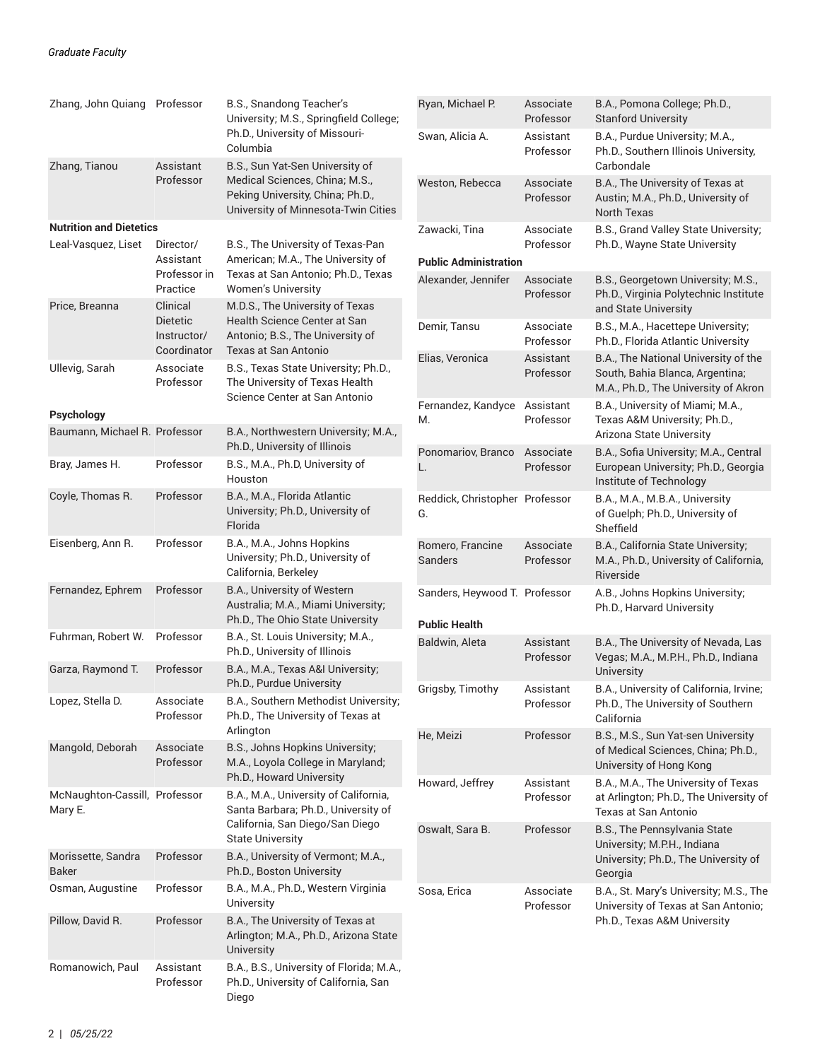| Zhang, John Quiang Professor             |                                               | B.S., Snandong Teacher's<br>University; M.S., Springfield College;                                              | Ryan, Michael P.                                      | Associate<br>Professor | B.A., Pomona College; Ph.D.,<br><b>Stanford University</b>                                                      |  |
|------------------------------------------|-----------------------------------------------|-----------------------------------------------------------------------------------------------------------------|-------------------------------------------------------|------------------------|-----------------------------------------------------------------------------------------------------------------|--|
| Zhang, Tianou                            | Assistant                                     | Ph.D., University of Missouri-<br>Columbia<br>B.S., Sun Yat-Sen University of                                   | Swan, Alicia A.                                       | Assistant<br>Professor | B.A., Purdue University; M.A.,<br>Ph.D., Southern Illinois University,<br>Carbondale                            |  |
|                                          | Professor                                     | Medical Sciences, China; M.S.,<br>Peking University, China; Ph.D.,<br>University of Minnesota-Twin Cities       | Weston, Rebecca                                       | Associate<br>Professor | B.A., The University of Texas at<br>Austin; M.A., Ph.D., University of<br>North Texas                           |  |
| <b>Nutrition and Dietetics</b>           |                                               |                                                                                                                 | Zawacki, Tina                                         | Associate              | B.S., Grand Valley State University;                                                                            |  |
| Leal-Vasquez, Liset                      | Director/<br>Assistant                        | B.S., The University of Texas-Pan<br>American; M.A., The University of                                          | Professor<br>Ph.D., Wayne State University            |                        |                                                                                                                 |  |
|                                          | Professor in<br>Practice                      | Texas at San Antonio; Ph.D., Texas<br>Women's University                                                        | <b>Public Administration</b><br>Alexander, Jennifer   | Associate<br>Professor | B.S., Georgetown University; M.S.,<br>Ph.D., Virginia Polytechnic Institute                                     |  |
| Price, Breanna                           | Clinical                                      | M.D.S., The University of Texas                                                                                 |                                                       |                        | and State University                                                                                            |  |
|                                          | <b>Dietetic</b><br>Instructor/<br>Coordinator | Health Science Center at San<br>Antonio; B.S., The University of<br>Texas at San Antonio                        | Demir, Tansu                                          | Associate<br>Professor | B.S., M.A., Hacettepe University;<br>Ph.D., Florida Atlantic University                                         |  |
| Ullevig, Sarah                           | Associate<br>Professor                        | B.S., Texas State University; Ph.D.,<br>The University of Texas Health                                          | Elias, Veronica                                       | Assistant<br>Professor | B.A., The National University of the<br>South, Bahia Blanca, Argentina;<br>M.A., Ph.D., The University of Akron |  |
| Psychology                               |                                               | Science Center at San Antonio                                                                                   | Fernandez, Kandyce                                    | Assistant              | B.A., University of Miami; M.A.,                                                                                |  |
| Baumann, Michael R. Professor            |                                               | B.A., Northwestern University; M.A.,<br>Ph.D., University of Illinois                                           | M.                                                    | Professor              | Texas A&M University; Ph.D.,<br>Arizona State University                                                        |  |
| Bray, James H.                           | Professor                                     | B.S., M.A., Ph.D, University of<br>Houston                                                                      | Ponomariov, Branco<br>L.                              | Associate<br>Professor | B.A., Sofia University; M.A., Central<br>European University; Ph.D., Georgia<br>Institute of Technology         |  |
| Coyle, Thomas R.                         | Professor                                     | B.A., M.A., Florida Atlantic<br>University; Ph.D., University of<br>Florida                                     | Reddick, Christopher Professor<br>G.                  |                        | B.A., M.A., M.B.A., University<br>of Guelph; Ph.D., University of<br>Sheffield                                  |  |
| Eisenberg, Ann R.                        | Professor                                     | B.A., M.A., Johns Hopkins<br>University; Ph.D., University of<br>California, Berkeley                           | Romero, Francine<br>Sanders                           | Associate<br>Professor | B.A., California State University;<br>M.A., Ph.D., University of California,<br>Riverside                       |  |
| Fernandez, Ephrem                        | Professor                                     | B.A., University of Western<br>Australia; M.A., Miami University;<br>Ph.D., The Ohio State University           | Sanders, Heywood T. Professor<br><b>Public Health</b> |                        | A.B., Johns Hopkins University;<br>Ph.D., Harvard University                                                    |  |
| Fuhrman, Robert W.                       | Professor                                     | B.A., St. Louis University; M.A.,<br>Ph.D., University of Illinois                                              | Baldwin, Aleta                                        | Assistant<br>Professor | B.A., The University of Nevada, Las<br>Vegas; M.A., M.P.H., Ph.D., Indiana                                      |  |
| Garza, Raymond T.                        | Professor                                     | B.A., M.A., Texas A&I University;<br>Ph.D., Purdue University                                                   |                                                       |                        | University                                                                                                      |  |
| Lopez, Stella D.                         | Associate<br>Professor                        | B.A., Southern Methodist University;<br>Ph.D., The University of Texas at                                       | Grigsby, Timothy                                      | Assistant<br>Professor | B.A., University of California, Irvine;<br>Ph.D., The University of Southern<br>California                      |  |
| Mangold, Deborah                         | Associate<br>Professor                        | Arlington<br>B.S., Johns Hopkins University;<br>M.A., Loyola College in Maryland;                               | He, Meizi                                             | Professor              | B.S., M.S., Sun Yat-sen University<br>of Medical Sciences, China; Ph.D.,<br>University of Hong Kong             |  |
|                                          |                                               | Ph.D., Howard University                                                                                        | Howard, Jeffrey                                       | Assistant              | B.A., M.A., The University of Texas                                                                             |  |
| McNaughton-Cassill, Professor<br>Mary E. |                                               | B.A., M.A., University of California,<br>Santa Barbara; Ph.D., University of<br>California, San Diego/San Diego |                                                       | Professor              | at Arlington; Ph.D., The University of<br>Texas at San Antonio                                                  |  |
|                                          |                                               | <b>State University</b>                                                                                         | Oswalt, Sara B.                                       | Professor              | B.S., The Pennsylvania State<br>University; M.P.H., Indiana                                                     |  |
| Morissette, Sandra<br><b>Baker</b>       | Professor                                     | B.A., University of Vermont; M.A.,<br>Ph.D., Boston University                                                  |                                                       |                        | University; Ph.D., The University of<br>Georgia                                                                 |  |
| Osman, Augustine                         | Professor                                     | B.A., M.A., Ph.D., Western Virginia<br>University                                                               | Sosa, Erica                                           | Associate<br>Professor | B.A., St. Mary's University; M.S., The<br>University of Texas at San Antonio;                                   |  |
| Pillow, David R.                         | Professor                                     | B.A., The University of Texas at<br>Arlington; M.A., Ph.D., Arizona State<br>University                         |                                                       |                        | Ph.D., Texas A&M University                                                                                     |  |
| Romanowich, Paul                         | Assistant<br>Professor                        | B.A., B.S., University of Florida; M.A.,<br>Ph.D., University of California, San<br>Diego                       |                                                       |                        |                                                                                                                 |  |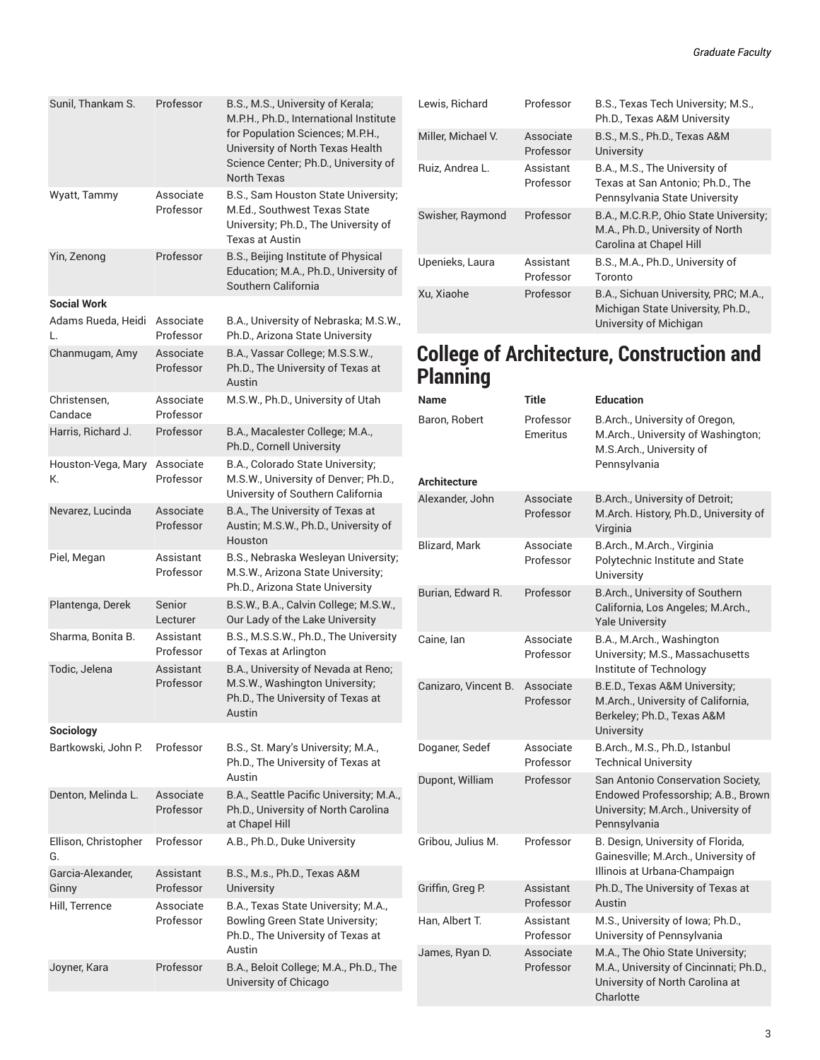| Sunil, Thankam S.          | Professor              | B.S., M.S., University of Kerala;<br>M.P.H., Ph.D., International Institute<br>for Population Sciences; M.P.H.,<br>University of North Texas Health<br>Science Center; Ph.D., University of<br><b>North Texas</b> |
|----------------------------|------------------------|-------------------------------------------------------------------------------------------------------------------------------------------------------------------------------------------------------------------|
| Wyatt, Tammy               | Associate<br>Professor | B.S., Sam Houston State University;<br>M.Ed., Southwest Texas State<br>University; Ph.D., The University of<br><b>Texas at Austin</b>                                                                             |
| Yin, Zenong                | Professor              | B.S., Beijing Institute of Physical<br>Education; M.A., Ph.D., University of<br>Southern California                                                                                                               |
| <b>Social Work</b>         |                        |                                                                                                                                                                                                                   |
| Adams Rueda, Heidi<br>L    | Associate<br>Professor | B.A., University of Nebraska; M.S.W.,<br>Ph.D., Arizona State University                                                                                                                                          |
| Chanmugam, Amy             | Associate<br>Professor | B.A., Vassar College; M.S.S.W.,<br>Ph.D., The University of Texas at<br>Austin                                                                                                                                    |
| Christensen,<br>Candace    | Associate<br>Professor | M.S.W., Ph.D., University of Utah                                                                                                                                                                                 |
| Harris, Richard J.         | Professor              | B.A., Macalester College; M.A.,<br>Ph.D., Cornell University                                                                                                                                                      |
| Houston-Vega, Mary<br>К.   | Associate<br>Professor | B.A., Colorado State University;<br>M.S.W., University of Denver; Ph.D.,<br>University of Southern California                                                                                                     |
| Nevarez, Lucinda           | Associate<br>Professor | B.A., The University of Texas at<br>Austin; M.S.W., Ph.D., University of<br>Houston                                                                                                                               |
| Piel, Megan                | Assistant<br>Professor | B.S., Nebraska Wesleyan University;<br>M.S.W., Arizona State University;<br>Ph.D., Arizona State University                                                                                                       |
| Plantenga, Derek           | Senior<br>Lecturer     | B.S.W., B.A., Calvin College; M.S.W.,<br>Our Lady of the Lake University                                                                                                                                          |
| Sharma, Bonita B.          | Assistant<br>Professor | B.S., M.S.S.W., Ph.D., The University<br>of Texas at Arlington                                                                                                                                                    |
| Todic, Jelena              | Assistant<br>Professor | B.A., University of Nevada at Reno;<br>M.S.W., Washington University;<br>Ph.D., The University of Texas at<br>Austin                                                                                              |
| Sociology                  |                        |                                                                                                                                                                                                                   |
| Bartkowski, John P.        | Professor              | B.S., St. Mary's University; M.A.,<br>Ph.D., The University of Texas at<br>Austin                                                                                                                                 |
| Denton, Melinda L.         | Associate<br>Professor | B.A., Seattle Pacific University; M.A.,<br>Ph.D., University of North Carolina<br>at Chapel Hill                                                                                                                  |
| Ellison, Christopher<br>G. | Professor              | A.B., Ph.D., Duke University                                                                                                                                                                                      |
| Garcia-Alexander.<br>Ginny | Assistant<br>Professor | B.S., M.s., Ph.D., Texas A&M<br>University                                                                                                                                                                        |
| Hill, Terrence             | Associate<br>Professor | B.A., Texas State University; M.A.,<br>Bowling Green State University;<br>Ph.D., The University of Texas at<br>Austin                                                                                             |
| Joyner, Kara               | Professor              | B.A., Beloit College; M.A., Ph.D., The                                                                                                                                                                            |

University of Chicago

| Lewis, Richard     | Professor              | B.S., Texas Tech University, M.S.,<br>Ph.D., Texas A&M University                                     |
|--------------------|------------------------|-------------------------------------------------------------------------------------------------------|
| Miller, Michael V. | Associate<br>Professor | B.S., M.S., Ph.D., Texas A&M<br><b>University</b>                                                     |
| Ruiz, Andrea L.    | Assistant<br>Professor | B.A., M.S., The University of<br>Texas at San Antonio; Ph.D., The<br>Pennsylvania State University    |
| Swisher, Raymond   | Professor              | B.A., M.C.R.P., Ohio State University;<br>M.A., Ph.D., University of North<br>Carolina at Chapel Hill |
| Upenieks, Laura    | Assistant<br>Professor | B.S., M.A., Ph.D., University of<br>Toronto                                                           |
| Xu. Xiaohe         | Professor              | B.A., Sichuan University, PRC; M.A.,<br>Michigan State University, Ph.D.,<br>University of Michigan   |

### **College of Architecture, Construction and Planning**

| <b>Name</b>          | <b>Title</b>           | <b>Education</b>                                                                                                              |
|----------------------|------------------------|-------------------------------------------------------------------------------------------------------------------------------|
| Baron, Robert        | Professor<br>Emeritus  | B.Arch., University of Oregon,<br>M.Arch., University of Washington;<br>M.S.Arch., University of<br>Pennsylvania              |
| <b>Architecture</b>  |                        |                                                                                                                               |
| Alexander, John      | Associate<br>Professor | B.Arch., University of Detroit;<br>M.Arch. History, Ph.D., University of<br>Virginia                                          |
| <b>Blizard, Mark</b> | Associate<br>Professor | B.Arch., M.Arch., Virginia<br>Polytechnic Institute and State<br>University                                                   |
| Burian, Edward R.    | Professor              | B.Arch., University of Southern<br>California, Los Angeles; M.Arch.,<br><b>Yale University</b>                                |
| Caine, lan           | Associate<br>Professor | B.A., M.Arch., Washington<br>University; M.S., Massachusetts<br>Institute of Technology                                       |
| Canizaro, Vincent B. | Associate<br>Professor | B.E.D., Texas A&M University;<br>M.Arch., University of California,<br>Berkeley; Ph.D., Texas A&M<br>University               |
| Doganer, Sedef       | Associate<br>Professor | B.Arch., M.S., Ph.D., Istanbul<br><b>Technical University</b>                                                                 |
| Dupont, William      | Professor              | San Antonio Conservation Society,<br>Endowed Professorship; A.B., Brown<br>University; M.Arch., University of<br>Pennsylvania |
| Gribou. Julius M.    | Professor              | B. Design, University of Florida,<br>Gainesville; M.Arch., University of<br>Illinois at Urbana-Champaign                      |
| Griffin, Greg P.     | Assistant<br>Professor | Ph.D., The University of Texas at<br>Austin                                                                                   |
| Han, Albert T.       | Assistant<br>Professor | M.S., University of Iowa; Ph.D.,<br>University of Pennsylvania                                                                |
| James, Ryan D.       | Associate<br>Professor | M.A., The Ohio State University;<br>M.A., University of Cincinnati; Ph.D.,<br>University of North Carolina at<br>Charlotte    |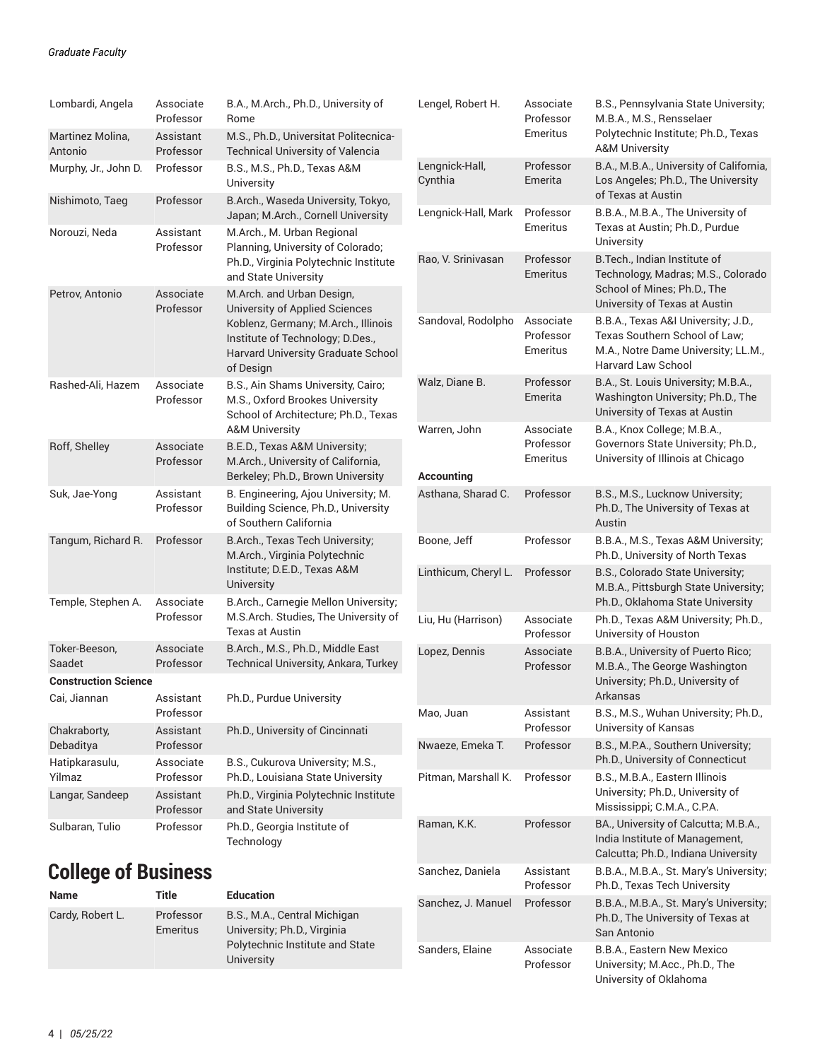| Lombardi, Angela<br>Martinez Molina,<br>Antonio | Associate<br>Professor<br>Assistant<br>Professor                        | B.A., M.Arch., Ph.D., University of<br>Rome<br>M.S., Ph.D., Universitat Politecnica-<br><b>Technical University of Valencia</b>                        | Lengel, Robert H.         | Associate<br>Professor<br>Emeritus                                | B.S., Pennsylvania State University;<br>M.B.A., M.S., Rensselaer<br>Polytechnic Institute; Ph.D., Texas<br><b>A&amp;M University</b> |
|-------------------------------------------------|-------------------------------------------------------------------------|--------------------------------------------------------------------------------------------------------------------------------------------------------|---------------------------|-------------------------------------------------------------------|--------------------------------------------------------------------------------------------------------------------------------------|
| Murphy, Jr., John D.                            | Professor                                                               | B.S., M.S., Ph.D., Texas A&M<br>University                                                                                                             | Lengnick-Hall,<br>Cynthia | Professor<br>Emerita                                              | B.A., M.B.A., University of California,<br>Los Angeles; Ph.D., The University<br>of Texas at Austin                                  |
| Nishimoto, Taeg<br>Norouzi, Neda                | Professor<br>Assistant                                                  | B.Arch., Waseda University, Tokyo,<br>Japan; M.Arch., Cornell University<br>M.Arch., M. Urban Regional                                                 | Lengnick-Hall, Mark       | Professor<br>Emeritus                                             | B.B.A., M.B.A., The University of<br>Texas at Austin; Ph.D., Purdue                                                                  |
|                                                 | Professor                                                               | Planning, University of Colorado;<br>Ph.D., Virginia Polytechnic Institute<br>and State University                                                     | Rao, V. Srinivasan        | Professor<br><b>Emeritus</b>                                      | University<br>B. Tech., Indian Institute of<br>Technology, Madras; M.S., Colorado                                                    |
| Petrov, Antonio                                 | Associate<br>Professor                                                  | M.Arch. and Urban Design,<br><b>University of Applied Sciences</b>                                                                                     |                           |                                                                   | School of Mines; Ph.D., The<br>University of Texas at Austin                                                                         |
|                                                 |                                                                         | Koblenz, Germany; M.Arch., Illinois<br>Institute of Technology; D.Des.,<br>Harvard University Graduate School<br>of Design                             | Sandoval, Rodolpho        | Associate<br>Professor<br>Emeritus                                | B.B.A., Texas A&I University; J.D.,<br>Texas Southern School of Law;<br>M.A., Notre Dame University; LL.M.,<br>Harvard Law School    |
| Rashed-Ali, Hazem                               | Associate<br>Professor                                                  | B.S., Ain Shams University, Cairo;<br>M.S., Oxford Brookes University<br>School of Architecture; Ph.D., Texas                                          | Walz, Diane B.            | Professor<br>Emerita                                              | B.A., St. Louis University; M.B.A.,<br>Washington University; Ph.D., The<br>University of Texas at Austin                            |
| Roff, Shelley                                   | <b>A&amp;M University</b><br>Associate<br>B.E.D., Texas A&M University; | Warren, John                                                                                                                                           | Associate<br>Professor    | B.A., Knox College; M.B.A.,<br>Governors State University; Ph.D., |                                                                                                                                      |
|                                                 | Professor                                                               | M.Arch., University of California,<br>Berkeley; Ph.D., Brown University                                                                                | Accounting                | Emeritus                                                          | University of Illinois at Chicago                                                                                                    |
| Suk, Jae-Yong                                   | Assistant<br>Professor                                                  | B. Engineering, Ajou University; M.<br>Building Science, Ph.D., University<br>of Southern California                                                   | Asthana, Sharad C.        | Professor                                                         | B.S., M.S., Lucknow University;<br>Ph.D., The University of Texas at<br>Austin                                                       |
| Tangum, Richard R.                              | Professor                                                               | B.Arch., Texas Tech University;<br>M.Arch., Virginia Polytechnic<br>Institute; D.E.D., Texas A&M<br>University<br>B.Arch., Carnegie Mellon University; | Boone, Jeff               | Professor                                                         | B.B.A., M.S., Texas A&M University;<br>Ph.D., University of North Texas                                                              |
|                                                 | Associate                                                               |                                                                                                                                                        | Linthicum, Cheryl L.      | Professor                                                         | B.S., Colorado State University;<br>M.B.A., Pittsburgh State University;                                                             |
| Temple, Stephen A.                              | Professor                                                               | M.S.Arch. Studies, The University of<br><b>Texas at Austin</b>                                                                                         | Liu, Hu (Harrison)        | Associate<br>Professor                                            | Ph.D., Oklahoma State University<br>Ph.D., Texas A&M University; Ph.D.,<br>University of Houston                                     |
| Toker-Beeson,<br>Saadet                         | Associate<br>Professor                                                  | B.Arch., M.S., Ph.D., Middle East<br>Technical University, Ankara, Turkey                                                                              | Lopez, Dennis             | Associate<br>Professor                                            | B.B.A., University of Puerto Rico;<br>M.B.A., The George Washington                                                                  |
| <b>Construction Science</b>                     |                                                                         |                                                                                                                                                        |                           |                                                                   | University; Ph.D., University of                                                                                                     |
| Cai, Jiannan                                    | Assistant<br>Professor                                                  | Ph.D., Purdue University                                                                                                                               | Mao, Juan                 | Assistant                                                         | Arkansas<br>B.S., M.S., Wuhan University; Ph.D.,                                                                                     |
| Chakraborty,<br>Debaditya                       | Assistant<br>Professor                                                  | Ph.D., University of Cincinnati                                                                                                                        | Nwaeze, Emeka T.          | Professor<br>Professor                                            | University of Kansas<br>B.S., M.P.A., Southern University;                                                                           |
| Hatipkarasulu,<br>Yilmaz                        | Associate<br>Professor                                                  | B.S., Cukurova University; M.S.,                                                                                                                       | Pitman, Marshall K.       | Professor                                                         | Ph.D., University of Connecticut                                                                                                     |
| Langar, Sandeep                                 | Assistant<br>Professor                                                  | Ph.D., Louisiana State University<br>Ph.D., Virginia Polytechnic Institute<br>and State University                                                     |                           |                                                                   | B.S., M.B.A., Eastern Illinois<br>University; Ph.D., University of<br>Mississippi; C.M.A., C.P.A.                                    |
| Sulbaran, Tulio                                 | Professor                                                               | Ph.D., Georgia Institute of<br>Technology                                                                                                              | Raman, K.K.               | Professor                                                         | BA., University of Calcutta; M.B.A.,<br>India Institute of Management,<br>Calcutta; Ph.D., Indiana University                        |
| <b>College of Business</b>                      |                                                                         |                                                                                                                                                        | Sanchez, Daniela          | Assistant<br>Professor                                            | B.B.A., M.B.A., St. Mary's University;<br>Ph.D., Texas Tech University                                                               |

Sanchez, J. Manuel Professor B.B.A., M.B.A., St. Mary's University;

Sanders, Elaine Associate

Professor

San Antonio

Ph.D., The University of Texas at

B.B.A., Eastern New Mexico University; M.Acc., Ph.D., The University of Oklahoma

| <b>Name</b>      | Title                 | <b>Education</b>                                                                                             |
|------------------|-----------------------|--------------------------------------------------------------------------------------------------------------|
| Cardy, Robert L. | Professor<br>Emeritus | B.S., M.A., Central Michigan<br>University, Ph.D., Virginia<br>Polytechnic Institute and State<br>University |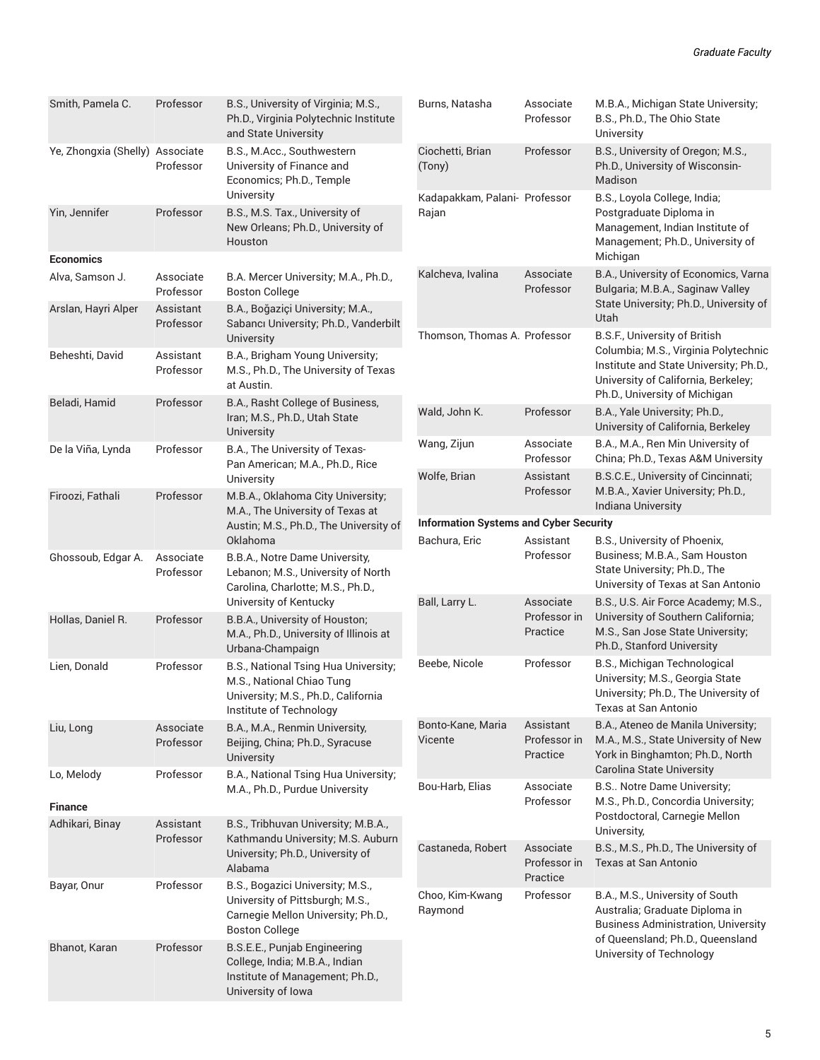| Smith, Pamela C.                  | Professor                                                                                                                            | B.S., University of Virginia; M.S.,<br>Ph.D., Virginia Polytechnic Institute<br>and State University                                | Burns, Natasha                                | Associate<br>Professor                | M.B.A., Michigan State University;<br>B.S., Ph.D., The Ohio State<br>University                                                                        |  |  |
|-----------------------------------|--------------------------------------------------------------------------------------------------------------------------------------|-------------------------------------------------------------------------------------------------------------------------------------|-----------------------------------------------|---------------------------------------|--------------------------------------------------------------------------------------------------------------------------------------------------------|--|--|
| Ye, Zhongxia (Shelly) Associate   | Professor                                                                                                                            | B.S., M.Acc., Southwestern<br>University of Finance and<br>Economics; Ph.D., Temple                                                 | Ciochetti, Brian<br>(Tony)                    | Professor                             | B.S., University of Oregon; M.S.,<br>Ph.D., University of Wisconsin-<br>Madison                                                                        |  |  |
| Yin, Jennifer<br><b>Economics</b> | Professor                                                                                                                            | University<br>B.S., M.S. Tax., University of<br>New Orleans; Ph.D., University of<br>Houston                                        | Kadapakkam, Palani- Professor<br>Rajan        |                                       | B.S., Loyola College, India;<br>Postgraduate Diploma in<br>Management, Indian Institute of<br>Management; Ph.D., University of<br>Michigan             |  |  |
| Alva, Samson J.                   | Associate<br>Professor                                                                                                               | B.A. Mercer University; M.A., Ph.D.,<br><b>Boston College</b>                                                                       | Kalcheva, Ivalina                             | Associate<br>Professor                | B.A., University of Economics, Varna<br>Bulgaria; M.B.A., Saginaw Valley                                                                               |  |  |
| Arslan, Hayri Alper               | Assistant<br>Professor                                                                                                               | B.A., Boğaziçi University; M.A.,<br>Sabancı University; Ph.D., Vanderbilt<br>University                                             | Thomson, Thomas A. Professor                  |                                       | State University; Ph.D., University of<br>Utah<br>B.S.F., University of British                                                                        |  |  |
| Beheshti, David                   | Assistant<br>Professor                                                                                                               | B.A., Brigham Young University;<br>M.S., Ph.D., The University of Texas<br>at Austin.                                               |                                               |                                       | Columbia; M.S., Virginia Polytechnic<br>Institute and State University; Ph.D.,<br>University of California, Berkeley;<br>Ph.D., University of Michigan |  |  |
| Beladi, Hamid                     | Professor                                                                                                                            | B.A., Rasht College of Business,<br>Iran; M.S., Ph.D., Utah State<br>University                                                     | Wald, John K.                                 | Professor                             | B.A., Yale University; Ph.D.,<br>University of California, Berkeley                                                                                    |  |  |
| De la Viña, Lynda                 | Professor                                                                                                                            | B.A., The University of Texas-<br>Pan American; M.A., Ph.D., Rice                                                                   | Wang, Zijun                                   | Associate<br>Professor                | B.A., M.A., Ren Min University of<br>China; Ph.D., Texas A&M University                                                                                |  |  |
| Firoozi, Fathali                  | Professor                                                                                                                            | University<br>M.B.A., Oklahoma City University;                                                                                     | Wolfe, Brian                                  | Assistant<br>Professor                | B.S.C.E., University of Cincinnati;<br>M.B.A., Xavier University; Ph.D.,<br>Indiana University                                                         |  |  |
|                                   |                                                                                                                                      | M.A., The University of Texas at                                                                                                    | <b>Information Systems and Cyber Security</b> |                                       |                                                                                                                                                        |  |  |
|                                   |                                                                                                                                      | Austin; M.S., Ph.D., The University of                                                                                              |                                               |                                       | B.S., University of Phoenix,                                                                                                                           |  |  |
| Ghossoub, Edgar A.                | Associate<br>Professor                                                                                                               | Oklahoma<br>B.B.A., Notre Dame University,<br>Lebanon; M.S., University of North<br>Carolina, Charlotte; M.S., Ph.D.,               | Bachura, Eric                                 | Assistant<br>Professor                | Business; M.B.A., Sam Houston<br>State University; Ph.D., The<br>University of Texas at San Antonio                                                    |  |  |
| Hollas, Daniel R.                 | Professor                                                                                                                            | University of Kentucky<br>B.B.A., University of Houston;<br>M.A., Ph.D., University of Illinois at<br>Urbana-Champaign              | Ball, Larry L.                                | Associate<br>Professor in<br>Practice | B.S., U.S. Air Force Academy; M.S.,<br>University of Southern California;<br>M.S., San Jose State University;<br>Ph.D., Stanford University            |  |  |
| Lien, Donald                      | Professor                                                                                                                            | B.S., National Tsing Hua University;<br>M.S., National Chiao Tung<br>University; M.S., Ph.D., California<br>Institute of Technology | Beebe, Nicole                                 | Professor                             | B.S., Michigan Technological<br>University; M.S., Georgia State<br>University; Ph.D., The University of<br>Texas at San Antonio                        |  |  |
| Liu, Long                         | Associate<br>Professor                                                                                                               | B.A., M.A., Renmin University,<br>Beijing, China; Ph.D., Syracuse<br>University                                                     | Bonto-Kane, Maria<br>Vicente                  | Assistant<br>Professor in<br>Practice | B.A., Ateneo de Manila University;<br>M.A., M.S., State University of New<br>York in Binghamton; Ph.D., North                                          |  |  |
| Lo, Melody                        | Professor                                                                                                                            | B.A., National Tsing Hua University;<br>M.A., Ph.D., Purdue University                                                              | Bou-Harb, Elias                               | Associate<br>Professor                | Carolina State University<br>B.S Notre Dame University;                                                                                                |  |  |
| <b>Finance</b>                    |                                                                                                                                      |                                                                                                                                     |                                               |                                       | M.S., Ph.D., Concordia University;                                                                                                                     |  |  |
| Adhikari, Binay                   | Assistant<br>Professor                                                                                                               | B.S., Tribhuvan University; M.B.A.,<br>Kathmandu University; M.S. Auburn                                                            | Castaneda, Robert                             | Associate                             | Postdoctoral, Carnegie Mellon<br>University,<br>B.S., M.S., Ph.D., The University of                                                                   |  |  |
|                                   |                                                                                                                                      | University; Ph.D., University of<br>Alabama                                                                                         |                                               | Professor in<br>Practice              | Texas at San Antonio                                                                                                                                   |  |  |
| Bayar, Onur                       | Professor                                                                                                                            | B.S., Bogazici University; M.S.,<br>University of Pittsburgh; M.S.,<br>Carnegie Mellon University; Ph.D.,<br><b>Boston College</b>  | Choo, Kim-Kwang<br>Raymond                    | Professor                             | B.A., M.S., University of South<br>Australia; Graduate Diploma in<br><b>Business Administration, University</b>                                        |  |  |
| Bhanot, Karan                     | B.S.E.E., Punjab Engineering<br>Professor<br>College, India; M.B.A., Indian<br>Institute of Management; Ph.D.,<br>University of Iowa |                                                                                                                                     |                                               |                                       | of Queensland; Ph.D., Queensland<br>University of Technology                                                                                           |  |  |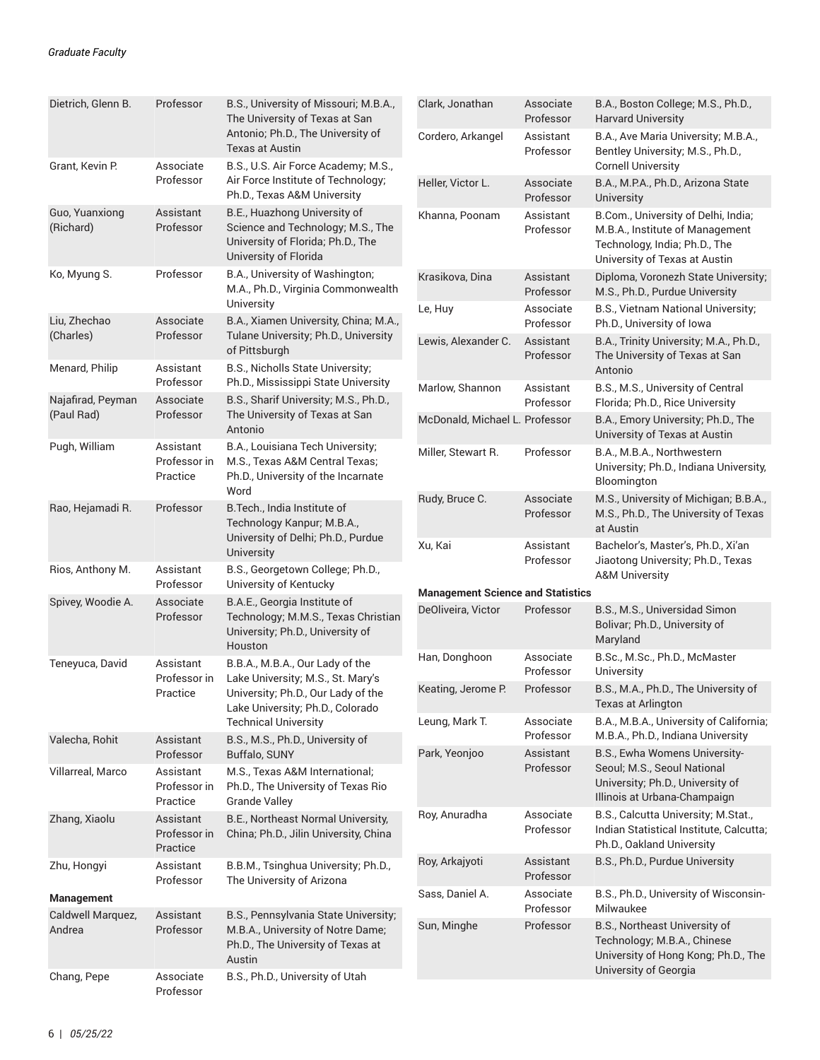| Dietrich, Glenn B.              | Professor                             | B.S., University of Missouri; M.B.A.,<br>The University of Texas at San<br>Antonio; Ph.D., The University of<br>Texas at Austin                                               |
|---------------------------------|---------------------------------------|-------------------------------------------------------------------------------------------------------------------------------------------------------------------------------|
| Grant, Kevin P.                 | Associate<br>Professor                | B.S., U.S. Air Force Academy; M.S.,<br>Air Force Institute of Technology;<br>Ph.D., Texas A&M University                                                                      |
| Guo, Yuanxiong<br>(Richard)     | Assistant<br>Professor                | B.E., Huazhong University of<br>Science and Technology; M.S., The<br>University of Florida; Ph.D., The<br>University of Florida                                               |
| Ko, Myung S.                    | Professor                             | B.A., University of Washington;<br>M.A., Ph.D., Virginia Commonwealth<br>University                                                                                           |
| Liu, Zhechao<br>(Charles)       | Associate<br>Professor                | B.A., Xiamen University, China; M.A.,<br>Tulane University; Ph.D., University<br>of Pittsburgh                                                                                |
| Menard, Philip                  | Assistant<br>Professor                | B.S., Nicholls State University;<br>Ph.D., Mississippi State University                                                                                                       |
| Najafirad, Peyman<br>(Paul Rad) | Associate<br>Professor                | B.S., Sharif University; M.S., Ph.D.,<br>The University of Texas at San<br>Antonio                                                                                            |
| Pugh, William                   | Assistant<br>Professor in<br>Practice | B.A., Louisiana Tech University;<br>M.S., Texas A&M Central Texas;<br>Ph.D., University of the Incarnate<br>Word                                                              |
| Rao, Hejamadi R.                | Professor                             | B. Tech., India Institute of<br>Technology Kanpur; M.B.A.,<br>University of Delhi; Ph.D., Purdue<br><b>University</b>                                                         |
| Rios, Anthony M.                | Assistant<br>Professor                | B.S., Georgetown College; Ph.D.,<br>University of Kentucky                                                                                                                    |
| Spivey, Woodie A.               | Associate<br>Professor                | B.A.E., Georgia Institute of<br>Technology; M.M.S., Texas Christian<br>University, Ph.D., University of<br>Houston                                                            |
| Teneyuca, David                 | Assistant<br>Professor in<br>Practice | B.B.A., M.B.A., Our Lady of the<br>Lake University; M.S., St. Mary's<br>University; Ph.D., Our Lady of the<br>Lake University; Ph.D., Colorado<br><b>Technical University</b> |
| Valecha, Rohit                  | Assistant<br>Professor                | B.S., M.S., Ph.D., University of<br>Buffalo, SUNY                                                                                                                             |
| Villarreal, Marco               | Assistant<br>Professor in<br>Practice | M.S., Texas A&M International:<br>Ph.D., The University of Texas Rio<br><b>Grande Valley</b>                                                                                  |
| Zhang, Xiaolu                   | Assistant<br>Professor in<br>Practice | B.E., Northeast Normal University,<br>China; Ph.D., Jilin University, China                                                                                                   |
| Zhu, Hongyi                     | Assistant<br>Professor                | B.B.M., Tsinghua University; Ph.D.,<br>The University of Arizona                                                                                                              |
| <b>Management</b>               |                                       |                                                                                                                                                                               |
| Caldwell Marquez,<br>Andrea     | Assistant<br>Professor                | B.S., Pennsylvania State University;<br>M.B.A., University of Notre Dame;<br>Ph.D., The University of Texas at<br>Austin                                                      |
| Chang, Pepe                     | Associate<br>Professor                | B.S., Ph.D., University of Utah                                                                                                                                               |

| Clark, Jonathan                          | Associate<br>Professor | B.A., Boston College; M.S., Ph.D.,<br><b>Harvard University</b>                                                                          |
|------------------------------------------|------------------------|------------------------------------------------------------------------------------------------------------------------------------------|
| Cordero, Arkangel                        | Assistant<br>Professor | B.A., Ave Maria University; M.B.A.,<br>Bentley University; M.S., Ph.D.,<br><b>Cornell University</b>                                     |
| Heller, Victor L.                        | Associate<br>Professor | B.A., M.P.A., Ph.D., Arizona State<br>University                                                                                         |
| Khanna, Poonam                           | Assistant<br>Professor | B.Com., University of Delhi, India;<br>M.B.A., Institute of Management<br>Technology, India; Ph.D., The<br>University of Texas at Austin |
| Krasikova, Dina                          | Assistant<br>Professor | Diploma, Voronezh State University;<br>M.S., Ph.D., Purdue University                                                                    |
| Le, Huy                                  | Associate<br>Professor | B.S., Vietnam National University;<br>Ph.D., University of Iowa                                                                          |
| Lewis, Alexander C.                      | Assistant<br>Professor | B.A., Trinity University; M.A., Ph.D.,<br>The University of Texas at San<br>Antonio                                                      |
| Marlow, Shannon                          | Assistant<br>Professor | B.S., M.S., University of Central<br>Florida; Ph.D., Rice University                                                                     |
| McDonald, Michael L. Professor           |                        | B.A., Emory University; Ph.D., The<br>University of Texas at Austin                                                                      |
| Miller, Stewart R.                       | Professor              | B.A., M.B.A., Northwestern<br>University; Ph.D., Indiana University,<br>Bloomington                                                      |
| Rudy, Bruce C.                           | Associate<br>Professor | M.S., University of Michigan; B.B.A.,<br>M.S., Ph.D., The University of Texas<br>at Austin                                               |
| Xu, Kai                                  | Assistant<br>Professor | Bachelor's, Master's, Ph.D., Xi'an<br>Jiaotong University; Ph.D., Texas<br><b>A&amp;M University</b>                                     |
| <b>Management Science and Statistics</b> |                        |                                                                                                                                          |
| DeOliveira, Victor                       | Professor              | B.S., M.S., Universidad Simon<br>Bolivar; Ph.D., University of<br>Maryland                                                               |
| Han, Donghoon                            | Associate<br>Professor | B.Sc., M.Sc., Ph.D., McMaster<br>University                                                                                              |
| Keating, Jerome P.                       | Professor              | B.S., M.A., Ph.D., The University of<br>Texas at Arlıngton                                                                               |
| Leung, Mark T.                           | Associate<br>Professor | B.A., M.B.A., University of California;<br>M.B.A., Ph.D., Indiana University                                                             |
| Park, Yeonjoo                            | Assistant<br>Professor | B.S., Ewha Womens University-<br>Seoul; M.S., Seoul National<br>University, Ph.D., University of<br>Illinois at Urbana-Champaign         |
| Roy, Anuradha                            | Associate<br>Professor | B.S., Calcutta University; M.Stat.,<br>Indian Statistical Institute, Calcutta;<br>Ph.D., Oakland University                              |
| Roy, Arkajyoti                           | Assistant<br>Professor | B.S., Ph.D., Purdue University                                                                                                           |
| Sass, Daniel A.                          | Associate<br>Professor | B.S., Ph.D., University of Wisconsin-<br>Milwaukee                                                                                       |
| Sun, Minghe                              | Professor              | B.S., Northeast University of<br>Technology; M.B.A., Chinese<br>University of Hong Kong; Ph.D., The<br>University of Georgia             |
|                                          |                        |                                                                                                                                          |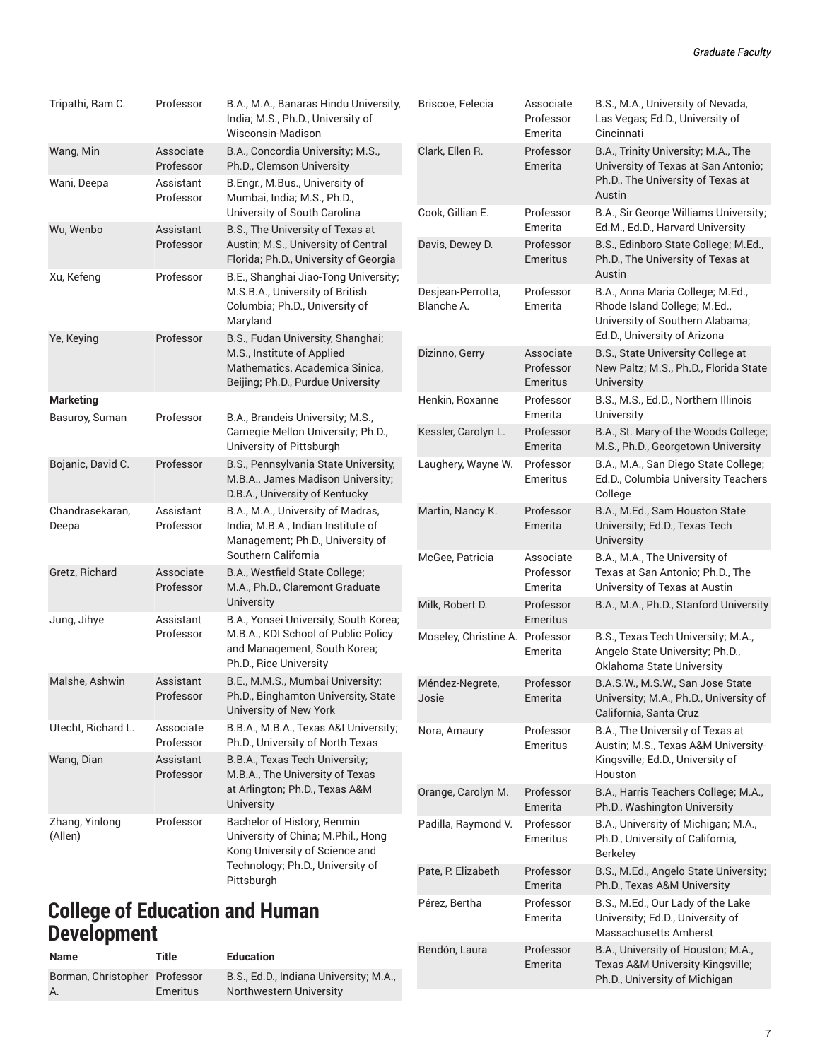| Tripathi, Ram C.                                            | Professor                           | B.A., M.A., Banaras Hindu University,<br>India; M.S., Ph.D., University of<br>Wisconsin-Madison                                        | Briscoe, Felecia                | Associate<br>Professor<br>Emerita  | B.S., M.A., University of Nevada,<br>Las Vegas; Ed.D., University of<br>Cincinnati                                                  |
|-------------------------------------------------------------|-------------------------------------|----------------------------------------------------------------------------------------------------------------------------------------|---------------------------------|------------------------------------|-------------------------------------------------------------------------------------------------------------------------------------|
| Wang, Min<br>Wani, Deepa                                    | Associate<br>Professor<br>Assistant | B.A., Concordia University; M.S.,<br>Ph.D., Clemson University<br>B.Engr., M.Bus., University of                                       | Clark, Ellen R.                 | Professor<br>Emerita               | B.A., Trinity University; M.A., The<br>University of Texas at San Antonio;<br>Ph.D., The University of Texas at                     |
|                                                             | Professor                           | Mumbai, India; M.S., Ph.D.,                                                                                                            |                                 |                                    | Austin                                                                                                                              |
| Wu, Wenbo                                                   | Assistant                           | University of South Carolina<br>B.S., The University of Texas at                                                                       | Cook, Gillian E.                | Professor<br>Emerita               | B.A., Sir George Williams University;<br>Ed.M., Ed.D., Harvard University                                                           |
| Xu, Kefeng                                                  | Professor<br>Professor              | Austin; M.S., University of Central<br>Florida; Ph.D., University of Georgia<br>B.E., Shanghai Jiao-Tong University;                   | Davis, Dewey D.                 | Professor<br>Emeritus              | B.S., Edinboro State College; M.Ed.,<br>Ph.D., The University of Texas at<br>Austin                                                 |
|                                                             | Professor                           | M.S.B.A., University of British<br>Columbia; Ph.D., University of<br>Maryland                                                          | Desjean-Perrotta,<br>Blanche A. | Professor<br>Emerita               | B.A., Anna Maria College; M.Ed.,<br>Rhode Island College; M.Ed.,<br>University of Southern Alabama;<br>Ed.D., University of Arizona |
| Ye, Keying                                                  |                                     | B.S., Fudan University, Shanghai;<br>M.S., Institute of Applied<br>Mathematics, Academica Sinica,<br>Beijing; Ph.D., Purdue University | Dizinno, Gerry                  | Associate<br>Professor<br>Emeritus | B.S., State University College at<br>New Paltz; M.S., Ph.D., Florida State<br>University                                            |
| <b>Marketing</b><br>Basuroy, Suman                          | Professor                           | B.A., Brandeis University; M.S.,                                                                                                       | Henkin, Roxanne                 | Professor<br>Emerita               | B.S., M.S., Ed.D., Northern Illinois<br>University                                                                                  |
|                                                             |                                     | Carnegie-Mellon University; Ph.D.,<br>University of Pittsburgh                                                                         | Kessler, Carolyn L.             | Professor<br>Emerita               | B.A., St. Mary-of-the-Woods College;<br>M.S., Ph.D., Georgetown University                                                          |
| Bojanic, David C.                                           | Professor                           | B.S., Pennsylvania State University,<br>M.B.A., James Madison University;<br>D.B.A., University of Kentucky                            | Laughery, Wayne W.              | Professor<br>Emeritus              | B.A., M.A., San Diego State College;<br>Ed.D., Columbia University Teachers<br>College                                              |
| Chandrasekaran,<br>Deepa                                    | Assistant<br>Professor              | B.A., M.A., University of Madras,<br>India; M.B.A., Indian Institute of<br>Management; Ph.D., University of                            | Martin, Nancy K.                | Professor<br>Emerita               | B.A., M.Ed., Sam Houston State<br>University; Ed.D., Texas Tech<br>University                                                       |
| Gretz, Richard                                              | Associate<br>Professor              | Southern California<br>B.A., Westfield State College;<br>M.A., Ph.D., Claremont Graduate                                               | McGee, Patricia                 | Associate<br>Professor<br>Emerita  | B.A., M.A., The University of<br>Texas at San Antonio; Ph.D., The<br>University of Texas at Austin                                  |
| Jung, Jihye                                                 | Assistant                           | <b>University</b><br>B.A., Yonsei University, South Korea;                                                                             | Milk, Robert D.                 | Professor<br>Emeritus              | B.A., M.A., Ph.D., Stanford University                                                                                              |
|                                                             | Professor                           | M.B.A., KDI School of Public Policy<br>and Management, South Korea;<br>Ph.D., Rice University                                          | Moseley, Christine A. Professor | Emerita                            | B.S., Texas Tech University; M.A.,<br>Angelo State University; Ph.D.,<br>Oklahoma State University                                  |
| Malshe, Ashwin                                              | Assistant<br>Professor              | B.E., M.M.S., Mumbai University;<br>Ph.D., Binghamton University, State<br>University of New York                                      | Méndez-Negrete,<br>Josie        | Professor<br>Emerita               | B.A.S.W., M.S.W., San Jose State<br>University; M.A., Ph.D., University of<br>California, Santa Cruz                                |
| Utecht, Richard L.                                          | Associate<br>Professor              | B.B.A., M.B.A., Texas A&I University;<br>Ph.D., University of North Texas                                                              | Nora, Amaury                    | Professor<br>Emeritus              | B.A., The University of Texas at<br>Austin; M.S., Texas A&M University-                                                             |
| Wang, Dian                                                  | Assistant<br>Professor              | B.B.A., Texas Tech University;<br>M.B.A., The University of Texas                                                                      |                                 |                                    | Kingsville; Ed.D., University of<br>Houston                                                                                         |
|                                                             |                                     | at Arlington; Ph.D., Texas A&M<br>University                                                                                           | Orange, Carolyn M.              | Professor<br>Emerita               | B.A., Harris Teachers College; M.A.,<br>Ph.D., Washington University                                                                |
| Zhang, Yinlong<br>(Allen)                                   | Professor                           | Bachelor of History, Renmin<br>University of China; M.Phil., Hong<br>Kong University of Science and                                    | Padilla, Raymond V.             | Professor<br>Emeritus              | B.A., University of Michigan; M.A.,<br>Ph.D., University of California,<br><b>Berkeley</b>                                          |
|                                                             |                                     | Technology; Ph.D., University of<br>Pittsburgh                                                                                         | Pate, P. Elizabeth              | Professor<br>Emerita               | B.S., M.Ed., Angelo State University;<br>Ph.D., Texas A&M University                                                                |
| <b>College of Education and Human</b><br><b>Development</b> |                                     |                                                                                                                                        | Pérez, Bertha                   | Professor<br>Emerita               | B.S., M.Ed., Our Lady of the Lake<br>University; Ed.D., University of<br>Massachusetts Amherst                                      |
|                                                             |                                     |                                                                                                                                        |                                 |                                    |                                                                                                                                     |

Rendón, Laura Professor

Emerita

#### **Name Title Education** Borman, Christopher Professor A. Emeritus B.S., Ed.D., Indiana University; M.A., Northwestern University

B.A., University of Houston; M.A., Texas A&M University-Kingsville; Ph.D., University of Michigan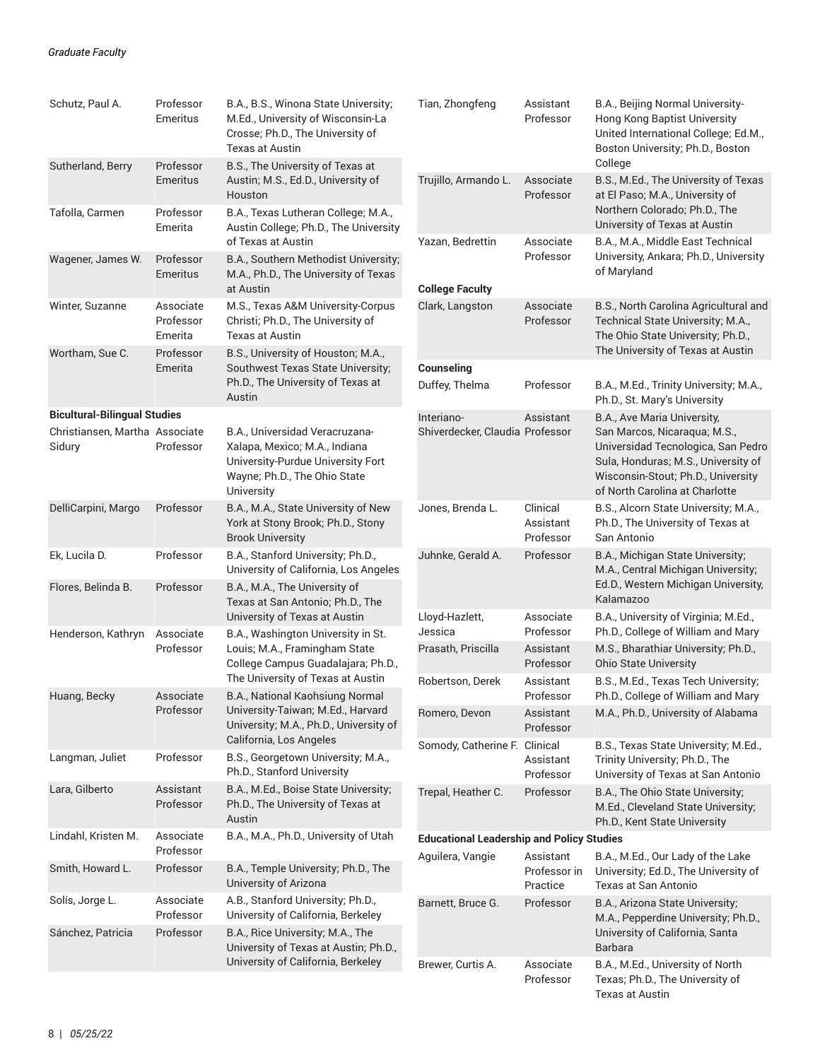| Schutz, Paul A.                          | Professor<br>Emeritus             | B.A., B.S., Winona State University;<br>M.Ed., University of Wisconsin-La<br>Crosse; Ph.D., The University of<br>Texas at Austin                   | Tian, Zhongfeng                                  | Assistant<br>Professor                | B.A., Beijing Normal University-<br><b>Hong Kong Baptist University</b><br>United International College; Ed.M.,<br>Boston University; Ph.D., Boston                               |
|------------------------------------------|-----------------------------------|----------------------------------------------------------------------------------------------------------------------------------------------------|--------------------------------------------------|---------------------------------------|-----------------------------------------------------------------------------------------------------------------------------------------------------------------------------------|
| Sutherland, Berry                        | Professor<br>Emeritus             | B.S., The University of Texas at<br>Austin; M.S., Ed.D., University of<br>Houston                                                                  | Trujillo, Armando L.                             | Associate<br>Professor                | College<br>B.S., M.Ed., The University of Texas<br>at El Paso; M.A., University of                                                                                                |
| Tafolla, Carmen                          | Professor<br>Emerita              | B.A., Texas Lutheran College; M.A.,<br>Austin College; Ph.D., The University                                                                       |                                                  |                                       | Northern Colorado; Ph.D., The<br>University of Texas at Austin                                                                                                                    |
| Wagener, James W.                        | Professor<br>Emeritus             | of Texas at Austin<br>B.A., Southern Methodist University;<br>M.A., Ph.D., The University of Texas                                                 | Yazan, Bedrettin                                 | Associate<br>Professor                | B.A., M.A., Middle East Technical<br>University, Ankara; Ph.D., University<br>of Maryland                                                                                         |
|                                          |                                   | at Austin                                                                                                                                          | <b>College Faculty</b>                           |                                       |                                                                                                                                                                                   |
| Winter, Suzanne                          | Associate<br>Professor<br>Emerita | M.S., Texas A&M University-Corpus<br>Christi; Ph.D., The University of<br>Texas at Austin                                                          | Clark, Langston                                  | Associate<br>Professor                | B.S., North Carolina Agricultural and<br>Technical State University; M.A.,<br>The Ohio State University; Ph.D.,<br>The University of Texas at Austin                              |
| Wortham, Sue C.                          | Professor<br>Emerita              | B.S., University of Houston; M.A.,<br>Southwest Texas State University;                                                                            | Counseling                                       |                                       |                                                                                                                                                                                   |
|                                          |                                   | Ph.D., The University of Texas at<br>Austin                                                                                                        | Duffey, Thelma                                   | Professor                             | B.A., M.Ed., Trinity University; M.A.,<br>Ph.D., St. Mary's University                                                                                                            |
| <b>Bicultural-Bilingual Studies</b>      |                                   |                                                                                                                                                    | Interiano-                                       | Assistant                             | B.A., Ave Maria University,                                                                                                                                                       |
| Christiansen, Martha Associate<br>Sidury | Professor                         | B.A., Universidad Veracruzana-<br>Xalapa, Mexico; M.A., Indiana<br>University-Purdue University Fort<br>Wayne; Ph.D., The Ohio State<br>University | Shiverdecker, Claudia Professor                  |                                       | San Marcos, Nicaraqua; M.S.,<br>Universidad Tecnologica, San Pedro<br>Sula, Honduras; M.S., University of<br>Wisconsin-Stout; Ph.D., University<br>of North Carolina at Charlotte |
| DelliCarpini, Margo                      | Professor                         | B.A., M.A., State University of New<br>York at Stony Brook; Ph.D., Stony<br><b>Brook University</b>                                                | Jones, Brenda L.                                 | Clinical<br>Assistant<br>Professor    | B.S., Alcorn State University; M.A.,<br>Ph.D., The University of Texas at<br>San Antonio                                                                                          |
| Ek, Lucila D.                            | Professor                         | B.A., Stanford University; Ph.D.,<br>University of California, Los Angeles                                                                         | Juhnke, Gerald A.                                | Professor                             | B.A., Michigan State University;<br>M.A., Central Michigan University;                                                                                                            |
| Flores, Belinda B.                       | Professor                         | B.A., M.A., The University of<br>Texas at San Antonio; Ph.D., The                                                                                  |                                                  |                                       | Ed.D., Western Michigan University,<br>Kalamazoo                                                                                                                                  |
| Henderson, Kathryn                       | Associate                         | University of Texas at Austin                                                                                                                      | Lloyd-Hazlett,<br>Jessica                        | Associate<br>Professor                | B.A., University of Virginia; M.Ed.,<br>Ph.D., College of William and Mary                                                                                                        |
|                                          | Professor                         | B.A., Washington University in St.<br>Louis; M.A., Framingham State<br>College Campus Guadalajara; Ph.D.,                                          | Prasath, Priscilla                               | Assistant<br>Professor                | M.S., Bharathiar University; Ph.D.,<br>Ohio State University                                                                                                                      |
| Huang, Becky                             | Associate                         | The University of Texas at Austin<br>B.A., National Kaohsiung Normal                                                                               | Robertson, Derek                                 | Assistant<br>Professor                | B.S., M.Ed., Texas Tech University;<br>Ph.D., College of William and Mary                                                                                                         |
|                                          | Professor                         | University-Taiwan; M.Ed., Harvard<br>University; M.A., Ph.D., University of                                                                        | Romero, Devon                                    | Assistant<br>Professor                | M.A., Ph.D., University of Alabama                                                                                                                                                |
| Langman, Juliet                          | Professor                         | California, Los Angeles<br>B.S., Georgetown University; M.A.,<br>Ph.D., Stanford University                                                        | Somody, Catherine F. Clinical                    | Assistant<br>Professor                | B.S., Texas State University; M.Ed.,<br>Trinity University; Ph.D., The<br>University of Texas at San Antonio                                                                      |
| Lara, Gilberto                           | Assistant<br>Professor            | B.A., M.Ed., Boise State University;<br>Ph.D., The University of Texas at<br>Austin                                                                | Trepal, Heather C.                               | Professor                             | B.A., The Ohio State University;<br>M.Ed., Cleveland State University;<br>Ph.D., Kent State University                                                                            |
| Lindahl, Kristen M.                      | Associate                         | B.A., M.A., Ph.D., University of Utah                                                                                                              | <b>Educational Leadership and Policy Studies</b> |                                       |                                                                                                                                                                                   |
| Smith, Howard L.                         | Professor<br>Professor            | B.A., Temple University; Ph.D., The<br>University of Arizona                                                                                       | Aguilera, Vangie                                 | Assistant<br>Professor in<br>Practice | B.A., M.Ed., Our Lady of the Lake<br>University; Ed.D., The University of<br>Texas at San Antonio                                                                                 |
| Solís, Jorge L.                          | Associate<br>Professor            | A.B., Stanford University; Ph.D.,<br>University of California, Berkeley                                                                            | Barnett, Bruce G.                                | Professor                             | B.A., Arizona State University;<br>M.A., Pepperdine University; Ph.D.,                                                                                                            |
| Sánchez, Patricia                        | Professor                         | B.A., Rice University; M.A., The<br>University of Texas at Austin; Ph.D.,                                                                          |                                                  |                                       | University of California, Santa<br><b>Barbara</b>                                                                                                                                 |
|                                          |                                   | University of California, Berkeley                                                                                                                 | Brewer, Curtis A.                                | Associate<br>Professor                | B.A., M.Ed., University of North<br>Texas; Ph.D., The University of<br>Texas at Austin                                                                                            |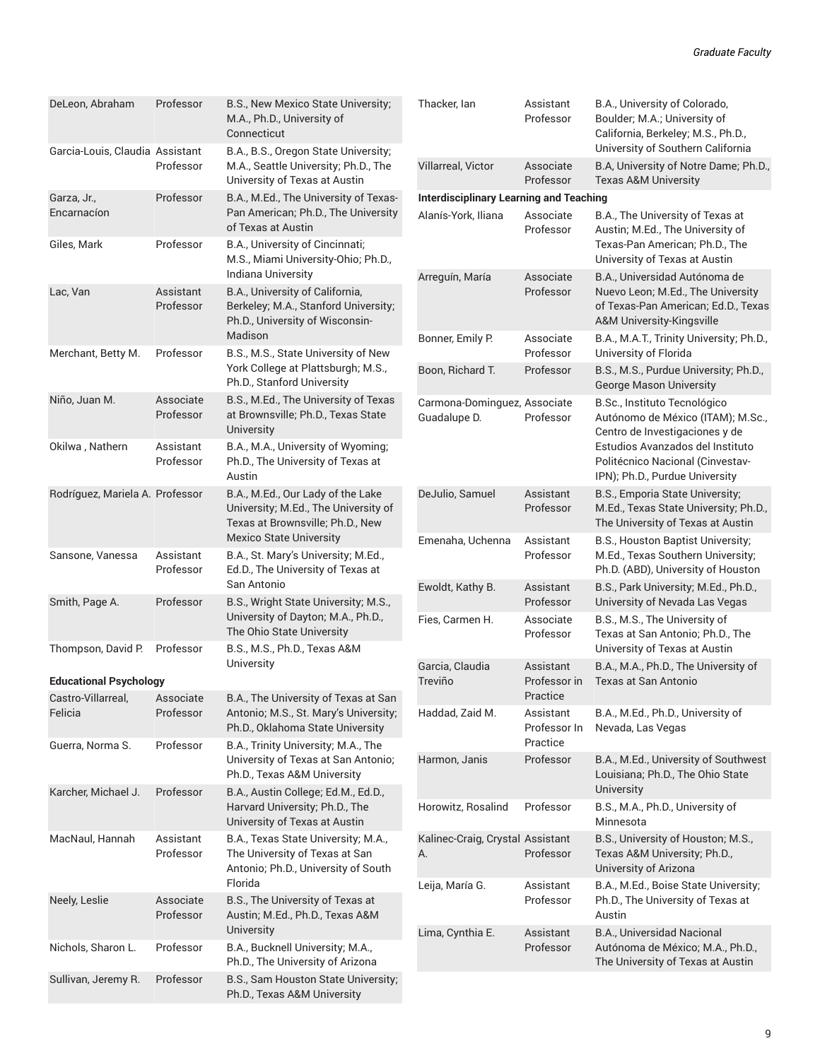| DeLeon, Abraham                 | Professor              | B.S., New Mexico State University;<br>M.A., Ph.D., University of<br>Connecticut                                  | Thacker, Ian                                   | Assistant<br>Professor                | B.A., University of Colorado,<br>Boulder; M.A.; University of<br>California, Berkeley; M.S., Ph.D.,<br>University of Southern California |
|---------------------------------|------------------------|------------------------------------------------------------------------------------------------------------------|------------------------------------------------|---------------------------------------|------------------------------------------------------------------------------------------------------------------------------------------|
| Garcia-Louis, Claudia Assistant | Professor              | B.A., B.S., Oregon State University;<br>M.A., Seattle University; Ph.D., The<br>University of Texas at Austin    | Villarreal, Victor                             | Associate<br>Professor                | B.A, University of Notre Dame; Ph.D.,<br><b>Texas A&amp;M University</b>                                                                 |
| Garza, Jr.,                     | Professor              | B.A., M.Ed., The University of Texas-                                                                            | <b>Interdisciplinary Learning and Teaching</b> |                                       |                                                                                                                                          |
| Encarnacíon                     |                        | Pan American; Ph.D., The University<br>of Texas at Austin                                                        | Alanís-York, Iliana                            | Associate<br>Professor                | B.A., The University of Texas at<br>Austin; M.Ed., The University of                                                                     |
| Giles, Mark                     | Professor              | B.A., University of Cincinnati;<br>M.S., Miami University-Ohio; Ph.D.,<br>Indiana University                     |                                                | Associate                             | Texas-Pan American; Ph.D., The<br>University of Texas at Austin<br>B.A., Universidad Autónoma de                                         |
| Lac, Van                        | Assistant<br>Professor | B.A., University of California,<br>Berkeley; M.A., Stanford University;<br>Ph.D., University of Wisconsin-       | Arreguín, María                                | Professor                             | Nuevo Leon; M.Ed., The University<br>of Texas-Pan American; Ed.D., Texas<br>A&M University-Kingsville                                    |
| Merchant, Betty M.              | Professor              | Madison<br>B.S., M.S., State University of New                                                                   | Bonner, Emily P.                               | Associate<br>Professor                | B.A., M.A.T., Trinity University; Ph.D.,<br>University of Florida                                                                        |
|                                 |                        | York College at Plattsburgh; M.S.,<br>Ph.D., Stanford University                                                 | Boon, Richard T.                               | Professor                             | B.S., M.S., Purdue University; Ph.D.,<br><b>George Mason University</b>                                                                  |
| Niño, Juan M.                   | Associate<br>Professor | B.S., M.Ed., The University of Texas<br>at Brownsville; Ph.D., Texas State<br>University                         | Carmona-Dominguez, Associate<br>Guadalupe D.   | Professor                             | B.Sc., Instituto Tecnológico<br>Autónomo de México (ITAM); M.Sc.,<br>Centro de Investigaciones y de                                      |
| Okilwa, Nathern                 | Assistant<br>Professor | B.A., M.A., University of Wyoming;<br>Ph.D., The University of Texas at<br>Austin                                |                                                |                                       | Estudios Avanzados del Instituto<br>Politécnico Nacional (Cinvestav-<br>IPN); Ph.D., Purdue University                                   |
| Rodríguez, Mariela A. Professor |                        | B.A., M.Ed., Our Lady of the Lake<br>University; M.Ed., The University of<br>Texas at Brownsville; Ph.D., New    | DeJulio, Samuel                                | Assistant<br>Professor                | B.S., Emporia State University;<br>M.Ed., Texas State University; Ph.D.,<br>The University of Texas at Austin                            |
| Sansone, Vanessa                | Assistant<br>Professor | <b>Mexico State University</b><br>B.A., St. Mary's University; M.Ed.,<br>Ed.D., The University of Texas at       | Emenaha, Uchenna                               | Assistant<br>Professor                | B.S., Houston Baptist University;<br>M.Ed., Texas Southern University;<br>Ph.D. (ABD), University of Houston                             |
| Smith, Page A.                  | Professor              | San Antonio<br>B.S., Wright State University; M.S.,                                                              | Ewoldt, Kathy B.                               | Assistant<br>Professor                | B.S., Park University; M.Ed., Ph.D.,<br>University of Nevada Las Vegas                                                                   |
|                                 |                        | University of Dayton; M.A., Ph.D.,<br>The Ohio State University                                                  | Fies, Carmen H.                                | Associate<br>Professor                | B.S., M.S., The University of<br>Texas at San Antonio; Ph.D., The                                                                        |
| Thompson, David P.              | Professor              | B.S., M.S., Ph.D., Texas A&M<br>University                                                                       | Garcia, Claudia                                | Assistant                             | University of Texas at Austin<br>B.A., M.A., Ph.D., The University of                                                                    |
| <b>Educational Psychology</b>   |                        |                                                                                                                  | Treviño                                        | Professor in                          | Texas at San Antonio                                                                                                                     |
| Castro-Villarreal, Associate    |                        | B.A., The University of Texas at San                                                                             |                                                | Practice                              |                                                                                                                                          |
| Felicia<br>Guerra, Norma S.     | Professor<br>Professor | Antonio; M.S., St. Mary's University;<br>Ph.D., Oklahoma State University<br>B.A., Trinity University; M.A., The | Haddad, Zaid M.                                | Assistant<br>Professor In<br>Practice | B.A., M.Ed., Ph.D., University of<br>Nevada, Las Vegas                                                                                   |
|                                 |                        | University of Texas at San Antonio;<br>Ph.D., Texas A&M University                                               | Harmon, Janis                                  | Professor                             | B.A., M.Ed., University of Southwest<br>Louisiana; Ph.D., The Ohio State<br>University                                                   |
| Karcher, Michael J.             | Professor              | B.A., Austin College; Ed.M., Ed.D.,<br>Harvard University; Ph.D., The<br>University of Texas at Austin           | Horowitz, Rosalind                             | Professor                             | B.S., M.A., Ph.D., University of<br>Minnesota                                                                                            |
| MacNaul, Hannah                 | Assistant<br>Professor | B.A., Texas State University; M.A.,<br>The University of Texas at San<br>Antonio; Ph.D., University of South     | Kalinec-Craig, Crystal Assistant<br>А.         | Professor                             | B.S., University of Houston; M.S.,<br>Texas A&M University; Ph.D.,<br>University of Arizona                                              |
| Neely, Leslie                   | Associate<br>Professor | Florida<br>B.S., The University of Texas at<br>Austin; M.Ed., Ph.D., Texas A&M                                   | Leija, María G.                                | Assistant<br>Professor                | B.A., M.Ed., Boise State University;<br>Ph.D., The University of Texas at<br>Austin                                                      |
| Nichols, Sharon L.              | Professor              | University<br>B.A., Bucknell University; M.A.,<br>Ph.D., The University of Arizona                               | Lima, Cynthia E.                               | Assistant<br>Professor                | B.A., Universidad Nacional<br>Autónoma de México; M.A., Ph.D.,<br>The University of Texas at Austin                                      |
| Sullivan, Jeremy R.             | Professor              | B.S., Sam Houston State University;<br>Ph.D., Texas A&M University                                               |                                                |                                       |                                                                                                                                          |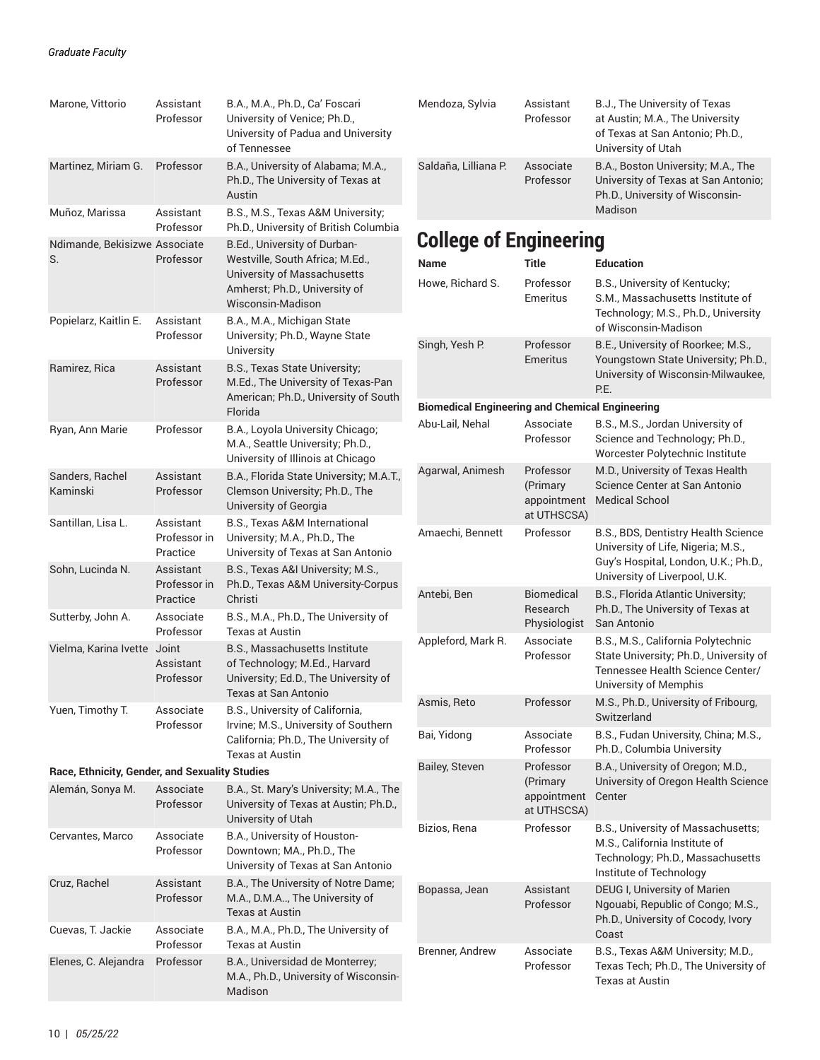| Marone, Vittorio                               | Assistant<br>Professor                | B.A., M.A., Ph.D., Ca' Foscari<br>University of Venice; Ph.D.,<br>University of Padua and University<br>of Tennessee                                 |
|------------------------------------------------|---------------------------------------|------------------------------------------------------------------------------------------------------------------------------------------------------|
| Martinez, Miriam G.                            | Professor                             | B.A., University of Alabama; M.A.,<br>Ph.D., The University of Texas at<br>Austin                                                                    |
| Muñoz, Marissa                                 | Assistant<br>Professor                | B.S., M.S., Texas A&M University;<br>Ph.D., University of British Columbia                                                                           |
| Ndimande, Bekisizwe Associate<br>S.            | Professor                             | B.Ed., University of Durban-<br>Westville, South Africa; M.Ed.,<br>University of Massachusetts<br>Amherst; Ph.D., University of<br>Wisconsin-Madison |
| Popielarz, Kaitlin E.                          | Assistant<br>Professor                | B.A., M.A., Michigan State<br>University; Ph.D., Wayne State<br>University                                                                           |
| Ramirez, Rica                                  | Assistant<br>Professor                | B.S., Texas State University;<br>M.Ed., The University of Texas-Pan<br>American; Ph.D., University of South<br>Florida                               |
| Ryan, Ann Marie                                | Professor                             | B.A., Loyola University Chicago;<br>M.A., Seattle University; Ph.D.,<br>University of Illinois at Chicago                                            |
| Sanders, Rachel<br>Kaminski                    | Assistant<br>Professor                | B.A., Florida State University; M.A.T.,<br>Clemson University; Ph.D., The<br>University of Georgia                                                   |
| Santillan, Lisa L.                             | Assistant<br>Professor in<br>Practice | B.S., Texas A&M International<br>University; M.A., Ph.D., The<br>University of Texas at San Antonio                                                  |
| Sohn, Lucinda N.                               | Assistant<br>Professor in<br>Practice | B.S., Texas A&I University; M.S.,<br>Ph.D., Texas A&M University-Corpus<br>Christi                                                                   |
| Sutterby, John A.                              | Associate<br>Professor                | B.S., M.A., Ph.D., The University of<br>Texas at Austin                                                                                              |
| Vielma, Karina Ivette                          | Joint<br>Assistant<br>Professor       | B.S., Massachusetts Institute<br>of Technology; M.Ed., Harvard<br>University; Ed.D., The University of<br>Texas at San Antonio                       |
| Yuen, Timothy T.                               | Associate<br>Professor                | B.S., University of California,<br>Irvine; M.S., University of Southern<br>California; Ph.D., The University of<br>Texas at Austin                   |
| Race, Ethnicity, Gender, and Sexuality Studies |                                       |                                                                                                                                                      |
| Alemán, Sonya M.                               | Associate<br>Professor                | B.A., St. Mary's University; M.A., The<br>University of Texas at Austin; Ph.D.,<br>University of Utah                                                |
| Cervantes, Marco                               | Associate<br>Professor                | B.A., University of Houston-<br>Downtown; MA., Ph.D., The<br>University of Texas at San Antonio                                                      |
| Cruz, Rachel                                   | Assistant<br>Professor                | B.A., The University of Notre Dame;<br>M.A., D.M.A, The University of<br><b>Texas at Austin</b>                                                      |
| Cuevas, T. Jackie                              | Associate<br>Professor                | B.A., M.A., Ph.D., The University of<br><b>Texas at Austin</b>                                                                                       |
| Elenes, C. Alejandra                           | Professor                             | B.A., Universidad de Monterrey;<br>M.A., Ph.D., University of Wisconsin-<br>Madison                                                                  |

| Mendoza, Sylvia                                        | Assistant<br>Professor                              | B.J., The University of Texas<br>at Austin; M.A., The University<br>of Texas at San Antonio; Ph.D.,<br>University of Utah                          |
|--------------------------------------------------------|-----------------------------------------------------|----------------------------------------------------------------------------------------------------------------------------------------------------|
| Saldaña, Lilliana P.                                   | Associate<br>Professor                              | B.A., Boston University; M.A., The<br>University of Texas at San Antonio;<br>Ph.D., University of Wisconsin-<br>Madison                            |
| <b>College of Engineering</b>                          |                                                     |                                                                                                                                                    |
| <b>Name</b>                                            | Title                                               | <b>Education</b>                                                                                                                                   |
| Howe, Richard S.                                       | Professor<br>Emeritus                               | B.S., University of Kentucky;<br>S.M., Massachusetts Institute of<br>Technology; M.S., Ph.D., University<br>of Wisconsin-Madison                   |
| Singh, Yesh P.                                         | Professor<br><b>Emeritus</b>                        | B.E., University of Roorkee; M.S.,<br>Youngstown State University; Ph.D.,<br>University of Wisconsin-Milwaukee,<br>P.E.                            |
| <b>Biomedical Engineering and Chemical Engineering</b> |                                                     |                                                                                                                                                    |
| Abu-Lail, Nehal                                        | Associate<br>Professor                              | B.S., M.S., Jordan University of<br>Science and Technology; Ph.D.,<br>Worcester Polytechnic Institute                                              |
| Agarwal, Animesh                                       | Professor<br>(Primary<br>appointment<br>at UTHSCSA) | M.D., University of Texas Health<br>Science Center at San Antonio<br><b>Medical School</b>                                                         |
| Amaechi, Bennett                                       | Professor                                           | B.S., BDS, Dentistry Health Science<br>University of Life, Nigeria; M.S.,<br>Guy's Hospital, London, U.K.; Ph.D.,<br>University of Liverpool, U.K. |
| Antebi, Ben                                            | Biomedical<br>Research<br>Physiologist              | B.S., Florida Atlantic University;<br>Ph.D., The University of Texas at<br>San Antonio                                                             |
| Appleford, Mark R.                                     | Associate<br>Professor                              | B.S., M.S., California Polytechnic<br>State University; Ph.D., University of<br>Tennessee Health Science Center/<br>University of Memphis          |
| Asmis, Reto                                            | Professor                                           | M.S., Ph.D., University of Fribourg,<br>Switzerland                                                                                                |
| Bai, Yidong                                            | Associate<br>Professor                              | B.S., Fudan University, China; M.S.,<br>Ph.D., Columbia University                                                                                 |
| Bailey, Steven                                         | Professor<br>(Primary<br>appointment<br>at UTHSCSA) | B.A., University of Oregon; M.D.,<br>University of Oregon Health Science<br>Center                                                                 |
| Bizios, Rena                                           | Professor                                           | B.S., University of Massachusetts;<br>M.S., California Institute of<br>Technology; Ph.D., Massachusetts<br>Institute of Technology                 |
| Bopassa, Jean                                          | Assistant<br>Professor                              | DEUG I, University of Marien<br>Ngouabi, Republic of Congo; M.S.,<br>Ph.D., University of Cocody, Ivory<br>Coast                                   |
| Brenner, Andrew                                        | Associate<br>Professor                              | B.S., Texas A&M University; M.D.,<br>Texas Tech; Ph.D., The University of<br>Texas at Austin                                                       |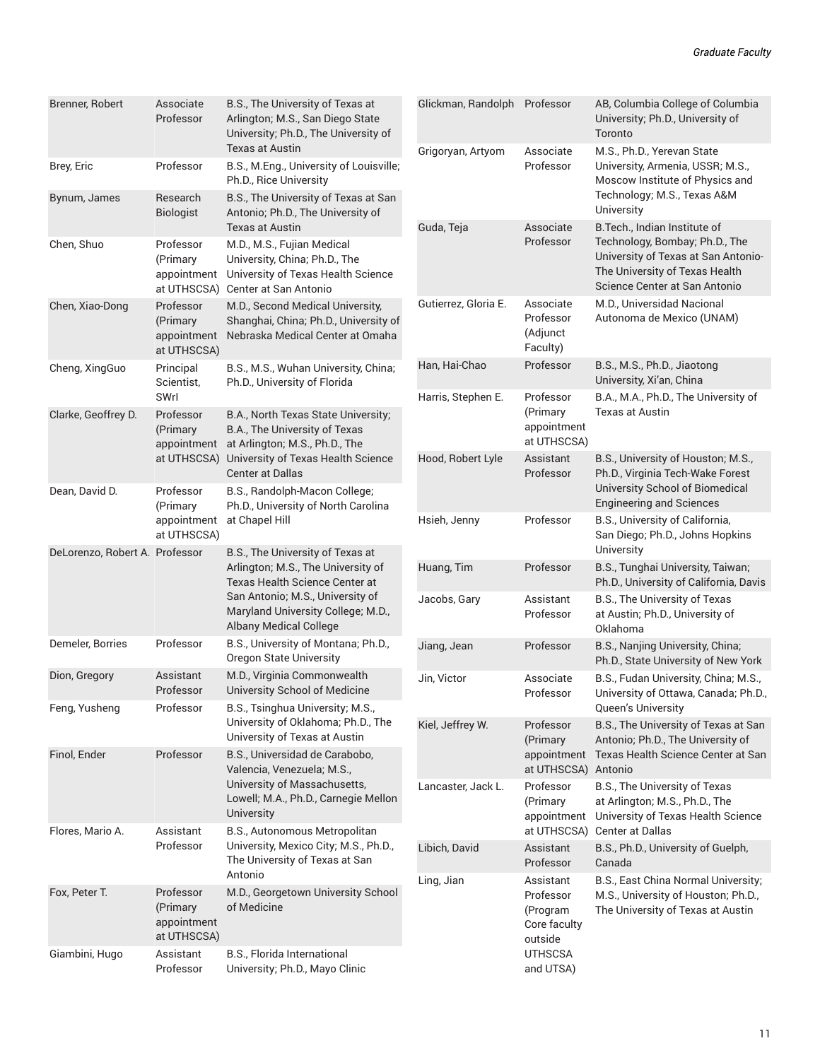| Brenner, Robert                | Associate<br>Professor                              | B.S., The University of Texas at<br>Arlington; M.S., San Diego State<br>University; Ph.D., The University of                                       | Glickman,                 |
|--------------------------------|-----------------------------------------------------|----------------------------------------------------------------------------------------------------------------------------------------------------|---------------------------|
| Brey, Eric                     | Professor                                           | Texas at Austin<br>B.S., M.Eng., University of Louisville;<br>Ph.D., Rice University                                                               | Grigoryan,                |
| Bynum, James                   | Research<br>Biologist                               | B.S., The University of Texas at San<br>Antonio; Ph.D., The University of<br><b>Texas at Austin</b>                                                | Guda, Teja                |
| Chen, Shuo                     | Professor<br>(Primary<br>appointment<br>at UTHSCSA) | M.D., M.S., Fujian Medical<br>University, China; Ph.D., The<br>University of Texas Health Science<br>Center at San Antonio                         |                           |
| Chen, Xiao-Dong                | Professor<br>(Primary<br>appointment<br>at UTHSCSA) | M.D., Second Medical University,<br>Shanghai, China; Ph.D., University of<br>Nebraska Medical Center at Omaha                                      | Gutierrez,                |
| Cheng, XingGuo                 | Principal<br>Scientist.<br>SWrl                     | B.S., M.S., Wuhan University, China;<br>Ph.D., University of Florida                                                                               | Han, Hai-C<br>Harris, Ste |
| Clarke, Geoffrey D.            | Professor<br>(Primary<br>appointment                | B.A., North Texas State University;<br>B.A., The University of Texas<br>at Arlington; M.S., Ph.D., The                                             |                           |
|                                | at UTHSCSA)                                         | University of Texas Health Science<br><b>Center at Dallas</b>                                                                                      | Hood, Rob                 |
| Dean, David D.                 | Professor<br>(Primary<br>appointment<br>at UTHSCSA) | B.S., Randolph-Macon College;<br>Ph.D., University of North Carolina<br>at Chapel Hill                                                             | Hsieh, Jen                |
| DeLorenzo, Robert A. Professor |                                                     | B.S., The University of Texas at<br>Arlington; M.S., The University of<br>Texas Health Science Center at                                           | Huang, Tir                |
|                                |                                                     | San Antonio; M.S., University of<br>Maryland University College; M.D.,<br><b>Albany Medical College</b>                                            | Jacobs, Ga                |
| Demeler, Borries               | Professor                                           | B.S., University of Montana; Ph.D.,<br>Oregon State University                                                                                     | Jiang, Jea                |
| Dion, Gregory                  | Assistant<br>Professor                              | M.D., Virginia Commonwealth<br>University School of Medicine                                                                                       | Jin, Victor               |
| Feng, Yusheng                  | Professor                                           | B.S., Tsinghua University; M.S.,<br>University of Oklahoma; Ph.D., The<br>University of Texas at Austin                                            | Kiel, Jeffre              |
| Finol, Ender                   | Professor                                           | B.S., Universidad de Carabobo,<br>Valencia, Venezuela; M.S.,<br>University of Massachusetts,<br>Lowell; M.A., Ph.D., Carnegie Mellon<br>University | Lancaster,                |
| Flores, Mario A.               | Assistant<br>Professor                              | B.S., Autonomous Metropolitan<br>University, Mexico City; M.S., Ph.D.,<br>The University of Texas at San<br>Antonio                                | Libich, Day               |
| Fox, Peter T.                  | Professor<br>(Primary<br>appointment<br>at UTHSCSA) | M.D., Georgetown University School<br>of Medicine                                                                                                  | Ling, Jian                |
| Giambini, Hugo                 | Assistant<br>Professor                              | B.S., Florida International<br>University; Ph.D., Mayo Clinic                                                                                      |                           |

| Glickman, Randolph   | Professor                                                                             | AB, Columbia College of Columbia<br>University; Ph.D., University of<br>Toronto                                                                                           |
|----------------------|---------------------------------------------------------------------------------------|---------------------------------------------------------------------------------------------------------------------------------------------------------------------------|
| Grigoryan, Artyom    | Associate<br>Professor                                                                | M.S., Ph.D., Yerevan State<br>University, Armenia, USSR; M.S.,<br>Moscow Institute of Physics and<br>Technology; M.S., Texas A&M<br>University                            |
| Guda, Teja           | Associate<br>Professor                                                                | B. Tech., Indian Institute of<br>Technology, Bombay; Ph.D., The<br>University of Texas at San Antonio-<br>The University of Texas Health<br>Science Center at San Antonio |
| Gutierrez, Gloria E. | Associate<br>Professor<br>(Adjunct<br>Faculty)                                        | M.D., Universidad Nacional<br>Autonoma de Mexico (UNAM)                                                                                                                   |
| Han, Hai-Chao        | Professor                                                                             | B.S., M.S., Ph.D., Jiaotong<br>University, Xi'an, China                                                                                                                   |
| Harris, Stephen E.   | Professor<br>(Primary<br>appointment<br>at UTHSCSA)                                   | B.A., M.A., Ph.D., The University of<br><b>Texas at Austin</b>                                                                                                            |
| Hood, Robert Lyle    | Assistant<br>Professor                                                                | B.S., University of Houston; M.S.,<br>Ph.D., Virginia Tech-Wake Forest<br>University School of Biomedical<br><b>Engineering and Sciences</b>                              |
| Hsieh, Jenny         | Professor                                                                             | B.S., University of California,<br>San Diego; Ph.D., Johns Hopkins<br>University                                                                                          |
| Huang, Tim           | Professor                                                                             | B.S., Tunghai University, Taiwan;<br>Ph.D., University of California, Davis                                                                                               |
| Jacobs, Gary         | Assistant<br>Professor                                                                | B.S., The University of Texas<br>at Austin; Ph.D., University of<br>Oklahoma                                                                                              |
| Jiang, Jean          | Professor                                                                             | B.S., Nanjing University, China;<br>Ph.D., State University of New York                                                                                                   |
| Jin, Victor          | Associate<br>Professor                                                                | B.S., Fudan University, China; M.S.,<br>University of Ottawa, Canada; Ph.D.,<br><b>Queen's University</b>                                                                 |
| Kiel, Jeffrey W.     | Professor<br>(Primary<br>appointment<br>at UTHSCSA)                                   | B.S., The University of Texas at San<br>Antonio; Ph.D., The University of<br>Texas Health Science Center at San<br>Antonio                                                |
| Lancaster, Jack L.   | Professor<br>(Primary<br>appointment<br>at UTHSCSA)                                   | B.S., The University of Texas<br>at Arlington; M.S., Ph.D., The<br>University of Texas Health Science<br>Center at Dallas                                                 |
| Libich, David        | Assistant<br>Professor                                                                | B.S., Ph.D., University of Guelph,<br>Canada                                                                                                                              |
| Ling, Jian           | Assistant<br>Professor<br>(Program<br>Core faculty<br>outside<br>UTHSCSA<br>and UTSA) | B.S., East China Normal University;<br>M.S., University of Houston; Ph.D.,<br>The University of Texas at Austin                                                           |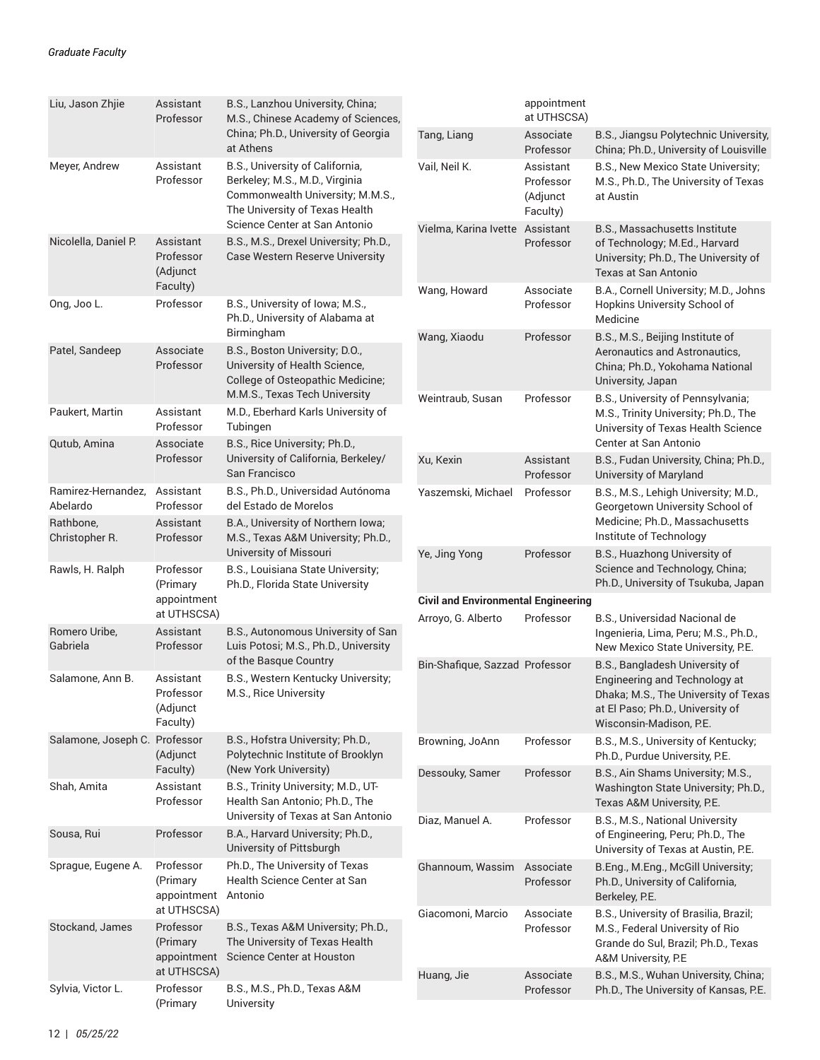| Liu, Jason Zhjie<br>Assistant<br>Professor                                                                        | B.S., Lanzhou University, China;<br>M.S., Chinese Academy of Sciences,                                                                  |                                            | appointment<br>at UTHSCSA)                     |                                                                                                                                                                        |
|-------------------------------------------------------------------------------------------------------------------|-----------------------------------------------------------------------------------------------------------------------------------------|--------------------------------------------|------------------------------------------------|------------------------------------------------------------------------------------------------------------------------------------------------------------------------|
|                                                                                                                   | China; Ph.D., University of Georgia<br>at Athens                                                                                        | Tang, Liang                                | Associate<br>Professor                         | B.S., Jiangsu Polytechnic University,<br>China; Ph.D., University of Louisville                                                                                        |
| Assistant<br>Meyer, Andrew<br>Professor                                                                           | B.S., University of California,<br>Berkeley; M.S., M.D., Virginia<br>Commonwealth University; M.M.S.,<br>The University of Texas Health | Vail, Neil K.                              | Assistant<br>Professor<br>(Adjunct<br>Faculty) | B.S., New Mexico State University;<br>M.S., Ph.D., The University of Texas<br>at Austin                                                                                |
| Nicolella, Daniel P.<br>Assistant<br>Professor<br>(Adjunct                                                        | Science Center at San Antonio<br>B.S., M.S., Drexel University; Ph.D.,<br><b>Case Western Reserve University</b>                        | Vielma, Karina Ivette Assistant            | Professor                                      | B.S., Massachusetts Institute<br>of Technology; M.Ed., Harvard<br>University; Ph.D., The University of<br><b>Texas at San Antonio</b>                                  |
| Faculty)<br>Professor<br>Ong, Joo L.                                                                              | B.S., University of Iowa; M.S.,<br>Ph.D., University of Alabama at                                                                      | Wang, Howard                               | Associate<br>Professor                         | B.A., Cornell University; M.D., Johns<br>Hopkins University School of<br>Medicine                                                                                      |
| Patel, Sandeep<br>Associate<br>Professor                                                                          | Birmingham<br>B.S., Boston University; D.O.,<br>University of Health Science,<br>College of Osteopathic Medicine;                       | Wang, Xiaodu                               | Professor                                      | B.S., M.S., Beijing Institute of<br>Aeronautics and Astronautics,<br>China; Ph.D., Yokohama National<br>University, Japan                                              |
| Paukert, Martin<br>Assistant<br>Professor<br>Qutub, Amina<br>Associate                                            | M.M.S., Texas Tech University<br>M.D., Eberhard Karls University of<br>Tubingen<br>B.S., Rice University; Ph.D.,                        | Weintraub, Susan                           | Professor                                      | B.S., University of Pennsylvania;<br>M.S., Trinity University; Ph.D., The<br>University of Texas Health Science<br>Center at San Antonio                               |
| Professor                                                                                                         | University of California, Berkeley/<br>San Francisco                                                                                    | Xu, Kexin                                  | Assistant<br>Professor                         | B.S., Fudan University, China; Ph.D.,<br>University of Maryland                                                                                                        |
| Ramirez-Hernandez,<br>Assistant<br>Abelardo<br>Professor<br>Rathbone,<br>Assistant<br>Christopher R.<br>Professor | B.S., Ph.D., Universidad Autónoma<br>del Estado de Morelos<br>B.A., University of Northern Iowa;<br>M.S., Texas A&M University; Ph.D.,  | Yaszemski, Michael                         | Professor                                      | B.S., M.S., Lehigh University; M.D.,<br>Georgetown University School of<br>Medicine; Ph.D., Massachusetts<br>Institute of Technology                                   |
| Rawls, H. Ralph<br>Professor<br>(Primary                                                                          | University of Missouri<br>B.S., Louisiana State University;<br>Ph.D., Florida State University                                          | Ye, Jing Yong                              | Professor                                      | B.S., Huazhong University of<br>Science and Technology, China;<br>Ph.D., University of Tsukuba, Japan                                                                  |
| appointment                                                                                                       |                                                                                                                                         | <b>Civil and Environmental Engineering</b> |                                                |                                                                                                                                                                        |
| at UTHSCSA)<br>Romero Uribe,<br>Assistant<br>Gabriela<br>Professor                                                | B.S., Autonomous University of San<br>Luis Potosi, M.S., Ph.D., University                                                              | Arroyo, G. Alberto                         | Professor                                      | B.S., Universidad Nacional de<br>Ingenieria, Lima, Peru; M.S., Ph.D.,<br>New Mexico State University, P.E.                                                             |
| Salamone, Ann B.<br>Assistant<br>Professor<br>(Adjunct<br>Faculty)                                                | of the Basque Country<br>B.S., Western Kentucky University;<br>M.S., Rice University                                                    | Bin-Shafique, Sazzad Professor             |                                                | B.S., Bangladesh University of<br>Engineering and Technology at<br>Dhaka; M.S., The University of Texas<br>at El Paso; Ph.D., University of<br>Wisconsin-Madison, P.E. |
| Salamone, Joseph C. Professor<br>(Adjunct                                                                         | B.S., Hofstra University; Ph.D.,<br>Polytechnic Institute of Brooklyn                                                                   | Browning, JoAnn                            | Professor                                      | B.S., M.S., University of Kentucky;<br>Ph.D., Purdue University, P.E.                                                                                                  |
| Faculty)<br>Shah, Amita<br>Assistant<br>Professor                                                                 | (New York University)<br>B.S., Trinity University; M.D., UT-<br>Health San Antonio; Ph.D., The                                          | Dessouky, Samer                            | Professor                                      | B.S., Ain Shams University; M.S.,<br>Washington State University; Ph.D.,<br>Texas A&M University, P.E.                                                                 |
| Professor<br>Sousa, Rui                                                                                           | University of Texas at San Antonio<br>B.A., Harvard University; Ph.D.,<br>University of Pittsburgh                                      | Diaz, Manuel A.                            | Professor                                      | B.S., M.S., National University<br>of Engineering, Peru; Ph.D., The<br>University of Texas at Austin, P.E.                                                             |
| Sprague, Eugene A.<br>Professor<br>(Primary<br>appointment<br>at UTHSCSA)                                         | Ph.D., The University of Texas<br>Health Science Center at San<br>Antonio                                                               | Ghannoum, Wassim                           | Associate<br>Professor                         | B.Eng., M.Eng., McGill University;<br>Ph.D., University of California,<br>Berkeley, P.E.                                                                               |
| Stockand, James<br>Professor<br>(Primary<br>appointment                                                           | B.S., Texas A&M University; Ph.D.,<br>The University of Texas Health<br>Science Center at Houston                                       | Giacomoni, Marcio                          | Associate<br>Professor                         | B.S., University of Brasilia, Brazil;<br>M.S., Federal University of Rio<br>Grande do Sul, Brazil; Ph.D., Texas<br>A&M University, P.E                                 |
| at UTHSCSA)<br>Sylvia, Victor L.<br>Professor<br>(Primary                                                         | B.S., M.S., Ph.D., Texas A&M<br>University                                                                                              | Huang, Jie                                 | Associate<br>Professor                         | B.S., M.S., Wuhan University, China;<br>Ph.D., The University of Kansas, P.E.                                                                                          |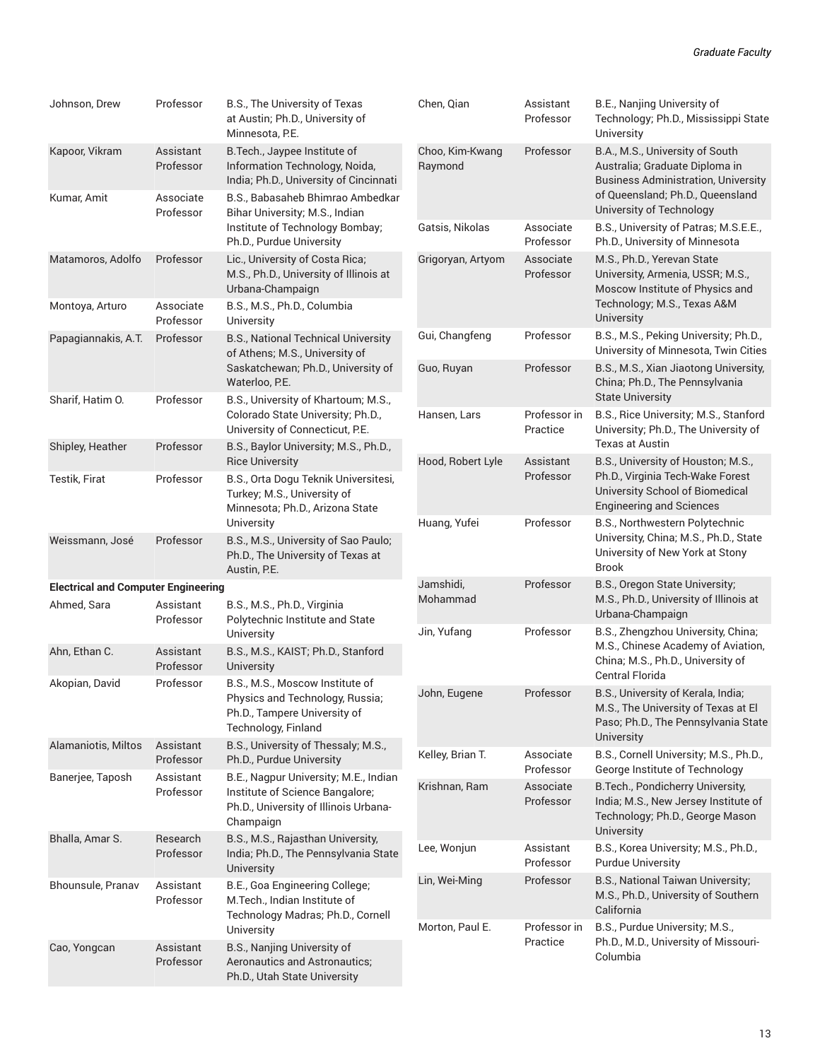| Johnson, Drew                              | Professor              | B.S., The University of Texas<br>at Austin; Ph.D., University of<br>Minnesota, P.E.                                            | Chen, Qian                 | Assistant<br>Professor   | B.E., Nanjing University of<br>Technology; Ph.D., Mississippi State<br>University                                              |
|--------------------------------------------|------------------------|--------------------------------------------------------------------------------------------------------------------------------|----------------------------|--------------------------|--------------------------------------------------------------------------------------------------------------------------------|
| Kapoor, Vikram                             | Assistant<br>Professor | B. Tech., Jaypee Institute of<br>Information Technology, Noida,<br>India; Ph.D., University of Cincinnati                      | Choo, Kim-Kwang<br>Raymond | Professor                | B.A., M.S., University of South<br>Australia; Graduate Diploma in<br><b>Business Administration, University</b>                |
| Kumar, Amit                                | Associate<br>Professor | B.S., Babasaheb Bhimrao Ambedkar<br>Bihar University, M.S., Indian                                                             |                            |                          | of Queensland; Ph.D., Queensland<br>University of Technology                                                                   |
|                                            |                        | Institute of Technology Bombay;<br>Ph.D., Purdue University                                                                    | Gatsis, Nikolas            | Associate<br>Professor   | B.S., University of Patras; M.S.E.E.,<br>Ph.D., University of Minnesota                                                        |
| Matamoros, Adolfo                          | Professor              | Lic., University of Costa Rica;<br>M.S., Ph.D., University of Illinois at<br>Urbana-Champaign                                  | Grigoryan, Artyom          | Associate<br>Professor   | M.S., Ph.D., Yerevan State<br>University, Armenia, USSR; M.S.,<br>Moscow Institute of Physics and                              |
| Montoya, Arturo                            | Associate<br>Professor | B.S., M.S., Ph.D., Columbia<br>University                                                                                      |                            |                          | Technology; M.S., Texas A&M<br>University                                                                                      |
| Papagiannakis, A.T.                        | Professor              | B.S., National Technical University<br>of Athens; M.S., University of                                                          | Gui, Changfeng             | Professor                | B.S., M.S., Peking University; Ph.D.,<br>University of Minnesota, Twin Cities                                                  |
| Sharif, Hatim O.                           | Professor              | Saskatchewan; Ph.D., University of<br>Waterloo, P.E.<br>B.S., University of Khartoum; M.S.,                                    | Guo, Ruyan                 | Professor                | B.S., M.S., Xian Jiaotong University,<br>China; Ph.D., The Pennsylvania<br><b>State University</b>                             |
|                                            |                        | Colorado State University; Ph.D.,<br>University of Connecticut, P.E.                                                           | Hansen, Lars               | Professor in<br>Practice | B.S., Rice University; M.S., Stanford<br>University; Ph.D., The University of                                                  |
| Shipley, Heather                           | Professor              | B.S., Baylor University; M.S., Ph.D.,<br><b>Rice University</b>                                                                | Hood, Robert Lyle          | Assistant                | <b>Texas at Austin</b><br>B.S., University of Houston; M.S.,                                                                   |
| Testik, Firat                              | Professor              | B.S., Orta Dogu Teknik Universitesi,<br>Turkey; M.S., University of<br>Minnesota; Ph.D., Arizona State                         |                            | Professor                | Ph.D., Virginia Tech-Wake Forest<br>University School of Biomedical<br><b>Engineering and Sciences</b>                         |
| Weissmann, José                            | Professor              | University<br>B.S., M.S., University of Sao Paulo;<br>Ph.D., The University of Texas at<br>Austin, P.E.                        | Huang, Yufei               | Professor                | B.S., Northwestern Polytechnic<br>University, China; M.S., Ph.D., State<br>University of New York at Stony<br><b>Brook</b>     |
| <b>Electrical and Computer Engineering</b> |                        |                                                                                                                                | Jamshidi,                  | Professor                | B.S., Oregon State University;                                                                                                 |
| Ahmed, Sara                                | Assistant<br>Professor | B.S., M.S., Ph.D., Virginia<br>Polytechnic Institute and State                                                                 | Mohammad<br>Jin, Yufang    | Professor                | M.S., Ph.D., University of Illinois at<br>Urbana-Champaign<br>B.S., Zhengzhou University, China;                               |
| Ahn, Ethan C.                              | Assistant<br>Professor | University<br>B.S., M.S., KAIST; Ph.D., Stanford<br>University                                                                 |                            |                          | M.S., Chinese Academy of Aviation,<br>China; M.S., Ph.D., University of<br>Central Florida                                     |
| Akopian, David                             | Professor              | B.S., M.S., Moscow Institute of<br>Physics and Technology, Russia;<br>Ph.D., Tampere University of<br>Technology, Finland      | John, Eugene               | Professor                | B.S., University of Kerala, India;<br>M.S., The University of Texas at El<br>Paso; Ph.D., The Pennsylvania State<br>University |
| Alamaniotis, Miltos                        | Assistant<br>Professor | B.S., University of Thessaly; M.S.,<br>Ph.D., Purdue University                                                                | Kelley, Brian T.           | Associate<br>Professor   | B.S., Cornell University; M.S., Ph.D.,<br>George Institute of Technology                                                       |
| Banerjee, Taposh                           | Assistant<br>Professor | B.E., Nagpur University; M.E., Indian<br>Institute of Science Bangalore;<br>Ph.D., University of Illinois Urbana-<br>Champaign | Krishnan, Ram              | Associate<br>Professor   | B. Tech., Pondicherry University,<br>India; M.S., New Jersey Institute of<br>Technology; Ph.D., George Mason                   |
| Bhalla, Amar S.                            | Research<br>Professor  | B.S., M.S., Rajasthan University,<br>India; Ph.D., The Pennsylvania State                                                      | Lee, Wonjun                | Assistant<br>Professor   | University<br>B.S., Korea University; M.S., Ph.D.,<br><b>Purdue University</b>                                                 |
| Bhounsule, Pranav                          | Assistant<br>Professor | University<br>B.E., Goa Engineering College;<br>M.Tech., Indian Institute of<br>Technology Madras; Ph.D., Cornell              | Lin, Wei-Ming              | Professor                | B.S., National Taiwan University;<br>M.S., Ph.D., University of Southern<br>California                                         |
| Cao, Yongcan                               | Assistant<br>Professor | University<br>B.S., Nanjing University of<br>Aeronautics and Astronautics;<br>Ph.D., Utah State University                     | Morton, Paul E.            | Professor in<br>Practice | B.S., Purdue University; M.S.,<br>Ph.D., M.D., University of Missouri-<br>Columbia                                             |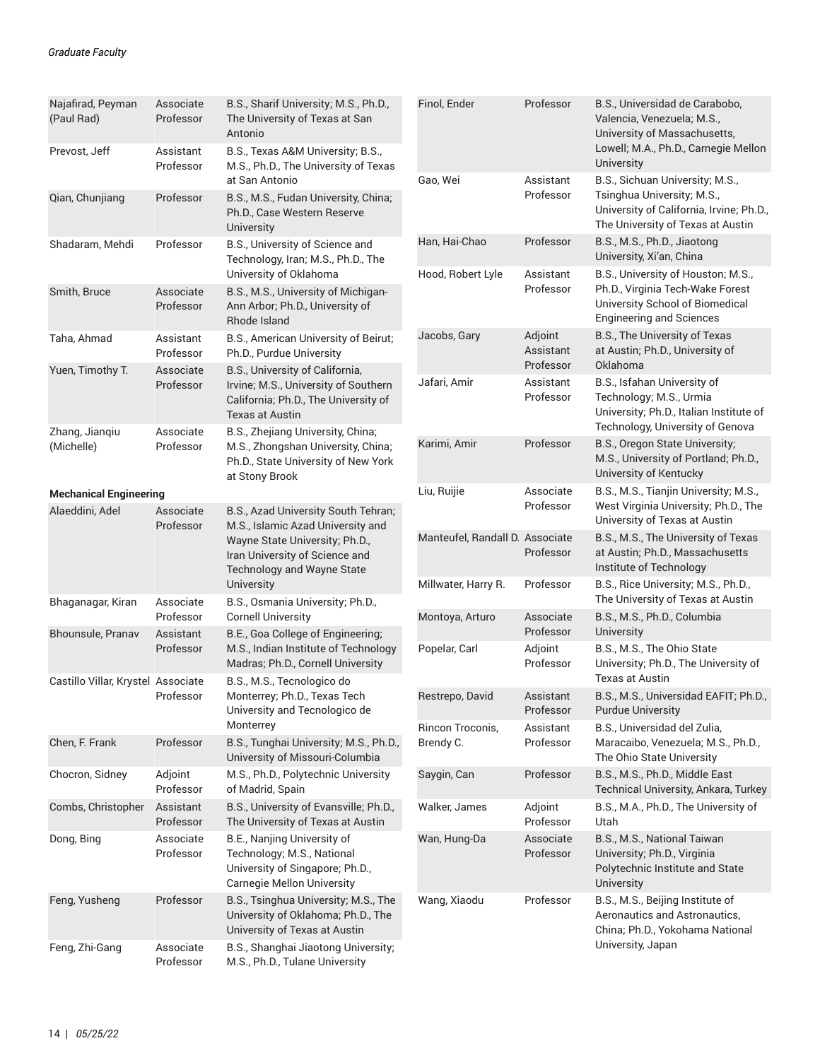| Najafirad, Peyman<br>(Paul Rad)    | Associate<br>Professor                                                                                | B.S., Sharif University; M.S., Ph.D.,<br>The University of Texas at San<br>Antonio                                                        | Finol, Ender                    | Professor                         | B.S., Universidad de Carabobo,<br>Valencia, Venezuela; M.S.,<br>University of Massachusetts,                                                   |
|------------------------------------|-------------------------------------------------------------------------------------------------------|-------------------------------------------------------------------------------------------------------------------------------------------|---------------------------------|-----------------------------------|------------------------------------------------------------------------------------------------------------------------------------------------|
| Prevost, Jeff                      | Assistant<br>Professor                                                                                | B.S., Texas A&M University; B.S.,<br>M.S., Ph.D., The University of Texas                                                                 |                                 |                                   | Lowell; M.A., Ph.D., Carnegie Mellon<br><b>University</b>                                                                                      |
| Qian, Chunjiang                    | Professor                                                                                             | at San Antonio<br>B.S., M.S., Fudan University, China;<br>Ph.D., Case Western Reserve<br>University                                       | Gao, Wei                        | Assistant<br>Professor            | B.S., Sichuan University; M.S.,<br>Tsinghua University; M.S.,<br>University of California, Irvine; Ph.D.,<br>The University of Texas at Austin |
| Shadaram, Mehdi                    | Professor                                                                                             | B.S., University of Science and<br>Technology, Iran; M.S., Ph.D., The                                                                     | Han, Hai-Chao                   | Professor                         | B.S., M.S., Ph.D., Jiaotong<br>University, Xi'an, China                                                                                        |
| Smith, Bruce                       | Associate<br>Professor                                                                                | University of Oklahoma<br>B.S., M.S., University of Michigan-<br>Ann Arbor; Ph.D., University of<br>Rhode Island                          | Hood, Robert Lyle               | Assistant<br>Professor            | B.S., University of Houston; M.S.,<br>Ph.D., Virginia Tech-Wake Forest<br>University School of Biomedical<br><b>Engineering and Sciences</b>   |
| Taha, Ahmad                        | Assistant<br>Professor                                                                                | B.S., American University of Beirut;<br>Ph.D., Purdue University                                                                          | Jacobs, Gary                    | Adjoint<br>Assistant<br>Professor | B.S., The University of Texas<br>at Austin; Ph.D., University of<br>Oklahoma                                                                   |
| Yuen, Timothy T.                   | Associate<br>Professor                                                                                | B.S., University of California,<br>Irvine; M.S., University of Southern<br>California; Ph.D., The University of<br><b>Texas at Austin</b> | Jafari, Amir                    | Assistant<br>Professor            | B.S., Isfahan University of<br>Technology; M.S., Urmia<br>University; Ph.D., Italian Institute of<br>Technology, University of Genova          |
| Zhang, Jianqiu<br>(Michelle)       | Associate<br>Professor                                                                                | B.S., Zhejiang University, China;<br>M.S., Zhongshan University, China;<br>Ph.D., State University of New York<br>at Stony Brook          | Karimi, Amir                    | Professor                         | B.S., Oregon State University;<br>M.S., University of Portland; Ph.D.,<br>University of Kentucky                                               |
| <b>Mechanical Engineering</b>      |                                                                                                       |                                                                                                                                           | Liu, Ruijie                     | Associate                         | B.S., M.S., Tianjin University; M.S.,                                                                                                          |
| Alaeddini, Adel                    | Associate<br>Professor                                                                                | B.S., Azad University South Tehran;<br>M.S., Islamic Azad University and                                                                  |                                 | Professor                         | West Virginia University; Ph.D., The<br>University of Texas at Austin                                                                          |
|                                    | Wayne State University; Ph.D.,<br>Iran University of Science and<br><b>Technology and Wayne State</b> |                                                                                                                                           | Manteufel, Randall D. Associate | Professor                         | B.S., M.S., The University of Texas<br>at Austin; Ph.D., Massachusetts<br>Institute of Technology                                              |
| Bhaganagar, Kiran                  | Associate                                                                                             | University<br>B.S., Osmania University; Ph.D.,                                                                                            | Millwater, Harry R.             | Professor                         | B.S., Rice University; M.S., Ph.D.,<br>The University of Texas at Austin                                                                       |
| Bhounsule, Pranav                  | Professor<br>Assistant                                                                                | <b>Cornell University</b><br>B.E., Goa College of Engineering;                                                                            | Montoya, Arturo                 | Associate<br>Professor            | B.S., M.S., Ph.D., Columbia<br>University                                                                                                      |
|                                    | Professor                                                                                             | M.S., Indian Institute of Technology<br>Madras; Ph.D., Cornell University                                                                 | Popelar, Carl                   | Adjoint<br>Professor              | B.S., M.S., The Ohio State<br>University; Ph.D., The University of                                                                             |
| Castillo Villar, Krystel Associate | Professor                                                                                             | B.S., M.S., Tecnologico do<br>Monterrey; Ph.D., Texas Tech                                                                                | Restrepo, David                 | Assistant<br>Professor            | <b>Texas at Austin</b><br>B.S., M.S., Universidad EAFIT; Ph.D.,                                                                                |
|                                    |                                                                                                       | University and Tecnologico de<br>Monterrey                                                                                                | Rincon Troconis,                | Assistant                         | <b>Purdue University</b><br>B.S., Universidad del Zulia,                                                                                       |
| Chen, F. Frank                     | Professor                                                                                             | B.S., Tunghai University; M.S., Ph.D.,<br>University of Missouri-Columbia                                                                 | Brendy C.                       | Professor                         | Maracaibo, Venezuela; M.S., Ph.D.,<br>The Ohio State University                                                                                |
| Chocron, Sidney                    | Adjoint<br>Professor                                                                                  | M.S., Ph.D., Polytechnic University<br>of Madrid, Spain                                                                                   | Saygin, Can                     | Professor                         | B.S., M.S., Ph.D., Middle East<br>Technical University, Ankara, Turkey                                                                         |
| Combs, Christopher                 | Assistant<br>Professor                                                                                | B.S., University of Evansville; Ph.D.,<br>The University of Texas at Austin                                                               | Walker, James                   | Adjoint<br>Professor              | B.S., M.A., Ph.D., The University of<br>Utah                                                                                                   |
| Dong, Bing                         | Associate<br>Professor                                                                                | B.E., Nanjing University of<br>Technology; M.S., National<br>University of Singapore; Ph.D.,<br><b>Carnegie Mellon University</b>         | Wan, Hung-Da                    | Associate<br>Professor            | B.S., M.S., National Taiwan<br>University; Ph.D., Virginia<br>Polytechnic Institute and State<br>University                                    |
| Feng, Yusheng                      | Professor                                                                                             | B.S., Tsinghua University; M.S., The<br>University of Oklahoma; Ph.D., The<br>University of Texas at Austin                               | Wang, Xiaodu                    | Professor                         | B.S., M.S., Beijing Institute of<br>Aeronautics and Astronautics,<br>China; Ph.D., Yokohama National                                           |
| Feng, Zhi-Gang                     | Associate<br>Professor                                                                                | B.S., Shanghai Jiaotong University;<br>M.S., Ph.D., Tulane University                                                                     |                                 |                                   | University, Japan                                                                                                                              |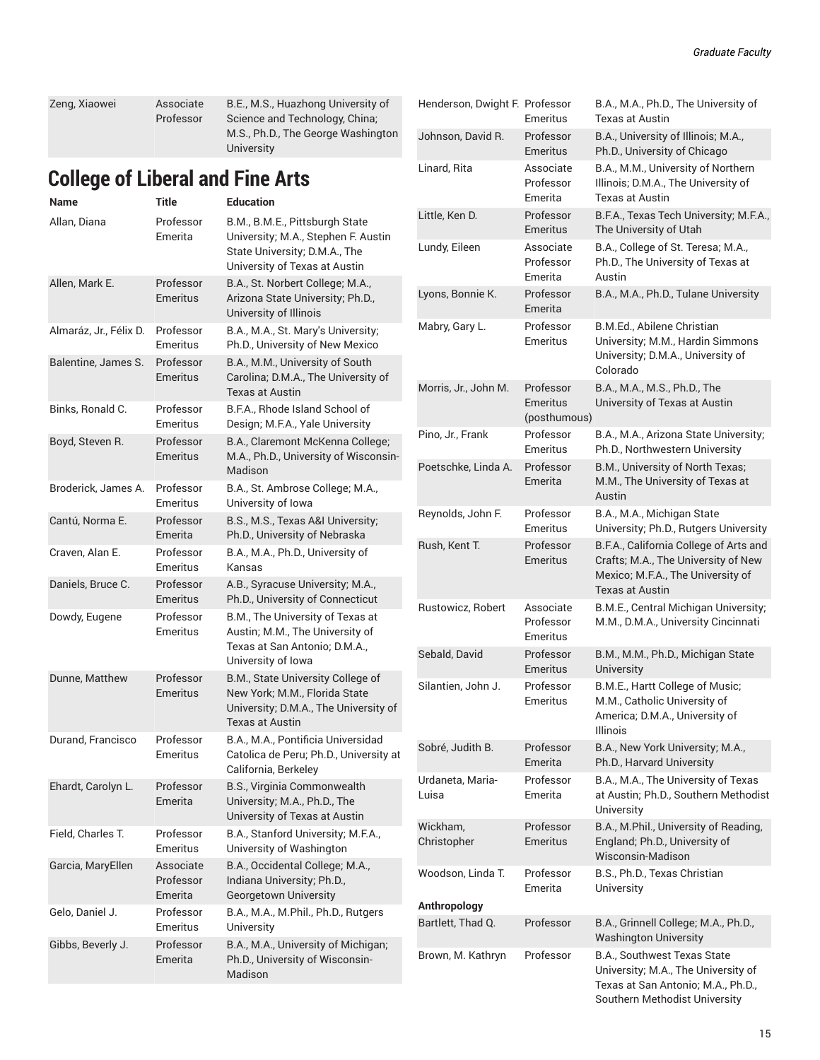| Zeng, Xiaowei | Associate | B.E., M.S., Huazhong University of |
|---------------|-----------|------------------------------------|
|               | Professor | Science and Technology, China;     |
|               |           | M.S., Ph.D., The George Washington |
|               |           | University                         |

### **College of Liberal and Fine Arts**

| Name                   | <b>Title</b>                      | <b>Education</b>                                                                                                                        |
|------------------------|-----------------------------------|-----------------------------------------------------------------------------------------------------------------------------------------|
| Allan, Diana           | Professor<br>Emerita              | B.M., B.M.E., Pittsburgh State<br>University; M.A., Stephen F. Austin<br>State University; D.M.A., The<br>University of Texas at Austin |
| Allen, Mark E.         | Professor<br><b>Emeritus</b>      | B.A., St. Norbert College; M.A.,<br>Arizona State University; Ph.D.,<br>University of Illinois                                          |
| Almaráz, Jr., Félix D. | Professor<br>Emeritus             | B.A., M.A., St. Mary's University;<br>Ph.D., University of New Mexico                                                                   |
| Balentine, James S.    | Professor<br>Emeritus             | B.A., M.M., University of South<br>Carolina; D.M.A., The University of<br>Texas at Austin                                               |
| Binks, Ronald C.       | Professor<br>Emeritus             | B.F.A., Rhode Island School of<br>Design; M.F.A., Yale University                                                                       |
| Boyd, Steven R.        | Professor<br>Emeritus             | B.A., Claremont McKenna College;<br>M.A., Ph.D., University of Wisconsin-<br>Madison                                                    |
| Broderick, James A.    | Professor<br>Emeritus             | B.A., St. Ambrose College; M.A.,<br>University of Iowa                                                                                  |
| Cantú, Norma E.        | Professor<br>Emerita              | B.S., M.S., Texas A&I University;<br>Ph.D., University of Nebraska                                                                      |
| Craven, Alan E.        | Professor<br>Emeritus             | B.A., M.A., Ph.D., University of<br>Kansas                                                                                              |
| Daniels, Bruce C.      | Professor<br>Emeritus             | A.B., Syracuse University; M.A.,<br>Ph.D., University of Connecticut                                                                    |
| Dowdy, Eugene          | Professor<br>Emeritus             | B.M., The University of Texas at<br>Austin; M.M., The University of<br>Texas at San Antonio; D.M.A.,<br>University of Iowa              |
| Dunne, Matthew         | Professor<br><b>Emeritus</b>      | B.M., State University College of<br>New York; M.M., Florida State<br>University; D.M.A., The University of<br>Texas at Austin          |
| Durand, Francisco      | Professor<br>Emeritus             | B.A., M.A., Pontificia Universidad<br>Catolica de Peru; Ph.D., University at<br>California, Berkeley                                    |
| Ehardt, Carolyn L.     | Professor<br>Emerita              | B.S., Virginia Commonwealth<br>University; M.A., Ph.D., The<br>University of Texas at Austin                                            |
| Field, Charles T.      | Professor<br>Emeritus             | B.A., Stanford University; M.F.A.,<br>University of Washington                                                                          |
| Garcia, MaryEllen      | Associate<br>Professor<br>Emerita | B.A., Occidental College; M.A.,<br>Indiana University; Ph.D.,<br>Georgetown University                                                  |
| Gelo, Daniel J.        | Professor<br>Emeritus             | B.A., M.A., M.Phil., Ph.D., Rutgers<br>University                                                                                       |
| Gibbs, Beverly J.      | Professor<br>Emerita              | B.A., M.A., University of Michigan;<br>Ph.D., University of Wisconsin-<br>Madison                                                       |

| Henderson, Dwight F. Professor    | Emeritus                              | B.A., M.A., Ph.D., The University of<br>Texas at Austin                                                                                   |
|-----------------------------------|---------------------------------------|-------------------------------------------------------------------------------------------------------------------------------------------|
| Johnson, David R.                 | Professor<br>Emeritus                 | B.A., University of Illinois; M.A.,<br>Ph.D., University of Chicago                                                                       |
| Linard, Rita                      | Associate<br>Professor<br>Emerita     | B.A., M.M., University of Northern<br>Illinois; D.M.A., The University of<br>Texas at Austin                                              |
| Little, Ken D.                    | Professor<br>Emeritus                 | B.F.A., Texas Tech University; M.F.A.,<br>The University of Utah                                                                          |
| Lundy, Eileen                     | Associate<br>Professor<br>Emerita     | B.A., College of St. Teresa; M.A.,<br>Ph.D., The University of Texas at<br>Austin                                                         |
| Lyons, Bonnie K.                  | Professor<br>Emerita                  | B.A., M.A., Ph.D., Tulane University                                                                                                      |
| Mabry, Gary L.                    | Professor<br>Emeritus                 | B.M.Ed., Abilene Christian<br>University; M.M., Hardin Simmons<br>University; D.M.A., University of<br>Colorado                           |
| Morris, Jr., John M.              | Professor<br>Emeritus<br>(posthumous) | B.A., M.A., M.S., Ph.D., The<br>University of Texas at Austin                                                                             |
| Pino, Jr., Frank                  | Professor<br>Emeritus                 | B.A., M.A., Arizona State University;<br>Ph.D., Northwestern University                                                                   |
| Poetschke, Linda A.               | Professor<br>Emerita                  | B.M., University of North Texas;<br>M.M., The University of Texas at<br>Austin                                                            |
| Reynolds, John F.                 | Professor<br>Emeritus                 | B.A., M.A., Michigan State<br>University; Ph.D., Rutgers University                                                                       |
| Rush, Kent T.                     | Professor<br><b>Emeritus</b>          | B.F.A., California College of Arts and<br>Crafts; M.A., The University of New<br>Mexico; M.F.A., The University of<br>Texas at Austin     |
| Rustowicz, Robert                 | Associate<br>Professor<br>Emeritus    | B.M.E., Central Michigan University;<br>M.M., D.M.A., University Cincinnati                                                               |
| Sebald, David                     | Professor<br><b>Emeritus</b>          | B.M., M.M., Ph.D., Michigan State<br>University                                                                                           |
| Silantien, John J.                | Professor<br>Emeritus                 | B.M.E., Hartt College of Music;<br>M.M., Catholic University of<br>America; D.M.A., University of<br>Illinois                             |
| Sobré, Judith B.                  | Professor<br>Emerita                  | B.A., New York University; M.A.,<br>Ph.D., Harvard University                                                                             |
| Urdaneta, Maria-<br>Luisa         | Professor<br>Emerita                  | B.A., M.A., The University of Texas<br>at Austin; Ph.D., Southern Methodist<br>University                                                 |
| Wickham,<br>Christopher           | Professor<br><b>Emeritus</b>          | B.A., M.Phil., University of Reading,<br>England; Ph.D., University of<br>Wisconsin-Madison                                               |
| Woodson, Linda T.                 | Professor<br>Emerita                  | B.S., Ph.D., Texas Christian<br>University                                                                                                |
| Anthropology<br>Bartlett, Thad Q. | Professor                             | B.A., Grinnell College; M.A., Ph.D.,                                                                                                      |
|                                   |                                       | <b>Washington University</b>                                                                                                              |
| Brown, M. Kathryn                 | Professor                             | B.A., Southwest Texas State<br>University; M.A., The University of<br>Texas at San Antonio; M.A., Ph.D.,<br>Southern Methodist University |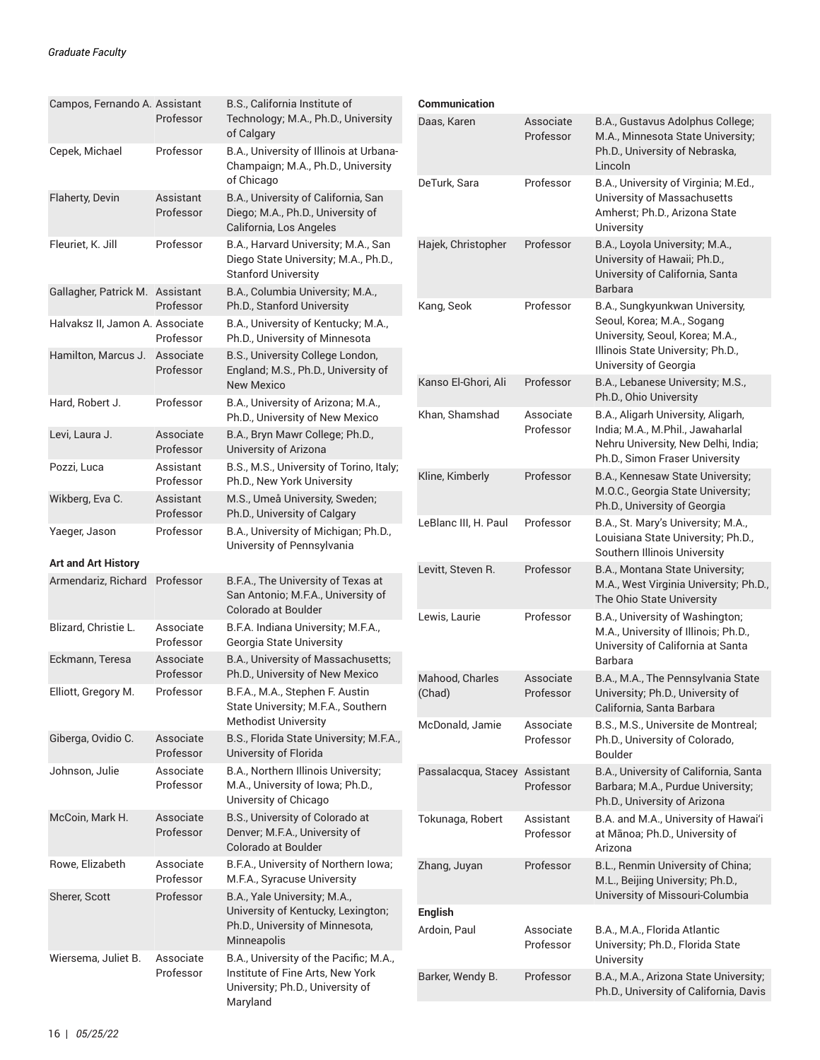| Campos, Fernando A. Assistant   | Professor              | B.S., California Institute of<br>Technology; M.A., Ph.D., University<br>of Calgary                                         | Сo<br>Da          |
|---------------------------------|------------------------|----------------------------------------------------------------------------------------------------------------------------|-------------------|
| Cepek, Michael                  | Professor              | B.A., University of Illinois at Urbana-<br>Champaign; M.A., Ph.D., University<br>of Chicago                                | De                |
| Flaherty, Devin                 | Assistant<br>Professor | B.A., University of California, San<br>Diego; M.A., Ph.D., University of<br>California, Los Angeles                        |                   |
| Fleuriet, K. Jill               | Professor              | B.A., Harvard University; M.A., San<br>Diego State University; M.A., Ph.D.,<br><b>Stanford University</b>                  | Ha                |
| Gallagher, Patrick M.           | Assistant<br>Professor | B.A., Columbia University; M.A.,<br>Ph.D., Stanford University                                                             | Кa                |
| Halvaksz II, Jamon A. Associate | Professor              | B.A., University of Kentucky; M.A.,<br>Ph.D., University of Minnesota                                                      |                   |
| Hamilton, Marcus J.             | Associate<br>Professor | B.S., University College London,<br>England; M.S., Ph.D., University of<br><b>New Mexico</b>                               | Ka                |
| Hard, Robert J.                 | Professor              | B.A., University of Arizona; M.A.,<br>Ph.D., University of New Mexico                                                      | Кh                |
| Levi, Laura J.                  | Associate<br>Professor | B.A., Bryn Mawr College; Ph.D.,<br>University of Arizona                                                                   |                   |
| Pozzi, Luca                     | Assistant<br>Professor | B.S., M.S., University of Torino, Italy;<br>Ph.D., New York University                                                     | Kli               |
| Wikberg, Eva C.                 | Assistant<br>Professor | M.S., Umeå University, Sweden;<br>Ph.D., University of Calgary                                                             |                   |
| Yaeger, Jason                   | Professor              | B.A., University of Michigan; Ph.D.,<br>University of Pennsylvania                                                         | Le                |
| <b>Art and Art History</b>      |                        |                                                                                                                            | Le                |
| Armendariz, Richard             | Professor              | B.F.A., The University of Texas at<br>San Antonio; M.F.A., University of<br>Colorado at Boulder                            | Le                |
| Blizard, Christie L.            | Associate<br>Professor | B.F.A. Indiana University; M.F.A.,<br>Georgia State University                                                             |                   |
| Eckmann, Teresa                 | Associate<br>Professor | B.A., University of Massachusetts;<br>Ph.D., University of New Mexico                                                      | Ma                |
| Elliott, Gregory M.             | Professor              | B.F.A., M.A., Stephen F. Austin<br>State University; M.F.A., Southern<br><b>Methodist University</b>                       | (C <sub>1</sub> ) |
| Giberga, Ovidio C.              | Associate<br>Professor | B.S., Florida State University; M.F.A.,<br>University of Florida                                                           | M                 |
| Johnson, Julie                  | Associate<br>Professor | B.A., Northern Illinois University;<br>M.A., University of Iowa; Ph.D.,<br>University of Chicago                           | Pa                |
| McCoin, Mark H.                 | Associate<br>Professor | B.S., University of Colorado at<br>Denver; M.F.A., University of<br>Colorado at Boulder                                    | To                |
| Rowe, Elizabeth                 | Associate<br>Professor | B.F.A., University of Northern Iowa;<br>M.F.A., Syracuse University                                                        | Ζh                |
| Sherer, Scott                   | Professor              | B.A., Yale University; M.A.,<br>University of Kentucky, Lexington;<br>Ph.D., University of Minnesota,<br>Minneapolis       | En<br>Arı         |
| Wiersema, Juliet B.             | Associate<br>Professor | B.A., University of the Pacific; M.A.,<br>Institute of Fine Arts, New York<br>University; Ph.D., University of<br>Maryland | Ba                |

| Communication             |                        |                                                                                                                                                               |
|---------------------------|------------------------|---------------------------------------------------------------------------------------------------------------------------------------------------------------|
| Daas, Karen               | Associate<br>Professor | B.A., Gustavus Adolphus College;<br>M.A., Minnesota State University;<br>Ph.D., University of Nebraska,<br>Lincoln                                            |
| DeTurk, Sara              | Professor              | B.A., University of Virginia; M.Ed.,<br>University of Massachusetts<br>Amherst; Ph.D., Arizona State<br>University                                            |
| Hajek, Christopher        | Professor              | B.A., Loyola University; M.A.,<br>University of Hawaii; Ph.D.,<br>University of California, Santa<br>Barbara                                                  |
| Kang, Seok                | Professor              | B.A., Sungkyunkwan University,<br>Seoul, Korea; M.A., Sogang<br>University, Seoul, Korea; M.A.,<br>Illinois State University; Ph.D.,<br>University of Georgia |
| Kanso El-Ghori, Ali       | Professor              | B.A., Lebanese University; M.S.,<br>Ph.D., Ohio University                                                                                                    |
| Khan, Shamshad            | Associate<br>Professor | B.A., Aligarh University, Aligarh,<br>India; M.A., M.Phil., Jawaharlal<br>Nehru University, New Delhi, India;<br>Ph.D., Simon Fraser University               |
| Kline, Kimberly           | Professor              | B.A., Kennesaw State University;<br>M.O.C., Georgia State University;<br>Ph.D., University of Georgia                                                         |
| LeBlanc III, H. Paul      | Professor              | B.A., St. Mary's University; M.A.,<br>Louisiana State University; Ph.D.,<br>Southern Illinois University                                                      |
| Levitt, Steven R.         | Professor              | B.A., Montana State University;<br>M.A., West Virginia University; Ph.D.,<br>The Ohio State University                                                        |
| Lewis, Laurie             | Professor              | B.A., University of Washington;<br>M.A., University of Illinois; Ph.D.,<br>University of California at Santa<br>Barbara                                       |
| Mahood, Charles<br>(Chad) | Associate<br>Professor | B.A., M.A., The Pennsylvania State<br>University; Ph.D., University of<br>California, Santa Barbara                                                           |
| McDonald, Jamie           | Associate<br>Professor | B.S., M.S., Universite de Montreal;<br>Ph.D., University of Colorado,<br><b>Boulder</b>                                                                       |
| Passalacqua, Stacey       | Assistant<br>Professor | B.A., University of California, Santa<br>Barbara; M.A., Purdue University;<br>Ph.D., University of Arizona                                                    |
| Tokunaga, Robert          | Assistant<br>Professor | B.A. and M.A., University of Hawai'i<br>at Mānoa; Ph.D., University of<br>Arizona                                                                             |
| Zhang, Juyan              | Professor              | B.L., Renmin University of China;<br>M.L., Beijing University; Ph.D.,<br>University of Missouri-Columbia                                                      |
| <b>English</b>            |                        |                                                                                                                                                               |
| Ardoin, Paul              | Associate<br>Professor | B.A., M.A., Florida Atlantic<br>University; Ph.D., Florida State<br>University                                                                                |
| Barker, Wendy B.          | Professor              | B.A., M.A., Arizona State University;<br>Ph.D., University of California, Davis                                                                               |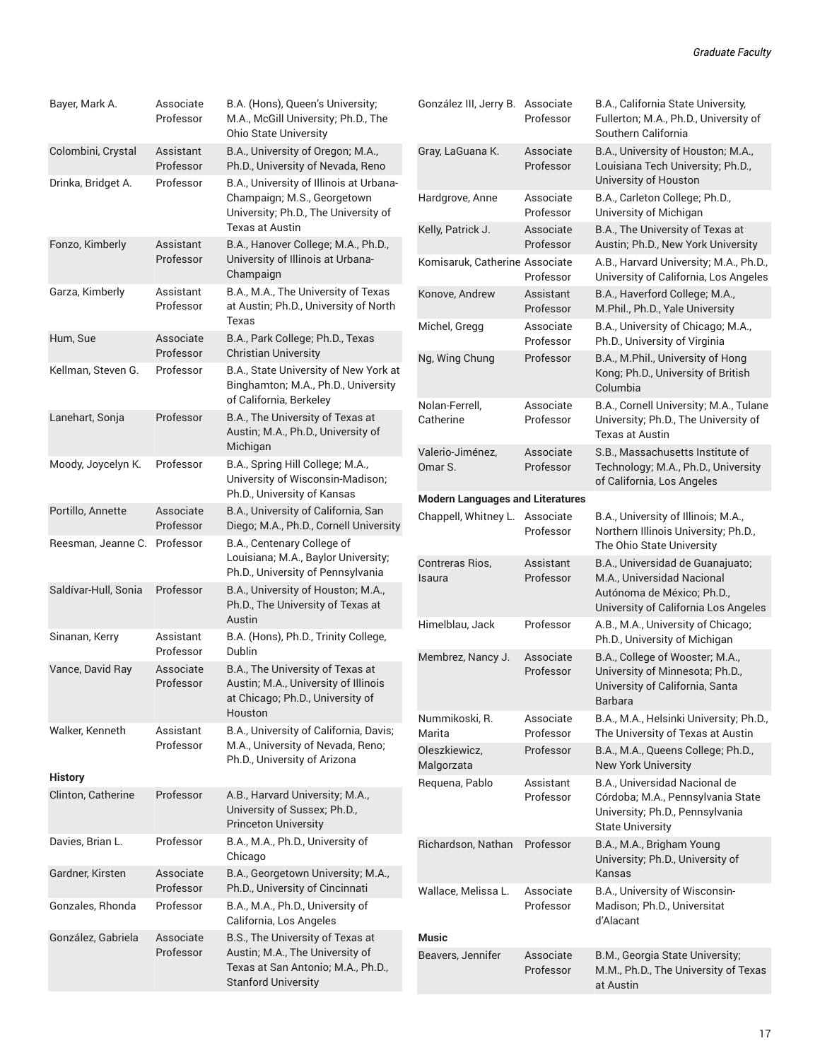| Bayer, Mark A.       | Associate<br>Professor | B.A. (Hons), Queen's University;<br>M.A., McGill University; Ph.D., The<br><b>Ohio State University</b>                                 | Go                    |
|----------------------|------------------------|-----------------------------------------------------------------------------------------------------------------------------------------|-----------------------|
| Colombini, Crystal   | Assistant<br>Professor | B.A., University of Oregon; M.A.,<br>Ph.D., University of Nevada, Reno                                                                  | Gra                   |
| Drinka, Bridget A.   | Professor              | B.A., University of Illinois at Urbana-<br>Champaign; M.S., Georgetown<br>University; Ph.D., The University of                          | Ha                    |
|                      |                        | Texas at Austin                                                                                                                         | Kel                   |
| Fonzo, Kimberly      | Assistant<br>Professor | B.A., Hanover College; M.A., Ph.D.,<br>University of Illinois at Urbana-<br>Champaign                                                   | Ko                    |
| Garza, Kimberly      | Assistant<br>Professor | B.A., M.A., The University of Texas<br>at Austin; Ph.D., University of North<br>Texas                                                   | Kol<br>Mio            |
| Hum, Sue             | Associate<br>Professor | B.A., Park College; Ph.D., Texas<br><b>Christian University</b>                                                                         | Ng                    |
| Kellman, Steven G.   | Professor              | B.A., State University of New York at<br>Binghamton; M.A., Ph.D., University<br>of California, Berkeley                                 | No                    |
| Lanehart, Sonja      | Professor              | B.A., The University of Texas at<br>Austin; M.A., Ph.D., University of<br>Michigan                                                      | Cat<br>Val            |
| Moody, Joycelyn K.   | Professor              | B.A., Spring Hill College; M.A.,<br>University of Wisconsin-Madison;<br>Ph.D., University of Kansas                                     | Om                    |
| Portillo, Annette    | Associate<br>Professor | B.A., University of California, San<br>Diego; M.A., Ph.D., Cornell University                                                           | Mo<br>Ch              |
| Reesman, Jeanne C.   | Professor              | B.A., Centenary College of<br>Louisiana; M.A., Baylor University;<br>Ph.D., University of Pennsylvania                                  | Col<br>Isa            |
| Saldívar-Hull, Sonia | Professor              | B.A., University of Houston, M.A.,<br>Ph.D., The University of Texas at<br>Austin                                                       | Hir                   |
| Sinanan, Kerry       | Assistant<br>Professor | B.A. (Hons), Ph.D., Trinity College,<br>Dublin                                                                                          | Me                    |
| Vance, David Ray     | Associate<br>Professor | B.A., The University of Texas at<br>Austin; M.A., University of Illinois<br>at Chicago; Ph.D., University of<br>Houston                 |                       |
| Walker, Kenneth      | Assistant<br>Professor | B.A., University of California, Davis;<br>M.A., University of Nevada, Reno;<br>Ph.D., University of Arizona                             | Nu<br>Ma<br>Ole<br>Ma |
| <b>History</b>       |                        |                                                                                                                                         | Re                    |
| Clinton, Catherine   | Professor              | A.B., Harvard University; M.A.,<br>University of Sussex; Ph.D.,<br><b>Princeton University</b>                                          |                       |
| Davies, Brian L.     | Professor              | B.A., M.A., Ph.D., University of<br>Chicago                                                                                             | Ric                   |
| Gardner, Kirsten     | Associate<br>Professor | B.A., Georgetown University; M.A.,<br>Ph.D., University of Cincinnati                                                                   | Wa                    |
| Gonzales, Rhonda     | Professor              | B.A., M.A., Ph.D., University of<br>California, Los Angeles                                                                             |                       |
| González, Gabriela   | Associate<br>Professor | B.S., The University of Texas at<br>Austin; M.A., The University of<br>Texas at San Antonio; M.A., Ph.D.,<br><b>Stanford University</b> | Mu<br>Be              |

| González III, Jerry B.                  | Associate<br>Professor | B.A., California State University,<br>Fullerton; M.A., Ph.D., University of<br>Southern California                                      |
|-----------------------------------------|------------------------|-----------------------------------------------------------------------------------------------------------------------------------------|
| Gray, LaGuana K.                        | Associate<br>Professor | B.A., University of Houston; M.A.,<br>Louisiana Tech University; Ph.D.,<br>University of Houston                                        |
| Hardgrove, Anne                         | Associate<br>Professor | B.A., Carleton College; Ph.D.,<br>University of Michigan                                                                                |
| Kelly, Patrick J.                       | Associate<br>Professor | B.A., The University of Texas at<br>Austin; Ph.D., New York University                                                                  |
| Komisaruk, Catherine Associate          | Professor              | A.B., Harvard University; M.A., Ph.D.,<br>University of California, Los Angeles                                                         |
| Konove, Andrew                          | Assistant<br>Professor | B.A., Haverford College; M.A.,<br>M.Phil., Ph.D., Yale University                                                                       |
| Michel, Gregg                           | Associate<br>Professor | B.A., University of Chicago; M.A.,<br>Ph.D., University of Virginia                                                                     |
| Ng, Wing Chung                          | Professor              | B.A., M.Phil., University of Hong<br>Kong; Ph.D., University of British<br>Columbia                                                     |
| Nolan-Ferrell,<br>Catherine             | Associate<br>Professor | B.A., Cornell University; M.A., Tulane<br>University; Ph.D., The University of<br><b>Texas at Austin</b>                                |
| Valerio-Jiménez,<br>Omar S.             | Associate<br>Professor | S.B., Massachusetts Institute of<br>Technology; M.A., Ph.D., University<br>of California, Los Angeles                                   |
| <b>Modern Languages and Literatures</b> |                        |                                                                                                                                         |
| Chappell, Whitney L.                    | Associate<br>Professor | B.A., University of Illinois; M.A.,<br>Northern Illinois University; Ph.D.,<br>The Ohio State University                                |
| Contreras Rios.<br>Isaura               | Assistant<br>Professor | B.A., Universidad de Guanajuato;<br>M.A., Universidad Nacional<br>Autónoma de México; Ph.D.,<br>University of California Los Angeles    |
| Himelblau, Jack                         | Professor              | A.B., M.A., University of Chicago;<br>Ph.D., University of Michigan                                                                     |
| Membrez, Nancy J.                       | Associate<br>Professor | B.A., College of Wooster; M.A.,<br>University of Minnesota; Ph.D.,<br>University of California, Santa<br>Barbara                        |
| Nummikoski, R.<br>Marita                | Associate<br>Professor | B.A., M.A., Helsinki University; Ph.D.,<br>The University of Texas at Austin                                                            |
| Oleszkiewicz,<br>Malgorzata             | Professor              | B.A., M.A., Queens College; Ph.D.,<br><b>New York University</b>                                                                        |
| Requena, Pablo                          | Assistant<br>Professor | <b>B.A., Universidad Nacional de</b><br>Córdoba; M.A., Pennsylvania State<br>University; Ph.D., Pennsylvania<br><b>State University</b> |
| Richardson, Nathan                      | Professor              | B.A., M.A., Brigham Young<br>University; Ph.D., University of<br>Kansas                                                                 |
| Wallace, Melissa L.                     | Associate<br>Professor | B.A., University of Wisconsin-<br>Madison; Ph.D., Universitat<br>d'Alacant                                                              |
| <b>Music</b>                            |                        |                                                                                                                                         |
| Beavers, Jennifer                       | Associate<br>Professor | B.M., Georgia State University;<br>M.M., Ph.D., The University of Texas<br>at Austin                                                    |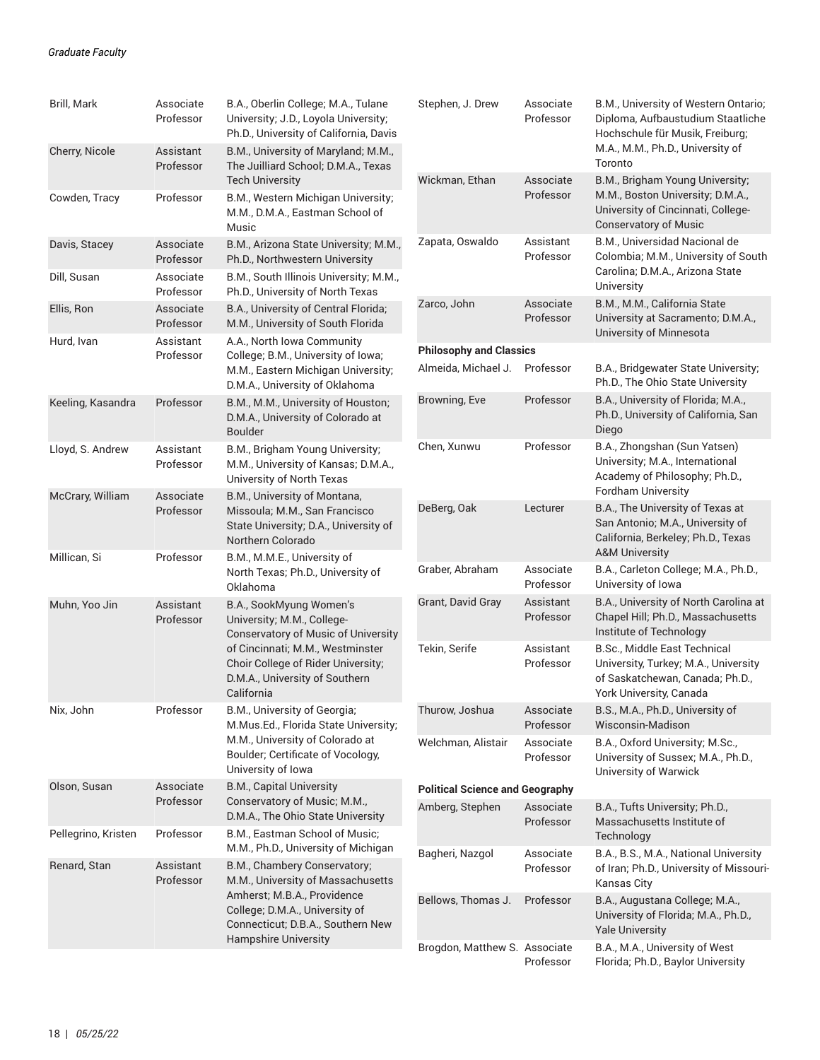| Brill, Mark         | Associate<br>Professor | B.A., Oberlin College; M.A., Tulane<br>University; J.D., Loyola University;<br>Ph.D., University of California, Davis                                                                                                  |  |  |
|---------------------|------------------------|------------------------------------------------------------------------------------------------------------------------------------------------------------------------------------------------------------------------|--|--|
| Cherry, Nicole      | Assistant<br>Professor | B.M., University of Maryland; M.M.,<br>The Juilliard School; D.M.A., Texas<br><b>Tech University</b>                                                                                                                   |  |  |
| Cowden, Tracy       | Professor              | B.M., Western Michigan University;<br>M.M., D.M.A., Eastman School of<br>Music                                                                                                                                         |  |  |
| Davis, Stacey       | Associate<br>Professor | B.M., Arizona State University; M.M.,<br>Ph.D., Northwestern University                                                                                                                                                |  |  |
| Dill, Susan         | Associate<br>Professor | B.M., South Illinois University; M.M.,<br>Ph.D., University of North Texas                                                                                                                                             |  |  |
| Ellis, Ron          | Associate<br>Professor | B.A., University of Central Florida;<br>M.M., University of South Florida                                                                                                                                              |  |  |
| Hurd, Ivan          | Assistant<br>Professor | A.A., North Iowa Community<br>College; B.M., University of Iowa;<br>M.M., Eastern Michigan University;<br>D.M.A., University of Oklahoma                                                                               |  |  |
| Keeling, Kasandra   | Professor              | B.M., M.M., University of Houston;<br>D.M.A., University of Colorado at<br><b>Boulder</b>                                                                                                                              |  |  |
| Lloyd, S. Andrew    | Assistant<br>Professor | B.M., Brigham Young University;<br>M.M., University of Kansas; D.M.A.,<br>University of North Texas                                                                                                                    |  |  |
| McCrary, William    | Associate<br>Professor | B.M., University of Montana,<br>Missoula; M.M., San Francisco<br>State University; D.A., University of<br>Northern Colorado                                                                                            |  |  |
| Millican, Si        | Professor              | B.M., M.M.E., University of<br>North Texas; Ph.D., University of<br>Oklahoma                                                                                                                                           |  |  |
| Muhn, Yoo Jin       | Assistant<br>Professor | B.A., SookMyung Women's<br>University; M.M., College-<br>Conservatory of Music of University<br>of Cincinnati; M.M., Westminster<br>Choir College of Rider University;<br>D.M.A., University of Southern<br>California |  |  |
| Nix, John           | Professor              | B.M., University of Georgia;<br>M.Mus.Ed., Florida State University;<br>M.M., University of Colorado at<br>Boulder; Certificate of Vocology,<br>University of Iowa                                                     |  |  |
| Olson, Susan        | Associate<br>Professor | <b>B.M., Capital University</b><br>Conservatory of Music; M.M.,<br>D.M.A., The Ohio State University                                                                                                                   |  |  |
| Pellegrino, Kristen | Professor              | B.M., Eastman School of Music;<br>M.M., Ph.D., University of Michigan                                                                                                                                                  |  |  |
| Renard, Stan        | Assistant<br>Professor | B.M., Chambery Conservatory;<br>M.M., University of Massachusetts<br>Amherst; M.B.A., Providence                                                                                                                       |  |  |
|                     |                        | College; D.M.A., University of<br>Connecticut; D.B.A., Southern New                                                                                                                                                    |  |  |
|                     |                        | <b>Hampshire University</b>                                                                                                                                                                                            |  |  |

| Stephen, J. Drew                       | Associate<br>Professor | B.M., University of Western Ontario;<br>Diploma, Aufbaustudium Staatliche<br>Hochschule für Musik, Freiburg;<br>M.A., M.M., Ph.D., University of<br>Toronto |
|----------------------------------------|------------------------|-------------------------------------------------------------------------------------------------------------------------------------------------------------|
| Wickman, Ethan                         | Associate<br>Professor | B.M., Brigham Young University;<br>M.M., Boston University; D.M.A.,<br>University of Cincinnati, College-<br><b>Conservatory of Music</b>                   |
| Zapata, Oswaldo                        | Assistant<br>Professor | B.M., Universidad Nacional de<br>Colombia; M.M., University of South<br>Carolina; D.M.A., Arizona State<br>University                                       |
| Zarco, John                            | Associate<br>Professor | B.M., M.M., California State<br>University at Sacramento; D.M.A.,<br>University of Minnesota                                                                |
| <b>Philosophy and Classics</b>         |                        |                                                                                                                                                             |
| Almeida, Michael J.                    | Professor              | B.A., Bridgewater State University;<br>Ph.D., The Ohio State University                                                                                     |
| Browning, Eve                          | Professor              | B.A., University of Florida; M.A.,<br>Ph.D., University of California, San<br>Diego                                                                         |
| Chen, Xunwu                            | Professor              | B.A., Zhongshan (Sun Yatsen)<br>University; M.A., International<br>Academy of Philosophy; Ph.D.,<br><b>Fordham University</b>                               |
| DeBerg, Oak                            | Lecturer               | B.A., The University of Texas at<br>San Antonio; M.A., University of<br>California, Berkeley; Ph.D., Texas<br><b>A&amp;M University</b>                     |
| Graber, Abraham                        | Associate<br>Professor | B.A., Carleton College; M.A., Ph.D.,<br>University of Iowa                                                                                                  |
| Grant, David Gray                      | Assistant<br>Professor | B.A., University of North Carolina at<br>Chapel Hill; Ph.D., Massachusetts<br>Institute of Technology                                                       |
| Tekin, Serife                          | Assistant<br>Professor | <b>B.Sc., Middle East Technical</b><br>University, Turkey; M.A., University<br>of Saskatchewan, Canada; Ph.D.,<br>York University, Canada                   |
| Thurow, Joshua                         | Associate<br>Professor | B.S., M.A., Ph.D., University of<br>Wisconsin-Madison                                                                                                       |
| Welchman, Alistair                     | Associate<br>Professor | B.A., Oxford University; M.Sc.,<br>University of Sussex; M.A., Ph.D.,<br>University of Warwick                                                              |
| <b>Political Science and Geography</b> |                        |                                                                                                                                                             |
| Amberg, Stephen                        | Associate<br>Professor | B.A., Tufts University; Ph.D.,<br>Massachusetts Institute of<br>Technology                                                                                  |
| Bagheri, Nazgol                        | Associate<br>Professor | B.A., B.S., M.A., National University<br>of Iran; Ph.D., University of Missouri-<br>Kansas City                                                             |
| Bellows, Thomas J.                     | Professor              | B.A., Augustana College; M.A.,<br>University of Florida; M.A., Ph.D.,<br><b>Yale University</b>                                                             |
| Brogdon, Matthew S. Associate          | Professor              | B.A., M.A., University of West<br>Florida; Ph.D., Baylor University                                                                                         |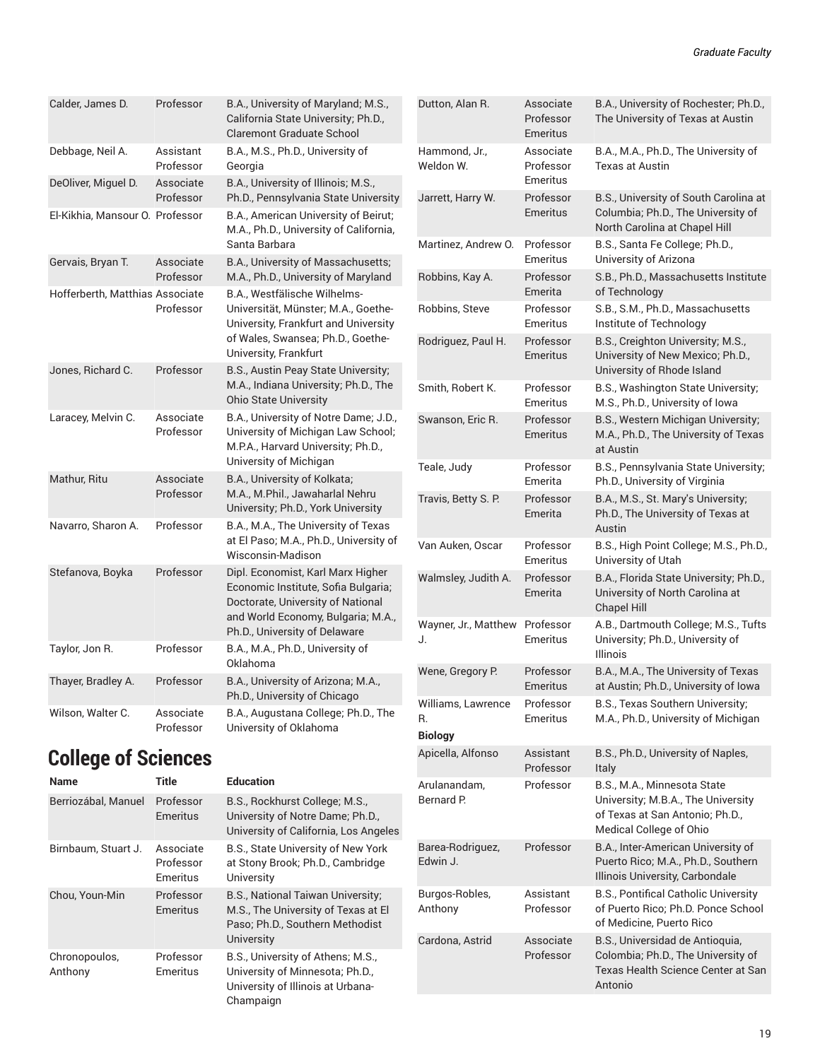| Calder, James D.                | Professor              | B.A., University of Maryland; M.S.,<br>California State University; Ph.D.,<br><b>Claremont Graduate School</b>                                                                       |
|---------------------------------|------------------------|--------------------------------------------------------------------------------------------------------------------------------------------------------------------------------------|
| Debbage, Neil A.                | Assistant<br>Professor | B.A., M.S., Ph.D., University of<br>Georgia                                                                                                                                          |
| DeOliver, Miguel D.             | Associate<br>Professor | B.A., University of Illinois; M.S.,<br>Ph.D., Pennsylvania State University                                                                                                          |
| El-Kikhia, Mansour O. Professor |                        | B.A., American University of Beirut;<br>M.A., Ph.D., University of California,<br>Santa Barbara                                                                                      |
| Gervais, Bryan T.               | Associate<br>Professor | B.A., University of Massachusetts;<br>M.A., Ph.D., University of Maryland                                                                                                            |
| Hofferberth, Matthias Associate | Professor              | B.A., Westfälische Wilhelms-<br>Universität, Münster; M.A., Goethe-<br>University, Frankfurt and University<br>of Wales, Swansea; Ph.D., Goethe-<br>University, Frankfurt            |
| Jones, Richard C.               | Professor              | B.S., Austin Peay State University;<br>M.A., Indiana University; Ph.D., The<br><b>Ohio State University</b>                                                                          |
| Laracey, Melvin C.              | Associate<br>Professor | B.A., University of Notre Dame; J.D.,<br>University of Michigan Law School;<br>M.P.A., Harvard University; Ph.D.,<br>University of Michigan                                          |
| Mathur, Ritu                    | Associate<br>Professor | B.A., University of Kolkata;<br>M.A., M.Phil., Jawaharlal Nehru<br>University; Ph.D., York University                                                                                |
| Navarro, Sharon A.              | Professor              | B.A., M.A., The University of Texas<br>at El Paso; M.A., Ph.D., University of<br>Wisconsin-Madison                                                                                   |
| Stefanova, Boyka                | Professor              | Dipl. Economist, Karl Marx Higher<br>Economic Institute, Sofia Bulgaria;<br>Doctorate, University of National<br>and World Economy, Bulgaria; M.A.,<br>Ph.D., University of Delaware |
| Taylor, Jon R.                  | Professor              | B.A., M.A., Ph.D., University of<br>Oklahoma                                                                                                                                         |
| Thayer, Bradley A.              | Professor              | B.A., University of Arizona; M.A.,<br>Ph.D., University of Chicago                                                                                                                   |
| Wilson, Walter C.               | Associate<br>Professor | B.A., Augustana College; Ph.D., The<br>University of Oklahoma                                                                                                                        |

## **College of Sciences**

| <b>Name</b>              | Title                              | <b>Education</b>                                                                                                                 |
|--------------------------|------------------------------------|----------------------------------------------------------------------------------------------------------------------------------|
| Berriozábal, Manuel      | Professor<br>Emeritus              | B.S., Rockhurst College; M.S.,<br>University of Notre Dame; Ph.D.,<br>University of California, Los Angeles                      |
| Birnbaum, Stuart J.      | Associate<br>Professor<br>Emeritus | B.S., State University of New York<br>at Stony Brook; Ph.D., Cambridge<br>University                                             |
| Chou, Youn-Min           | Professor<br>Emeritus              | B.S., National Taiwan University;<br>M.S., The University of Texas at El<br>Paso; Ph.D., Southern Methodist<br><b>University</b> |
| Chronopoulos,<br>Anthony | Professor<br>Emeritus              | B.S., University of Athens; M.S.,<br>University of Minnesota; Ph.D.,<br>University of Illinois at Urbana-<br>Champaign           |

| Dutton, Alan R.                            | Associate<br>Professor<br>Emeritus | B.A., University of Rochester; Ph.D.,<br>The University of Texas at Austin                                                      |
|--------------------------------------------|------------------------------------|---------------------------------------------------------------------------------------------------------------------------------|
| Hammond, Jr.,<br>Weldon W.                 | Associate<br>Professor<br>Emeritus | B.A., M.A., Ph.D., The University of<br>Texas at Austin                                                                         |
| Jarrett, Harry W.                          | Professor<br><b>Emeritus</b>       | B.S., University of South Carolina at<br>Columbia; Ph.D., The University of<br>North Carolina at Chapel Hill                    |
| Martinez, Andrew O.                        | Professor<br>Emeritus              | B.S., Santa Fe College; Ph.D.,<br>University of Arizona                                                                         |
| Robbins, Kay A.                            | Professor<br>Emerita               | S.B., Ph.D., Massachusetts Institute<br>of Technology                                                                           |
| Robbins, Steve                             | Professor<br>Emeritus              | S.B., S.M., Ph.D., Massachusetts<br>Institute of Technology                                                                     |
| Rodriguez, Paul H.                         | Professor<br><b>Emeritus</b>       | B.S., Creighton University; M.S.,<br>University of New Mexico; Ph.D.,<br>University of Rhode Island                             |
| Smith, Robert K.                           | Professor<br>Emeritus              | B.S., Washington State University;<br>M.S., Ph.D., University of Iowa                                                           |
| Swanson, Eric R.                           | Professor<br>Emeritus              | B.S., Western Michigan University;<br>M.A., Ph.D., The University of Texas<br>at Austin                                         |
| Teale, Judy                                | Professor<br>Emerita               | B.S., Pennsylvania State University;<br>Ph.D., University of Virginia                                                           |
| Travis, Betty S. P.                        | Professor<br>Emerita               | B.A., M.S., St. Mary's University;<br>Ph.D., The University of Texas at<br>Austin                                               |
| Van Auken, Oscar                           | Professor<br>Emeritus              | B.S., High Point College; M.S., Ph.D.,<br>University of Utah                                                                    |
| Walmsley, Judith A.                        | Professor<br>Emerita               | B.A., Florida State University; Ph.D.,<br>University of North Carolina at<br><b>Chapel Hill</b>                                 |
| Wayner, Jr., Matthew<br>J.                 | Professor<br>Emeritus              | A.B., Dartmouth College; M.S., Tufts<br>University; Ph.D., University of<br>Illinois                                            |
| Wene, Gregory P.                           | Professor<br>Emeritus              | B.A., M.A., The University of Texas<br>at Austin; Ph.D., University of Iowa                                                     |
| Williams, Lawrence<br>R.<br><b>Biology</b> | Professor<br>Emeritus              | B.S., Texas Southern University;<br>M.A., Ph.D., University of Michigan                                                         |
| Apicella, Alfonso                          | Assistant<br>Professor             | B.S., Ph.D., University of Naples,<br>Italy                                                                                     |
| Arulanandam,<br>Bernard P.                 | Professor                          | B.S., M.A., Minnesota State<br>University; M.B.A., The University<br>of Texas at San Antonio; Ph.D.,<br>Medical College of Ohio |
| Barea-Rodriguez,<br>Edwin J.               | Professor                          | B.A., Inter-American University of<br>Puerto Rico; M.A., Ph.D., Southern<br>Illinois University, Carbondale                     |
| Burgos-Robles,<br>Anthony                  | Assistant<br>Professor             | B.S., Pontifical Catholic University<br>of Puerto Rico; Ph.D. Ponce School<br>of Medicine, Puerto Rico                          |
|                                            |                                    |                                                                                                                                 |
| Cardona, Astrid                            | Associate<br>Professor             | B.S., Universidad de Antioquia,<br>Colombia; Ph.D., The University of<br>Texas Health Science Center at San<br>Antonio          |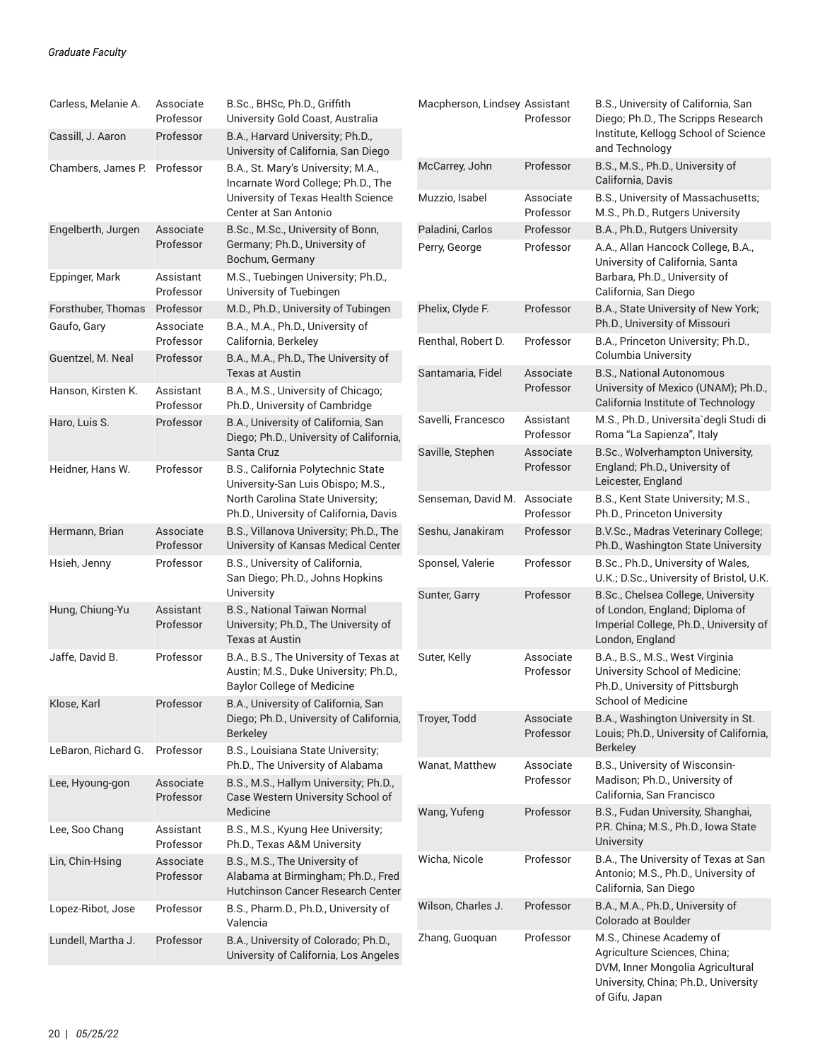| Carless, Melanie A.          | Associate<br>Professor                                                               | B.Sc., BHSc, Ph.D., Griffith<br>University Gold Coast, Australia                                         | Macpherson, Lindsey Assistant | Professor                                           | B.S., University of California, San<br>Diego; Ph.D., The Scripps Research                            |
|------------------------------|--------------------------------------------------------------------------------------|----------------------------------------------------------------------------------------------------------|-------------------------------|-----------------------------------------------------|------------------------------------------------------------------------------------------------------|
| Cassill, J. Aaron            | Professor                                                                            | B.A., Harvard University; Ph.D.,<br>University of California, San Diego                                  |                               |                                                     | Institute, Kellogg School of Science<br>and Technology                                               |
| Chambers, James P. Professor |                                                                                      | B.A., St. Mary's University; M.A.,<br>Incarnate Word College; Ph.D., The                                 | McCarrey, John                | Professor                                           | B.S., M.S., Ph.D., University of<br>California, Davis                                                |
|                              |                                                                                      | University of Texas Health Science<br>Center at San Antonio                                              | Muzzio, Isabel                | Associate<br>Professor                              | B.S., University of Massachusetts;<br>M.S., Ph.D., Rutgers University                                |
| Engelberth, Jurgen           | Associate                                                                            | B.Sc., M.Sc., University of Bonn,                                                                        | Paladini, Carlos              | Professor                                           | B.A., Ph.D., Rutgers University                                                                      |
|                              | Professor                                                                            | Germany; Ph.D., University of<br>Bochum, Germany                                                         | Perry, George                 | Professor                                           | A.A., Allan Hancock College, B.A.,<br>University of California, Santa                                |
| Eppinger, Mark               | Assistant<br>Professor                                                               | M.S., Tuebingen University; Ph.D.,<br>University of Tuebingen                                            |                               |                                                     | Barbara, Ph.D., University of<br>California, San Diego                                               |
| Forsthuber, Thomas           | Professor                                                                            | M.D., Ph.D., University of Tubingen                                                                      | Phelix, Clyde F.              | Professor                                           | B.A., State University of New York;                                                                  |
| Gaufo, Gary                  | Associate<br>Professor                                                               | B.A., M.A., Ph.D., University of<br>California, Berkeley                                                 | Renthal, Robert D.            | Professor                                           | Ph.D., University of Missouri<br>B.A., Princeton University; Ph.D.,                                  |
| Guentzel, M. Neal            | Professor                                                                            | B.A., M.A., Ph.D., The University of<br><b>Texas at Austin</b>                                           | Santamaria, Fidel             | Associate                                           | Columbia University<br><b>B.S., National Autonomous</b>                                              |
| Hanson, Kirsten K.           | Assistant<br>Professor                                                               | B.A., M.S., University of Chicago;<br>Ph.D., University of Cambridge                                     |                               | Professor                                           | University of Mexico (UNAM); Ph.D.,<br>California Institute of Technology                            |
| Haro, Luis S.                | Professor                                                                            | B.A., University of California, San<br>Diego; Ph.D., University of California,                           | Savelli, Francesco            | Assistant<br>Professor                              | M.S., Ph.D., Universita'degli Studi di<br>Roma "La Sapienza", Italy                                  |
|                              |                                                                                      | Santa Cruz                                                                                               | Saville, Stephen              | Associate                                           | B.Sc., Wolverhampton University,                                                                     |
| Heidner, Hans W.             | Professor<br>B.S., California Polytechnic State<br>University-San Luis Obispo; M.S., |                                                                                                          | Professor                     | England; Ph.D., University of<br>Leicester, England |                                                                                                      |
|                              |                                                                                      | North Carolina State University;<br>Ph.D., University of California, Davis                               | Senseman, David M.            | Associate<br>Professor                              | B.S., Kent State University; M.S.,<br>Ph.D., Princeton University                                    |
| Hermann, Brian               | Associate<br>Professor                                                               | B.S., Villanova University; Ph.D., The<br>University of Kansas Medical Center                            | Seshu, Janakiram              | Professor                                           | B.V.Sc., Madras Veterinary College;<br>Ph.D., Washington State University                            |
| Hsieh, Jenny                 | Professor                                                                            | B.S., University of California,<br>San Diego; Ph.D., Johns Hopkins                                       | Sponsel, Valerie              | Professor                                           | B.Sc., Ph.D., University of Wales,<br>U.K.; D.Sc., University of Bristol, U.K.                       |
|                              |                                                                                      | University                                                                                               | Sunter, Garry                 | Professor                                           | B.Sc., Chelsea College, University                                                                   |
| Hung, Chiung-Yu              | Assistant<br>Professor                                                               | B.S., National Taiwan Normal<br>University; Ph.D., The University of<br><b>Texas at Austin</b>           |                               |                                                     | of London, England; Diploma of<br>Imperial College, Ph.D., University of<br>London, England          |
| Jaffe, David B.              | Professor                                                                            | B.A., B.S., The University of Texas at<br>Austin; M.S., Duke University; Ph.D.,                          | Suter, Kelly                  | Associate<br>Professor                              | B.A., B.S., M.S., West Virginia<br>University School of Medicine;                                    |
| Klose, Karl                  | Professor                                                                            | <b>Baylor College of Medicine</b><br>B.A., University of California, San                                 |                               |                                                     | Ph.D., University of Pittsburgh<br><b>School of Medicine</b>                                         |
|                              |                                                                                      | Diego; Ph.D., University of California,<br><b>Berkeley</b>                                               | Troyer, Todd                  | Associate<br>Professor                              | B.A., Washington University in St.<br>Louis; Ph.D., University of California,                        |
| LeBaron, Richard G.          | Professor                                                                            | B.S., Louisiana State University;<br>Ph.D., The University of Alabama                                    | Wanat, Matthew                | Associate                                           | <b>Berkeley</b><br>B.S., University of Wisconsin-                                                    |
| Lee, Hyoung-gon              | Associate<br>Professor                                                               | B.S., M.S., Hallym University; Ph.D.,<br>Case Western University School of                               |                               | Professor                                           | Madison; Ph.D., University of<br>California, San Francisco                                           |
|                              |                                                                                      | Medicine                                                                                                 | Wang, Yufeng                  | Professor                                           | B.S., Fudan University, Shanghai,                                                                    |
| Lee, Soo Chang               | Assistant<br>Professor                                                               | B.S., M.S., Kyung Hee University;<br>Ph.D., Texas A&M University                                         |                               |                                                     | P.R. China; M.S., Ph.D., Iowa State<br>University                                                    |
| Lin, Chin-Hsing              | Associate<br>Professor                                                               | B.S., M.S., The University of<br>Alabama at Birmingham; Ph.D., Fred<br>Hutchinson Cancer Research Center | Wicha, Nicole                 | Professor                                           | B.A., The University of Texas at San<br>Antonio; M.S., Ph.D., University of<br>California, San Diego |
| Lopez-Ribot, Jose            | Professor                                                                            | B.S., Pharm.D., Ph.D., University of<br>Valencia                                                         | Wilson, Charles J.            | Professor                                           | B.A., M.A., Ph.D., University of<br>Colorado at Boulder                                              |
| Lundell, Martha J.           | Professor                                                                            | B.A., University of Colorado; Ph.D.,<br>University of California, Los Angeles                            | Zhang, Guoquan                | Professor                                           | M.S., Chinese Academy of<br>Agriculture Sciences, China;<br>DVM, Inner Mongolia Agricultural         |

University, China; Ph.D., University of Gifu, Japan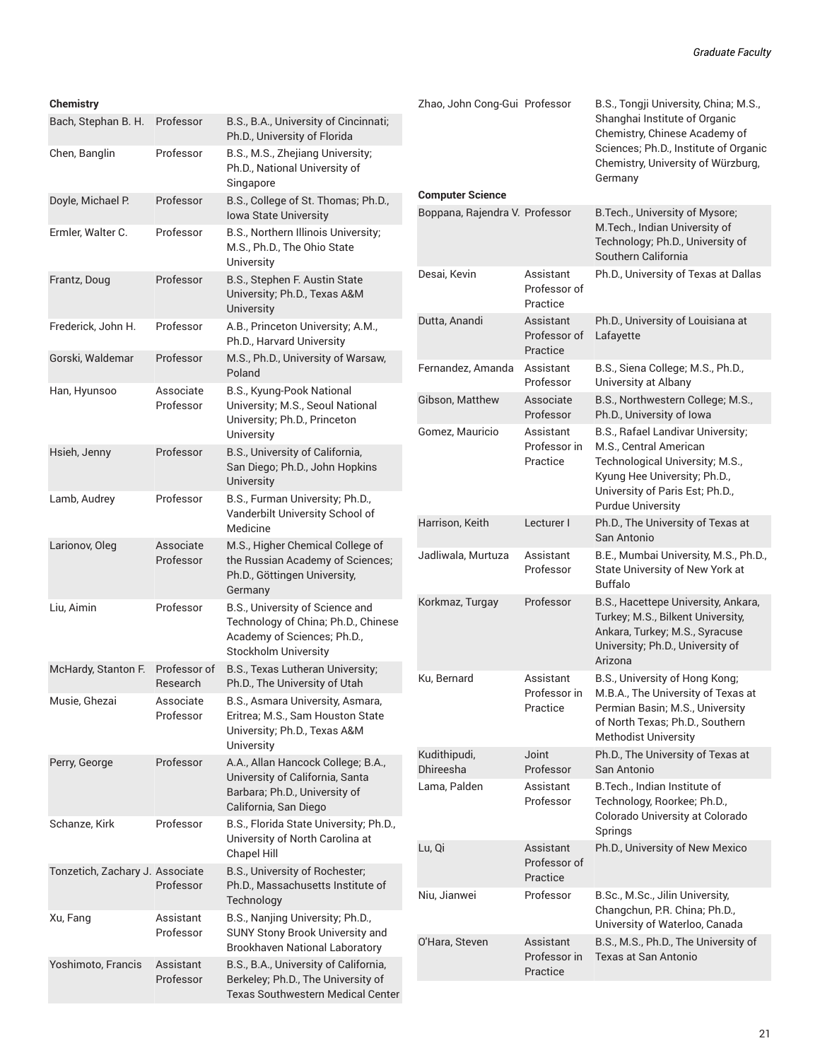#### **Chemistry**

| Bach, Stephan B. H.             | Professor                | B.S., B.A., University of Cincinnati;<br>Ph.D., University of Florida                                                                |
|---------------------------------|--------------------------|--------------------------------------------------------------------------------------------------------------------------------------|
| Chen, Banglin                   | Professor                | B.S., M.S., Zhejiang University;<br>Ph.D., National University of<br>Singapore                                                       |
| Doyle, Michael P.               | Professor                | B.S., College of St. Thomas; Ph.D.,<br><b>Iowa State University</b>                                                                  |
| Ermler, Walter C.               | Professor                | B.S., Northern Illinois University;<br>M.S., Ph.D., The Ohio State<br>University                                                     |
| Frantz, Doug                    | Professor                | B.S., Stephen F. Austin State<br>University; Ph.D., Texas A&M<br>University                                                          |
| Frederick, John H.              | Professor                | A.B., Princeton University; A.M.,<br>Ph.D., Harvard University                                                                       |
| Gorski, Waldemar                | Professor                | M.S., Ph.D., University of Warsaw,<br>Poland                                                                                         |
| Han, Hyunsoo                    | Associate<br>Professor   | B.S., Kyung-Pook National<br>University; M.S., Seoul National<br>University; Ph.D., Princeton<br>University                          |
| Hsieh, Jenny                    | Professor                | B.S., University of California,<br>San Diego; Ph.D., John Hopkins<br>University                                                      |
| Lamb, Audrey                    | Professor                | B.S., Furman University; Ph.D.,<br>Vanderbilt University School of<br>Medicine                                                       |
| Larionov, Oleg                  | Associate<br>Professor   | M.S., Higher Chemical College of<br>the Russian Academy of Sciences;<br>Ph.D., Göttingen University,<br>Germany                      |
| Liu, Aimin                      | Professor                | B.S., University of Science and<br>Technology of China; Ph.D., Chinese<br>Academy of Sciences; Ph.D.,<br><b>Stockholm University</b> |
| McHardy, Stanton F.             | Professor of<br>Research | B.S., Texas Lutheran University;<br>Ph.D., The University of Utah                                                                    |
| Musie, Ghezai                   | Associate<br>Professor   | B.S., Asmara University, Asmara,<br>Eritrea; M.S., Sam Houston State<br>University; Ph.D., Texas A&M<br>University                   |
| Perry, George                   | Professor                | A.A., Allan Hancock College; B.A.,<br>University of California, Santa<br>Barbara; Ph.D., University of<br>California, San Diego      |
| Schanze, Kirk                   | Professor                | B.S., Florida State University; Ph.D.,<br>University of North Carolina at<br>Chapel Hill                                             |
| Tonzetich, Zachary J. Associate | Professor                | B.S., University of Rochester;<br>Ph.D., Massachusetts Institute of<br>Technology                                                    |
| Xu, Fang                        | Assistant<br>Professor   | B.S., Nanjing University; Ph.D.,<br>SUNY Stony Brook University and<br><b>Brookhaven National Laboratory</b>                         |
| Yoshimoto, Francis              | Assistant<br>Professor   | B.S., B.A., University of California,<br>Berkeley; Ph.D., The University of<br>Texas Southwestern Medical Center                     |

| Zhao, John Cong-Gui Professor  |                                       | B.S., Tongji University, China; M.S.,<br>Shanghai Institute of Organic<br>Chemistry, Chinese Academy of<br>Sciences; Ph.D., Institute of Organic<br>Chemistry, University of Würzburg,<br>Germany |
|--------------------------------|---------------------------------------|---------------------------------------------------------------------------------------------------------------------------------------------------------------------------------------------------|
| <b>Computer Science</b>        |                                       |                                                                                                                                                                                                   |
| Boppana, Rajendra V. Professor |                                       | B. Tech., University of Mysore;<br>M.Tech., Indian University of<br>Technology; Ph.D., University of<br>Southern California                                                                       |
| Desai, Kevin                   | Assistant<br>Professor of<br>Practice | Ph.D., University of Texas at Dallas                                                                                                                                                              |
| Dutta, Anandi                  | Assistant<br>Professor of<br>Practice | Ph.D., University of Louisiana at<br>Lafayette                                                                                                                                                    |
| Fernandez, Amanda              | Assistant<br>Professor                | B.S., Siena College; M.S., Ph.D.,<br>University at Albany                                                                                                                                         |
| Gibson, Matthew                | Associate<br>Professor                | B.S., Northwestern College; M.S.,<br>Ph.D., University of Iowa                                                                                                                                    |
| Gomez, Mauricio                | Assistant<br>Professor in<br>Practice | B.S., Rafael Landivar University;<br>M.S., Central American<br>Technological University; M.S.,<br>Kyung Hee University; Ph.D.,<br>University of Paris Est; Ph.D.,<br><b>Purdue University</b>     |
| Harrison, Keith                | Lecturer I                            | Ph.D., The University of Texas at<br>San Antonio                                                                                                                                                  |
| Jadliwala, Murtuza             | Assistant<br>Professor                | B.E., Mumbai University, M.S., Ph.D.,<br>State University of New York at<br><b>Buffalo</b>                                                                                                        |
| Korkmaz, Turgay                | Professor                             | B.S., Hacettepe University, Ankara,<br>Turkey; M.S., Bilkent University,<br>Ankara, Turkey; M.S., Syracuse<br>University; Ph.D., University of<br>Arizona                                         |
| Ku, Bernard                    | Assistant<br>Professor in<br>Practice | B.S., University of Hong Kong;<br>M.B.A., The University of Texas at<br>Permian Basin; M.S., University<br>of North Texas; Ph.D., Southern<br><b>Methodist University</b>                         |
| Kudithipudi,<br>Dhireesha      | Joint<br>Professor                    | Ph.D., The University of Texas at<br>San Antonio                                                                                                                                                  |
| Lama, Palden                   | Assistant<br>Professor                | B. Tech., Indian Institute of<br>Technology, Roorkee; Ph.D.,<br>Colorado University at Colorado<br>Springs                                                                                        |
| Lu, Qi                         | Assistant<br>Professor of<br>Practice | Ph.D., University of New Mexico                                                                                                                                                                   |
| Niu, Jianwei                   | Professor                             | B.Sc., M.Sc., Jilin University,<br>Changchun, P.R. China; Ph.D.,<br>University of Waterloo, Canada                                                                                                |
| O'Hara, Steven                 | Assistant<br>Professor in<br>Practice | B.S., M.S., Ph.D., The University of<br>Texas at San Antonio                                                                                                                                      |
|                                |                                       |                                                                                                                                                                                                   |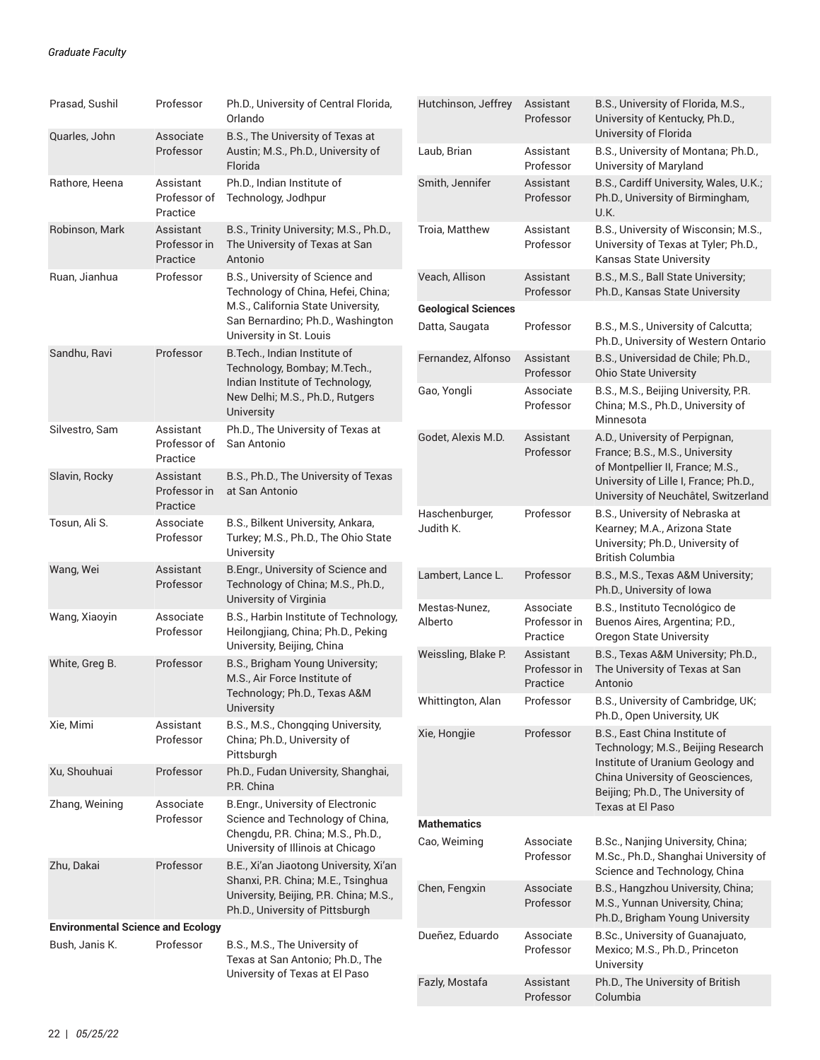| Prasad, Sushil                                             | Professor                             | Ph.D., University of Central Florida,<br>Orlando                                                                                                                                                                                                                                                             | Hutchinson, Jeffrey                          | Assistant<br>Professor                | B.S., University of Florida, M.S.,<br>University of Kentucky, Ph.D.,                                                                                                                  |
|------------------------------------------------------------|---------------------------------------|--------------------------------------------------------------------------------------------------------------------------------------------------------------------------------------------------------------------------------------------------------------------------------------------------------------|----------------------------------------------|---------------------------------------|---------------------------------------------------------------------------------------------------------------------------------------------------------------------------------------|
| Quarles, John                                              | Associate<br>Professor                | B.S., The University of Texas at<br>Austin; M.S., Ph.D., University of<br>Florida                                                                                                                                                                                                                            | Laub, Brian                                  | Assistant<br>Professor                | University of Florida<br>B.S., University of Montana; Ph.D.,<br>University of Maryland                                                                                                |
| Rathore, Heena                                             | Assistant<br>Professor of<br>Practice | Ph.D., Indian Institute of<br>Technology, Jodhpur                                                                                                                                                                                                                                                            | Smith, Jennifer                              | Assistant<br>Professor                | B.S., Cardiff University, Wales, U.K.;<br>Ph.D., University of Birmingham,<br>U.K.                                                                                                    |
| Robinson, Mark                                             | Assistant<br>Professor in<br>Practice | B.S., Trinity University; M.S., Ph.D.,<br>The University of Texas at San<br>Antonio                                                                                                                                                                                                                          | Troia, Matthew                               | Assistant<br>Professor                | B.S., University of Wisconsin; M.S.,<br>University of Texas at Tyler; Ph.D.,<br>Kansas State University                                                                               |
| Ruan, Jianhua                                              | Professor                             | B.S., University of Science and<br>Technology of China, Hefei, China;<br>M.S., California State University,<br>San Bernardino; Ph.D., Washington<br>University in St. Louis                                                                                                                                  | Veach, Allison                               | Assistant<br>Professor                | B.S., M.S., Ball State University;<br>Ph.D., Kansas State University                                                                                                                  |
|                                                            |                                       |                                                                                                                                                                                                                                                                                                              | <b>Geological Sciences</b><br>Datta, Saugata | Professor                             | B.S., M.S., University of Calcutta;<br>Ph.D., University of Western Ontario                                                                                                           |
| Sandhu, Ravi                                               | Professor                             | B. Tech., Indian Institute of<br>Technology, Bombay; M.Tech.,<br>Indian Institute of Technology,<br>New Delhi; M.S., Ph.D., Rutgers<br>University                                                                                                                                                            | Fernandez, Alfonso                           | Assistant<br>Professor                | B.S., Universidad de Chile; Ph.D.,<br><b>Ohio State University</b>                                                                                                                    |
|                                                            |                                       |                                                                                                                                                                                                                                                                                                              | Gao, Yongli                                  | Associate<br>Professor                | B.S., M.S., Beijing University, P.R.<br>China; M.S., Ph.D., University of<br>Minnesota                                                                                                |
| Silvestro, Sam                                             | Assistant<br>Professor of<br>Practice | Ph.D., The University of Texas at<br>San Antonio<br>B.S., Ph.D., The University of Texas<br>at San Antonio                                                                                                                                                                                                   | Godet, Alexis M.D.                           | Assistant<br>Professor                | A.D., University of Perpignan,<br>France; B.S., M.S., University<br>of Montpellier II, France; M.S.,<br>University of Lille I, France; Ph.D.,<br>University of Neuchâtel, Switzerland |
| Slavin, Rocky                                              | Assistant<br>Professor in<br>Practice |                                                                                                                                                                                                                                                                                                              |                                              |                                       |                                                                                                                                                                                       |
| Tosun, Ali S.                                              | Associate<br>Professor                | B.S., Bilkent University, Ankara,<br>Turkey; M.S., Ph.D., The Ohio State<br>University                                                                                                                                                                                                                       | Haschenburger,<br>Judith K.                  | Professor                             | B.S., University of Nebraska at<br>Kearney; M.A., Arizona State<br>University; Ph.D., University of<br>British Columbia                                                               |
| Wang, Wei                                                  | Assistant<br>Professor                | B.Engr., University of Science and<br>Technology of China; M.S., Ph.D.,<br>University of Virginia                                                                                                                                                                                                            | Lambert, Lance L.                            | Professor                             | B.S., M.S., Texas A&M University;<br>Ph.D., University of Iowa                                                                                                                        |
| Wang, Xiaoyin                                              | Associate<br>Professor                | B.S., Harbin Institute of Technology,<br>Heilongjiang, China; Ph.D., Peking<br>University, Beijing, China                                                                                                                                                                                                    | Mestas-Nunez,<br>Alberto                     | Associate<br>Professor in<br>Practice | B.S., Instituto Tecnológico de<br>Buenos Aires, Argentina; P.D.,<br><b>Oregon State University</b>                                                                                    |
| White, Greg B.                                             | Professor                             | B.S., Brigham Young University;<br>M.S., Air Force Institute of<br>Technology; Ph.D., Texas A&M<br>University                                                                                                                                                                                                | Weissling, Blake P.                          | Assistant<br>Professor in<br>Practice | B.S., Texas A&M University; Ph.D.,<br>The University of Texas at San<br>Antonio                                                                                                       |
|                                                            |                                       |                                                                                                                                                                                                                                                                                                              | Whittington, Alan                            | Professor                             | B.S., University of Cambridge, UK;<br>Ph.D., Open University, UK                                                                                                                      |
| Xie, Mimi                                                  | Assistant<br>Professor                | B.S., M.S., Chongqing University,<br>China; Ph.D., University of<br>Pittsburgh                                                                                                                                                                                                                               | Xie, Hongjie                                 | Professor                             | B.S., East China Institute of<br>Technology; M.S., Beijing Research<br>Institute of Uranium Geology and<br>China University of Geosciences,<br>Beijing; Ph.D., The University of      |
| Xu, Shouhuai                                               | Professor                             | Ph.D., Fudan University, Shanghai,<br>P.R. China                                                                                                                                                                                                                                                             |                                              |                                       |                                                                                                                                                                                       |
| Zhang, Weining                                             | Associate<br>Professor                | B.Engr., University of Electronic<br>Science and Technology of China,<br>Chengdu, P.R. China; M.S., Ph.D.,<br>University of Illinois at Chicago<br>B.E., Xi'an Jiaotong University, Xi'an<br>Shanxi, P.R. China; M.E., Tsinghua<br>University, Beijing, P.R. China; M.S.,<br>Ph.D., University of Pittsburgh | <b>Mathematics</b>                           |                                       | Texas at El Paso                                                                                                                                                                      |
| Zhu, Dakai                                                 | Professor                             |                                                                                                                                                                                                                                                                                                              | Cao, Weiming                                 | Associate<br>Professor                | B.Sc., Nanjing University, China;<br>M.Sc., Ph.D., Shanghai University of<br>Science and Technology, China                                                                            |
|                                                            |                                       |                                                                                                                                                                                                                                                                                                              | Chen, Fengxin                                | Associate<br>Professor                | B.S., Hangzhou University, China;<br>M.S., Yunnan University, China;<br>Ph.D., Brigham Young University                                                                               |
| <b>Environmental Science and Ecology</b><br>Bush, Janis K. | Professor                             | B.S., M.S., The University of<br>Texas at San Antonio; Ph.D., The<br>University of Texas at El Paso                                                                                                                                                                                                          | Dueñez, Eduardo                              | Associate<br>Professor                | B.Sc., University of Guanajuato,<br>Mexico; M.S., Ph.D., Princeton<br>University                                                                                                      |
|                                                            |                                       |                                                                                                                                                                                                                                                                                                              | Fazly, Mostafa                               | Assistant<br>Professor                | Ph.D., The University of British<br>Columbia                                                                                                                                          |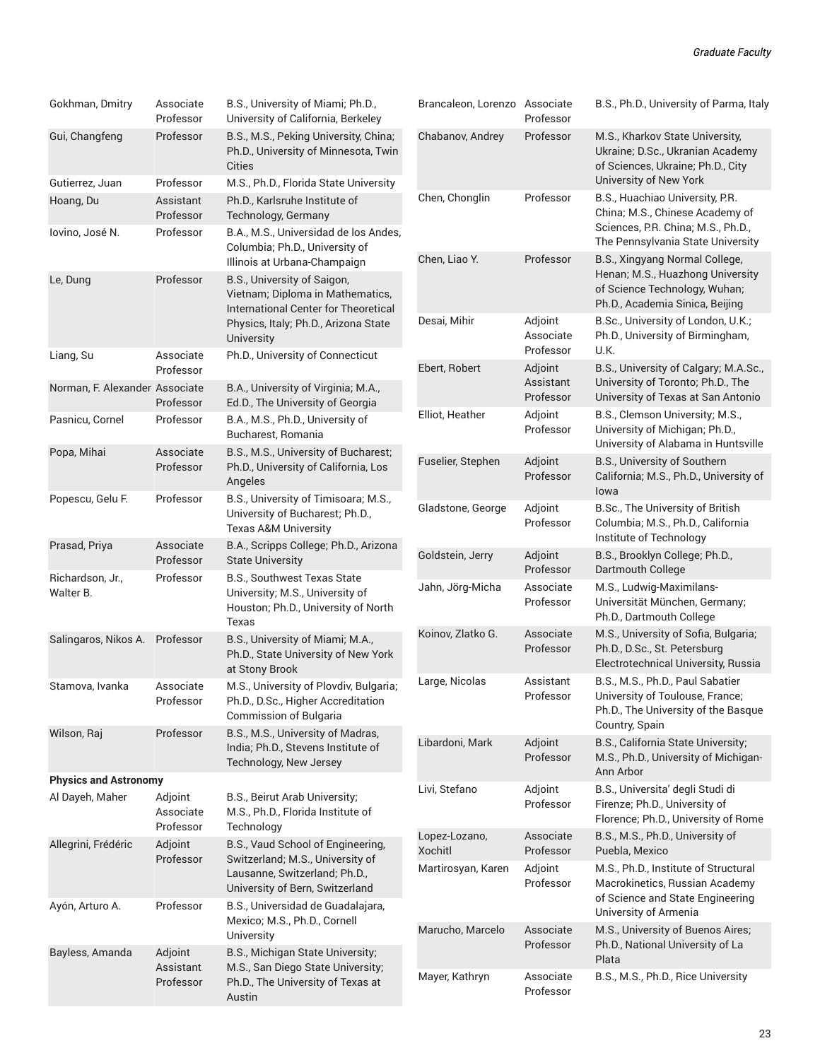| Gokhman, Dmitry                                                                                                      | Associate<br>Professor                                       | B.S., University of Miami; Ph.D.,<br>University of California, Berkeley                                                                                       | Brancaleon, Lorenzo Associate                      | Professor                         | B.S., Ph.D., University of Parma, Italy                                                                                            |
|----------------------------------------------------------------------------------------------------------------------|--------------------------------------------------------------|---------------------------------------------------------------------------------------------------------------------------------------------------------------|----------------------------------------------------|-----------------------------------|------------------------------------------------------------------------------------------------------------------------------------|
| Gui, Changfeng                                                                                                       | Professor                                                    | B.S., M.S., Peking University, China;<br>Ph.D., University of Minnesota, Twin<br>Cities                                                                       | Chabanov, Andrey                                   | Professor                         | M.S., Kharkov State University,<br>Ukraine; D.Sc., Ukranian Academy<br>of Sciences, Ukraine; Ph.D., City<br>University of New York |
| Gutierrez, Juan<br>Hoang, Du                                                                                         | Professor                                                    | M.S., Ph.D., Florida State University<br>Ph.D., Karlsruhe Institute of                                                                                        | Chen, Chonglin                                     | Professor                         | B.S., Huachiao University, P.R.                                                                                                    |
|                                                                                                                      | Assistant<br>Professor                                       | Technology, Germany                                                                                                                                           |                                                    |                                   | China; M.S., Chinese Academy of<br>Sciences, P.R. China; M.S., Ph.D.,<br>The Pennsylvania State University                         |
| Iovino, José N.                                                                                                      | Professor                                                    | B.A., M.S., Universidad de los Andes,<br>Columbia; Ph.D., University of                                                                                       |                                                    |                                   |                                                                                                                                    |
|                                                                                                                      |                                                              | Illinois at Urbana-Champaign                                                                                                                                  | Chen, Liao Y.                                      | Professor                         | B.S., Xingyang Normal College,<br>Henan; M.S., Huazhong University                                                                 |
| Le, Dung                                                                                                             | Professor                                                    | B.S., University of Saigon,<br>Vietnam; Diploma in Mathematics,<br>International Center for Theoretical<br>Physics, Italy; Ph.D., Arizona State<br>University |                                                    |                                   | of Science Technology, Wuhan;<br>Ph.D., Academia Sinica, Beijing                                                                   |
|                                                                                                                      |                                                              |                                                                                                                                                               | Desai, Mihir                                       | Adjoint<br>Associate<br>Professor | B.Sc., University of London, U.K.;<br>Ph.D., University of Birmingham,<br>U.K.                                                     |
| Liang, Su                                                                                                            | Associate<br>Professor                                       | Ph.D., University of Connecticut                                                                                                                              | Ebert, Robert                                      | Adjoint                           | B.S., University of Calgary; M.A.Sc.,                                                                                              |
| Norman, F. Alexander Associate                                                                                       | Professor                                                    | B.A., University of Virginia; M.A.,<br>Ed.D., The University of Georgia                                                                                       |                                                    | Assistant<br>Professor            | University of Toronto; Ph.D., The<br>University of Texas at San Antonio                                                            |
| Pasnicu, Cornel                                                                                                      | Professor                                                    | B.A., M.S., Ph.D., University of                                                                                                                              | Elliot, Heather                                    | Adjoint<br>Professor              | B.S., Clemson University; M.S.,<br>University of Michigan; Ph.D.,<br>University of Alabama in Huntsville                           |
|                                                                                                                      |                                                              | Bucharest, Romania                                                                                                                                            |                                                    |                                   |                                                                                                                                    |
| Popa, Mihai                                                                                                          | Associate                                                    | B.S., M.S., University of Bucharest;                                                                                                                          | Fuselier, Stephen                                  | Adjoint<br>Professor              | B.S., University of Southern                                                                                                       |
|                                                                                                                      | Professor<br>Ph.D., University of California, Los<br>Angeles |                                                                                                                                                               |                                                    |                                   | California; M.S., Ph.D., University of<br>lowa                                                                                     |
| Popescu, Gelu F.                                                                                                     | Professor                                                    | B.S., University of Timisoara; M.S.,<br>University of Bucharest; Ph.D.,                                                                                       | Gladstone, George                                  | Adjoint                           | B.Sc., The University of British                                                                                                   |
| Prasad, Priya                                                                                                        | Associate                                                    | <b>Texas A&amp;M University</b><br>B.A., Scripps College; Ph.D., Arizona                                                                                      |                                                    | Professor                         | Columbia; M.S., Ph.D., California<br>Institute of Technology                                                                       |
|                                                                                                                      | Professor                                                    | <b>State University</b>                                                                                                                                       | Goldstein, Jerry                                   | Adjoint<br>Professor              | B.S., Brooklyn College; Ph.D.,<br>Dartmouth College                                                                                |
| Richardson, Jr.,<br>Walter B.                                                                                        | Professor                                                    | B.S., Southwest Texas State<br>University; M.S., University of<br>Houston; Ph.D., University of North<br>Texas                                                | Jahn, Jörg-Micha                                   | Associate<br>Professor            | M.S., Ludwig-Maximilans-<br>Universität München, Germany;<br>Ph.D., Dartmouth College                                              |
| Salingaros, Nikos A. Professor                                                                                       |                                                              | B.S., University of Miami; M.A.,<br>Ph.D., State University of New York<br>at Stony Brook                                                                     | Koinov, Zlatko G.                                  | Associate<br>Professor            | M.S., University of Sofia, Bulgaria;<br>Ph.D., D.Sc., St. Petersburg<br>Electrotechnical University, Russia                        |
| Stamova, Ivanka                                                                                                      | Associate                                                    | M.S., University of Plovdiv, Bulgaria;                                                                                                                        | Large, Nicolas                                     | Assistant                         | B.S., M.S., Ph.D., Paul Sabatier                                                                                                   |
|                                                                                                                      | Professor                                                    | Ph.D., D.Sc., Higher Accreditation<br>Commission of Bulgaria                                                                                                  |                                                    | Professor                         | University of Toulouse, France;<br>Ph.D., The University of the Basque<br>Country, Spain                                           |
| Wilson, Raj                                                                                                          | Professor<br>B.S., M.S., University of Madras,               |                                                                                                                                                               | Libardoni, Mark                                    | Adjoint                           | B.S., California State University;                                                                                                 |
|                                                                                                                      |                                                              | India; Ph.D., Stevens Institute of<br>Technology, New Jersey                                                                                                  |                                                    | Professor                         | M.S., Ph.D., University of Michigan-<br>Ann Arbor                                                                                  |
| <b>Physics and Astronomy</b><br>Al Dayeh, Maher                                                                      |                                                              | Adjoint<br>B.S., Beirut Arab University;<br>M.S., Ph.D., Florida Institute of<br>Technology                                                                   | Livi, Stefano                                      | Adjoint<br>Professor              | B.S., Universita' degli Studi di<br>Firenze; Ph.D., University of<br>Florence; Ph.D., University of Rome                           |
|                                                                                                                      | Associate<br>Professor                                       |                                                                                                                                                               |                                                    |                                   |                                                                                                                                    |
| B.S., Vaud School of Engineering,<br>Allegrini, Frédéric<br>Adjoint<br>Switzerland; M.S., University of<br>Professor | Lopez-Lozano,<br><b>Xochitl</b>                              | Associate<br>Professor                                                                                                                                        | B.S., M.S., Ph.D., University of<br>Puebla, Mexico |                                   |                                                                                                                                    |
|                                                                                                                      |                                                              | Lausanne, Switzerland; Ph.D.,<br>University of Bern, Switzerland<br>B.S., Universidad de Guadalajara,<br>Mexico; M.S., Ph.D., Cornell                         | Martirosyan, Karen                                 | Adjoint                           | M.S., Ph.D., Institute of Structural                                                                                               |
| Ayón, Arturo A.                                                                                                      | Professor                                                    |                                                                                                                                                               |                                                    | Professor                         | Macrokinetics, Russian Academy<br>of Science and State Engineering                                                                 |
|                                                                                                                      |                                                              |                                                                                                                                                               |                                                    |                                   | University of Armenia                                                                                                              |
| Bayless, Amanda                                                                                                      | Adjoint<br>Assistant<br>Professor                            | University<br>B.S., Michigan State University;<br>M.S., San Diego State University;<br>Ph.D., The University of Texas at<br>Austin                            | Marucho, Marcelo                                   | Associate<br>Professor            | M.S., University of Buenos Aires;<br>Ph.D., National University of La<br>Plata                                                     |
|                                                                                                                      |                                                              |                                                                                                                                                               | Mayer, Kathryn                                     | Associate                         | B.S., M.S., Ph.D., Rice University                                                                                                 |
|                                                                                                                      |                                                              |                                                                                                                                                               |                                                    | Professor                         |                                                                                                                                    |